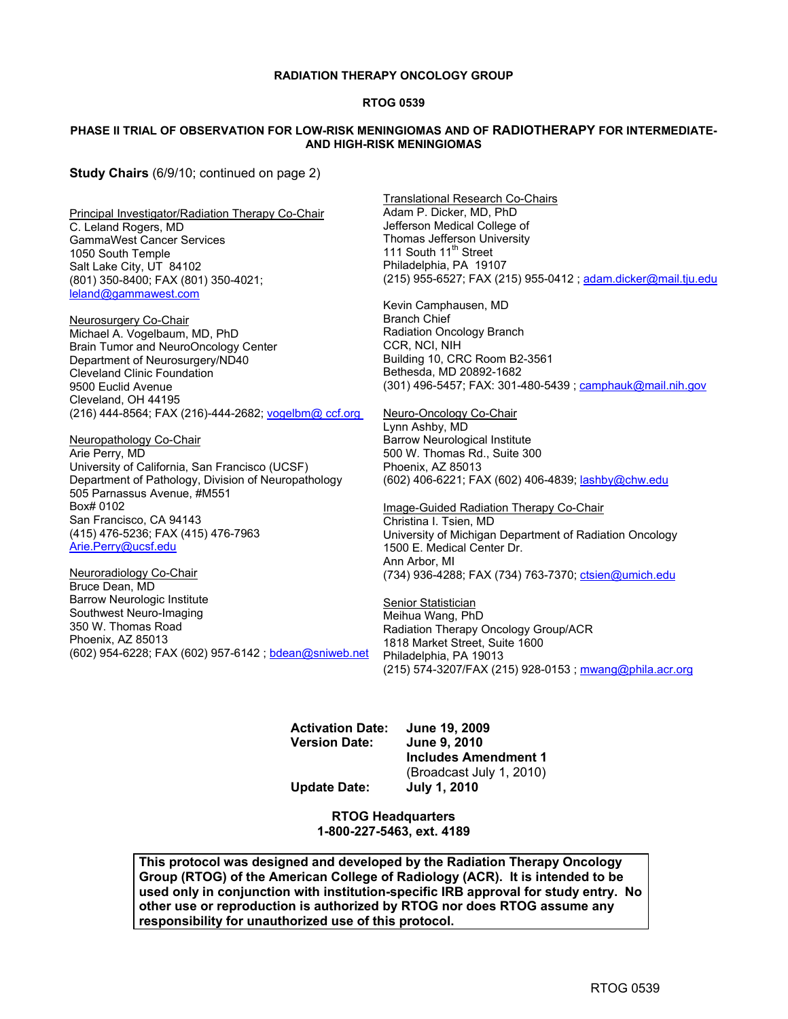#### **RADIATION THERAPY ONCOLOGY GROUP**

#### **RTOG 0539**

#### **PHASE II TRIAL OF OBSERVATION FOR LOW-RISK MENINGIOMAS AND OF RADIOTHERAPY FOR INTERMEDIATE-AND HIGH-RISK MENINGIOMAS**

**Study Chairs** (6/9/10; continued on page 2)

Principal Investigator/Radiation Therapy Co-Chair C. Leland Rogers, MD GammaWest Cancer Services 1050 South Temple Salt Lake City, UT 84102 (801) 350-8400; FAX (801) 350-4021; leland@gammawest.com

Neurosurgery Co-Chair Michael A. Vogelbaum, MD, PhD Brain Tumor and NeuroOncology Center Department of Neurosurgery/ND40 Cleveland Clinic Foundation 9500 Euclid Avenue Cleveland, OH 44195 (216) 444-8564; FAX (216)-444-2682; vogelbm@ ccf.org

Neuropathology Co-Chair Arie Perry, MD University of California, San Francisco (UCSF) Department of Pathology, Division of Neuropathology 505 Parnassus Avenue, #M551 Box# 0102 San Francisco, CA 94143 (415) 476-5236; FAX (415) 476-7963 Arie.Perry@ucsf.edu

Neuroradiology Co-Chair Bruce Dean, MD Barrow Neurologic Institute Southwest Neuro-Imaging 350 W. Thomas Road Phoenix, AZ 85013 (602) 954-6228; FAX (602) 957-6142 ; bdean@sniweb.net Translational Research Co-Chairs Adam P. Dicker, MD, PhD Jefferson Medical College of Thomas Jefferson University 111 South 11<sup>th</sup> Street Philadelphia, PA 19107 (215) 955-6527; FAX (215) 955-0412 ; adam.dicker@mail.tju.edu

Kevin Camphausen, MD Branch Chief Radiation Oncology Branch CCR, NCI, NIH Building 10, CRC Room B2-3561 Bethesda, MD 20892-1682 (301) 496-5457; FAX: 301-480-5439 ; camphauk@mail.nih.gov

Neuro-Oncology Co-Chair Lynn Ashby, MD Barrow Neurological Institute 500 W. Thomas Rd., Suite 300 Phoenix, AZ 85013 (602) 406-6221; FAX (602) 406-4839; lashby@chw.edu

Image-Guided Radiation Therapy Co-Chair Christina I. Tsien, MD University of Michigan Department of Radiation Oncology 1500 E. Medical Center Dr. Ann Arbor, MI (734) 936-4288; FAX (734) 763-7370; ctsien@umich.edu

**Senior Statistician** Meihua Wang, PhD Radiation Therapy Oncology Group/ACR 1818 Market Street, Suite 1600 Philadelphia, PA 19013 (215) 574-3207/FAX (215) 928-0153 ; mwang@phila.acr.org

**Activation Date: June 19, 2009** 

**June 9, 2010 Includes Amendment 1**  (Broadcast July 1, 2010)

**Update Date: July 1, 2010** 

**RTOG Headquarters 1-800-227-5463, ext. 4189** 

 **This protocol was designed and developed by the Radiation Therapy Oncology Group (RTOG) of the American College of Radiology (ACR). It is intended to be used only in conjunction with institution-specific IRB approval for study entry. No other use or reproduction is authorized by RTOG nor does RTOG assume any responsibility for unauthorized use of this protocol.**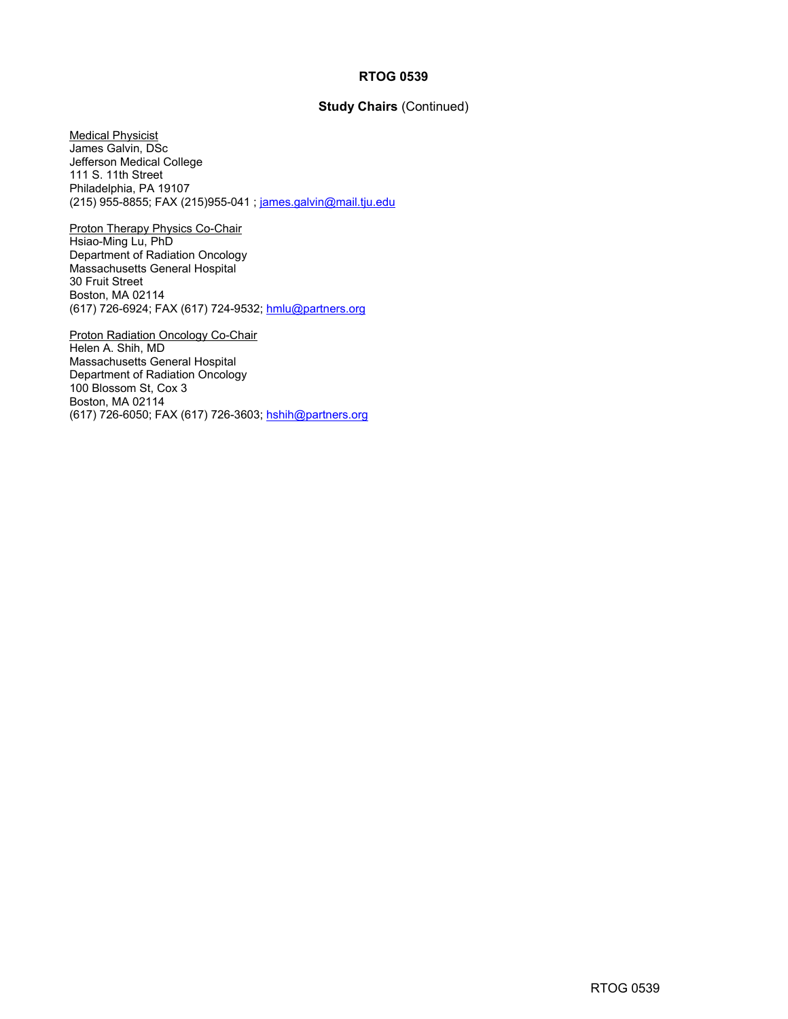#### **RTOG 0539**

### **Study Chairs** (Continued)

Medical Physicist James Galvin, DSc Jefferson Medical College 111 S. 11th Street Philadelphia, PA 19107 (215) 955-8855; FAX (215)955-041 ; james.galvin@mail.tju.edu

Proton Therapy Physics Co-Chair Hsiao-Ming Lu, PhD Department of Radiation Oncology Massachusetts General Hospital 30 Fruit Street Boston, MA 02114 (617) 726-6924; FAX (617) 724-9532; hmlu@partners.org

Proton Radiation Oncology Co-Chair Helen A. Shih, MD Massachusetts General Hospital Department of Radiation Oncology 100 Blossom St, Cox 3 Boston, MA 02114 (617) 726-6050; FAX (617) 726-3603; hshih@partners.org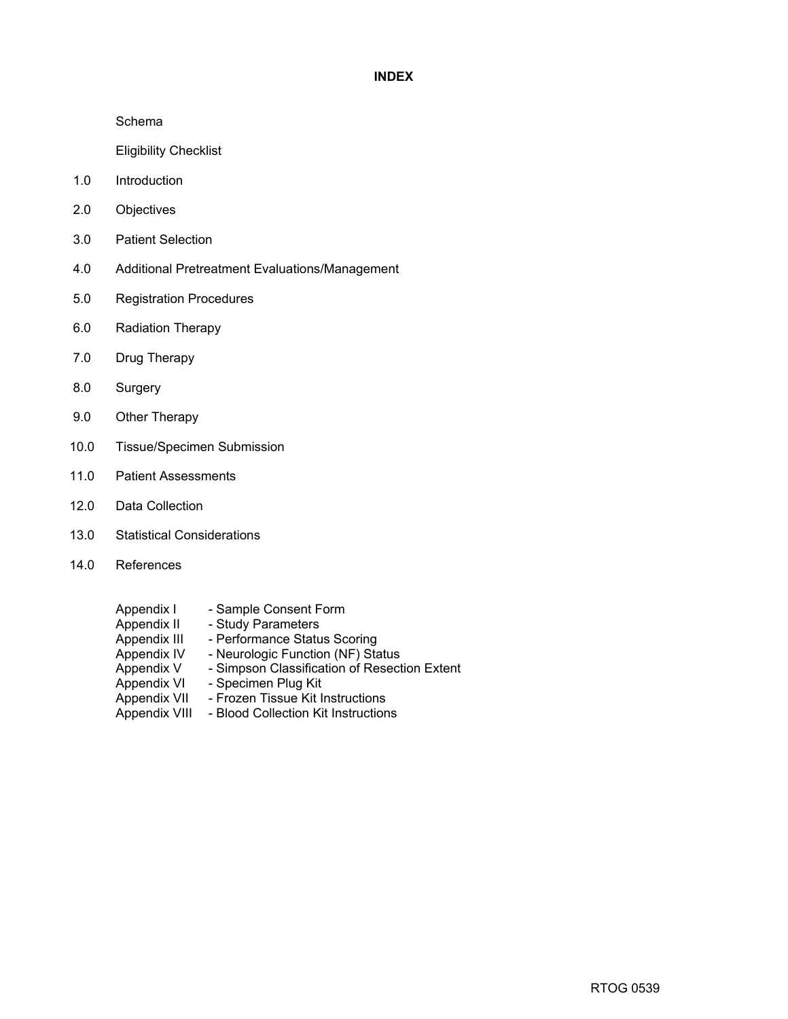### **INDEX**

Schema

Eligibility Checklist

- 1.0 Introduction
- 2.0 Objectives
- 3.0 Patient Selection
- 4.0 Additional Pretreatment Evaluations/Management
- 5.0 Registration Procedures
- 6.0 Radiation Therapy
- 7.0 Drug Therapy
- 8.0 Surgery
- 9.0 Other Therapy
- 10.0 Tissue/Specimen Submission
- 11.0 Patient Assessments
- 12.0 Data Collection
- 13.0 Statistical Considerations
- 14.0 References
	- Appendix I Sample Consent Form<br>Appendix II Study Parameters
		-
	- Appendix II Study Parameters<br>Appendix III Performance Statu
	- Appendix III Performance Status Scoring<br>Appendix IV Neurologic Function (NF) Sta - Neurologic Function (NF) Status
	- Appendix V Simpson Classification of Resection Extent<br>Appendix VI Specimen Plug Kit
	- Appendix VI Specimen Plug Kit<br>Appendix VII Frozen Tissue Kit li
		- Frozen Tissue Kit Instructions
	- Appendix VIII Blood Collection Kit Instructions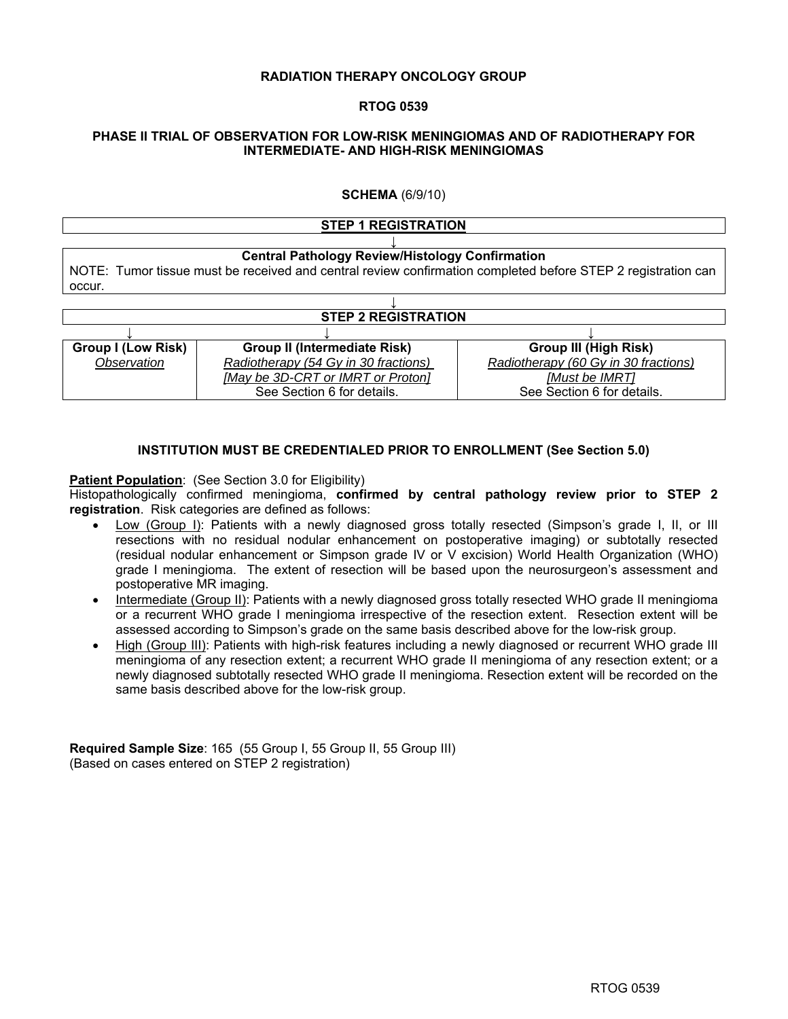#### **RADIATION THERAPY ONCOLOGY GROUP**

#### **RTOG 0539**

#### **PHASE II TRIAL OF OBSERVATION FOR LOW-RISK MENINGIOMAS AND OF RADIOTHERAPY FOR INTERMEDIATE- AND HIGH-RISK MENINGIOMAS**

### **SCHEMA** (6/9/10)

#### **STEP 1 REGISTRATION ↓ Central Pathology Review/Histology Confirmation**  NOTE: Tumor tissue must be received and central review confirmation completed before STEP 2 registration can occur.

| <b>STEP 2 REGISTRATION</b> |                                      |                                      |  |  |  |  |
|----------------------------|--------------------------------------|--------------------------------------|--|--|--|--|
|                            |                                      |                                      |  |  |  |  |
| <b>Group I (Low Risk)</b>  | <b>Group II (Intermediate Risk)</b>  | <b>Group III (High Risk)</b>         |  |  |  |  |
| Observation                | Radiotherapy (54 Gy in 30 fractions) | Radiotherapy (60 Gy in 30 fractions) |  |  |  |  |
|                            | [May be 3D-CRT or IMRT or Proton]    | [Must be IMRT]                       |  |  |  |  |
|                            | See Section 6 for details.           | See Section 6 for details.           |  |  |  |  |

### **INSTITUTION MUST BE CREDENTIALED PRIOR TO ENROLLMENT (See Section 5.0)**

#### **Patient Population:** (See Section 3.0 for Eligibility)

Histopathologically confirmed meningioma, **confirmed by central pathology review prior to STEP 2 registration**. Risk categories are defined as follows:

- Low (Group I): Patients with a newly diagnosed gross totally resected (Simpson's grade I, II, or III resections with no residual nodular enhancement on postoperative imaging) or subtotally resected (residual nodular enhancement or Simpson grade IV or V excision) World Health Organization (WHO) grade I meningioma. The extent of resection will be based upon the neurosurgeon's assessment and postoperative MR imaging.
- Intermediate (Group II): Patients with a newly diagnosed gross totally resected WHO grade II meningioma or a recurrent WHO grade I meningioma irrespective of the resection extent. Resection extent will be assessed according to Simpson's grade on the same basis described above for the low-risk group.
- High (Group III): Patients with high-risk features including a newly diagnosed or recurrent WHO grade III meningioma of any resection extent; a recurrent WHO grade II meningioma of any resection extent; or a newly diagnosed subtotally resected WHO grade II meningioma. Resection extent will be recorded on the same basis described above for the low-risk group.

**Required Sample Size**: 165 (55 Group I, 55 Group II, 55 Group III) (Based on cases entered on STEP 2 registration)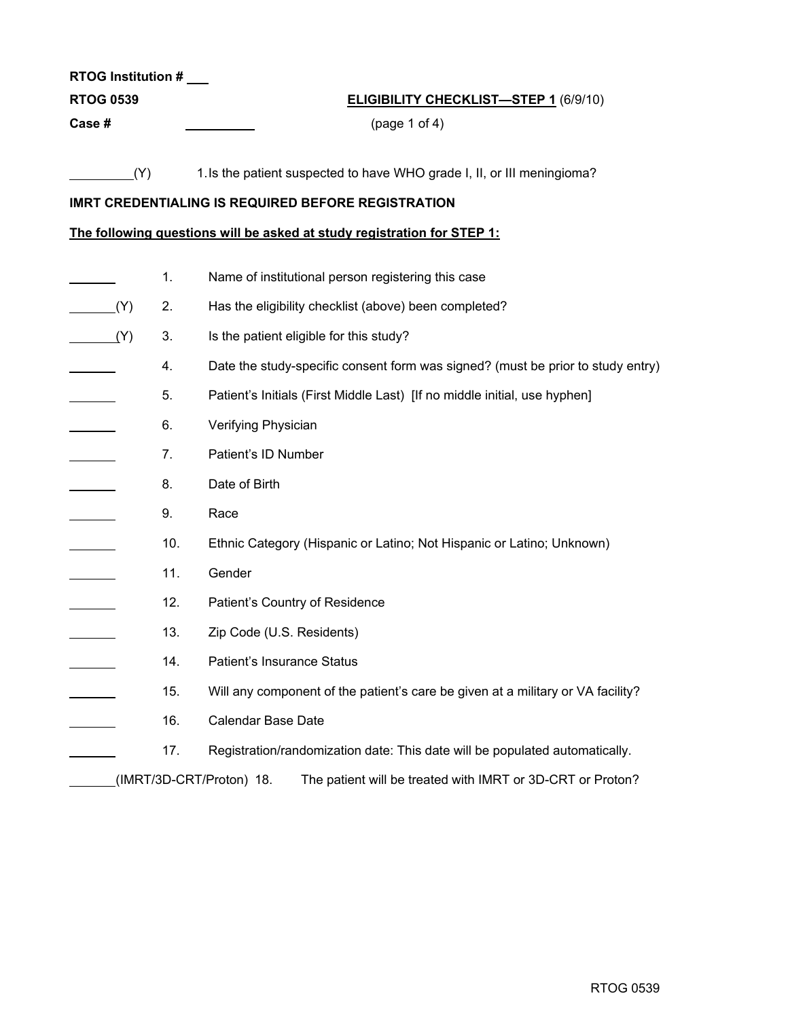| <b>RTOG Institution #</b> |                                                                                        |  |  |  |  |  |
|---------------------------|----------------------------------------------------------------------------------------|--|--|--|--|--|
| <b>RTOG 0539</b>          | <b>ELIGIBILITY CHECKLIST-STEP 1 (6/9/10)</b>                                           |  |  |  |  |  |
| Case#                     | (page 1 of 4)                                                                          |  |  |  |  |  |
|                           |                                                                                        |  |  |  |  |  |
| (Y)                       | 1. Is the patient suspected to have WHO grade I, II, or III meningioma?                |  |  |  |  |  |
|                           | <b>IMRT CREDENTIALING IS REQUIRED BEFORE REGISTRATION</b>                              |  |  |  |  |  |
|                           | The following questions will be asked at study registration for STEP 1:                |  |  |  |  |  |
| 1.                        | Name of institutional person registering this case                                     |  |  |  |  |  |
| (Y)<br>2.                 | Has the eligibility checklist (above) been completed?                                  |  |  |  |  |  |
| 3.<br>(Y)                 | Is the patient eligible for this study?                                                |  |  |  |  |  |
| 4.                        | Date the study-specific consent form was signed? (must be prior to study entry)        |  |  |  |  |  |
| 5.                        | Patient's Initials (First Middle Last) [If no middle initial, use hyphen]              |  |  |  |  |  |
| 6.                        | Verifying Physician                                                                    |  |  |  |  |  |
| 7.                        | Patient's ID Number                                                                    |  |  |  |  |  |
| 8.                        | Date of Birth                                                                          |  |  |  |  |  |
| 9.                        | Race                                                                                   |  |  |  |  |  |
|                           |                                                                                        |  |  |  |  |  |
| 10.                       | Ethnic Category (Hispanic or Latino; Not Hispanic or Latino; Unknown)                  |  |  |  |  |  |
| 11.                       | Gender                                                                                 |  |  |  |  |  |
| 12.                       | Patient's Country of Residence                                                         |  |  |  |  |  |
| 13.                       | Zip Code (U.S. Residents)                                                              |  |  |  |  |  |
| 14.                       | Patient's Insurance Status                                                             |  |  |  |  |  |
| 15.                       | Will any component of the patient's care be given at a military or VA facility?        |  |  |  |  |  |
| 16.                       | Calendar Base Date                                                                     |  |  |  |  |  |
| 17.                       | Registration/randomization date: This date will be populated automatically.            |  |  |  |  |  |
|                           | (IMRT/3D-CRT/Proton) 18.<br>The patient will be treated with IMRT or 3D-CRT or Proton? |  |  |  |  |  |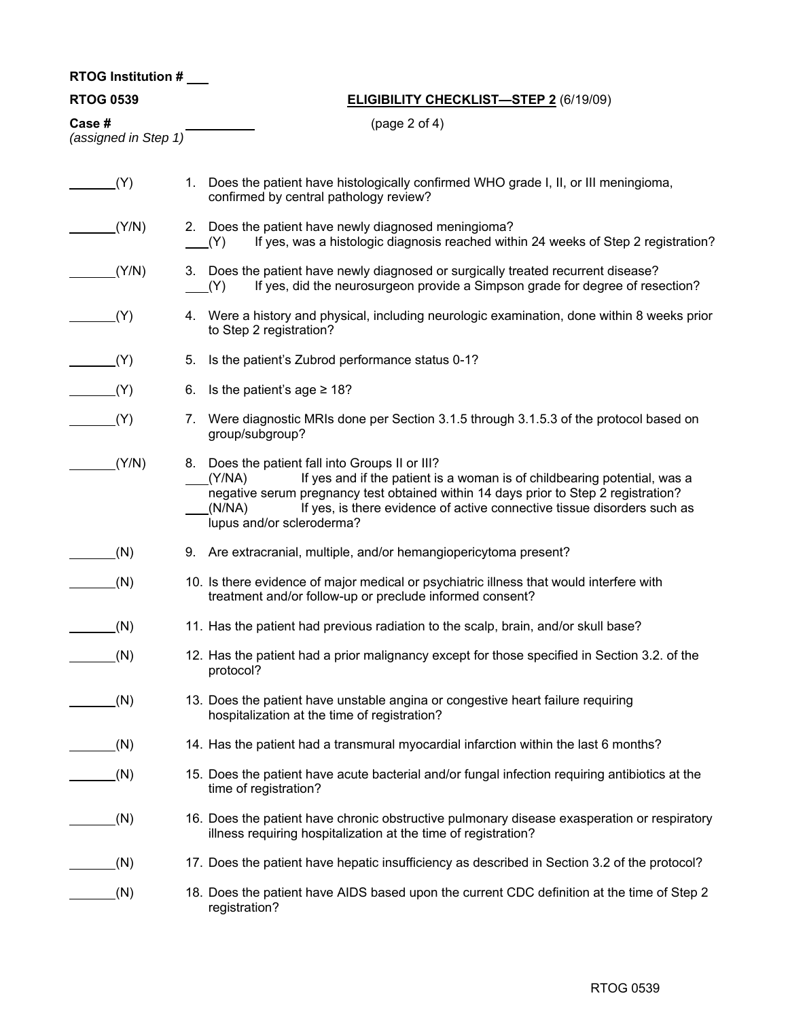# **ELIGIBILITY CHECKLIST—STEP 2** (6/19/09)

**Case #** (page 2 of 4)

| (assigned in Step 1) |  |  |
|----------------------|--|--|

| (Y)   | 1. Does the patient have histologically confirmed WHO grade I, II, or III meningioma,<br>confirmed by central pathology review?                                                                                                                                                                                                                |
|-------|------------------------------------------------------------------------------------------------------------------------------------------------------------------------------------------------------------------------------------------------------------------------------------------------------------------------------------------------|
| (Y/N) | 2. Does the patient have newly diagnosed meningioma?<br>If yes, was a histologic diagnosis reached within 24 weeks of Step 2 registration?<br>(Y)                                                                                                                                                                                              |
| (Y/N) | 3. Does the patient have newly diagnosed or surgically treated recurrent disease?<br>If yes, did the neurosurgeon provide a Simpson grade for degree of resection?<br>(Y)                                                                                                                                                                      |
| (Y)   | 4. Were a history and physical, including neurologic examination, done within 8 weeks prior<br>to Step 2 registration?                                                                                                                                                                                                                         |
| (Y)   | Is the patient's Zubrod performance status 0-1?<br>5.                                                                                                                                                                                                                                                                                          |
| (Y)   | Is the patient's age $\geq 18$ ?<br>6.                                                                                                                                                                                                                                                                                                         |
| (Y)   | 7. Were diagnostic MRIs done per Section 3.1.5 through 3.1.5.3 of the protocol based on<br>group/subgroup?                                                                                                                                                                                                                                     |
| (Y/N) | 8. Does the patient fall into Groups II or III?<br>If yes and if the patient is a woman is of childbearing potential, was a<br>(Y/NA)<br>negative serum pregnancy test obtained within 14 days prior to Step 2 registration?<br>If yes, is there evidence of active connective tissue disorders such as<br>(N/NA)<br>lupus and/or scleroderma? |
| (N)   | 9. Are extracranial, multiple, and/or hemangiopericytoma present?                                                                                                                                                                                                                                                                              |
| (N)   | 10. Is there evidence of major medical or psychiatric illness that would interfere with<br>treatment and/or follow-up or preclude informed consent?                                                                                                                                                                                            |
| (N)   | 11. Has the patient had previous radiation to the scalp, brain, and/or skull base?                                                                                                                                                                                                                                                             |
| (N)   | 12. Has the patient had a prior malignancy except for those specified in Section 3.2. of the<br>protocol?                                                                                                                                                                                                                                      |
| (N)   | 13. Does the patient have unstable angina or congestive heart failure requiring<br>hospitalization at the time of registration?                                                                                                                                                                                                                |
| (N)   | 14. Has the patient had a transmural myocardial infarction within the last 6 months?                                                                                                                                                                                                                                                           |
| (N)   | 15. Does the patient have acute bacterial and/or fungal infection requiring antibiotics at the<br>time of registration?                                                                                                                                                                                                                        |
| (N)   | 16. Does the patient have chronic obstructive pulmonary disease exasperation or respiratory<br>illness requiring hospitalization at the time of registration?                                                                                                                                                                                  |
| (N)   | 17. Does the patient have hepatic insufficiency as described in Section 3.2 of the protocol?                                                                                                                                                                                                                                                   |
| (N)   | 18. Does the patient have AIDS based upon the current CDC definition at the time of Step 2<br>registration?                                                                                                                                                                                                                                    |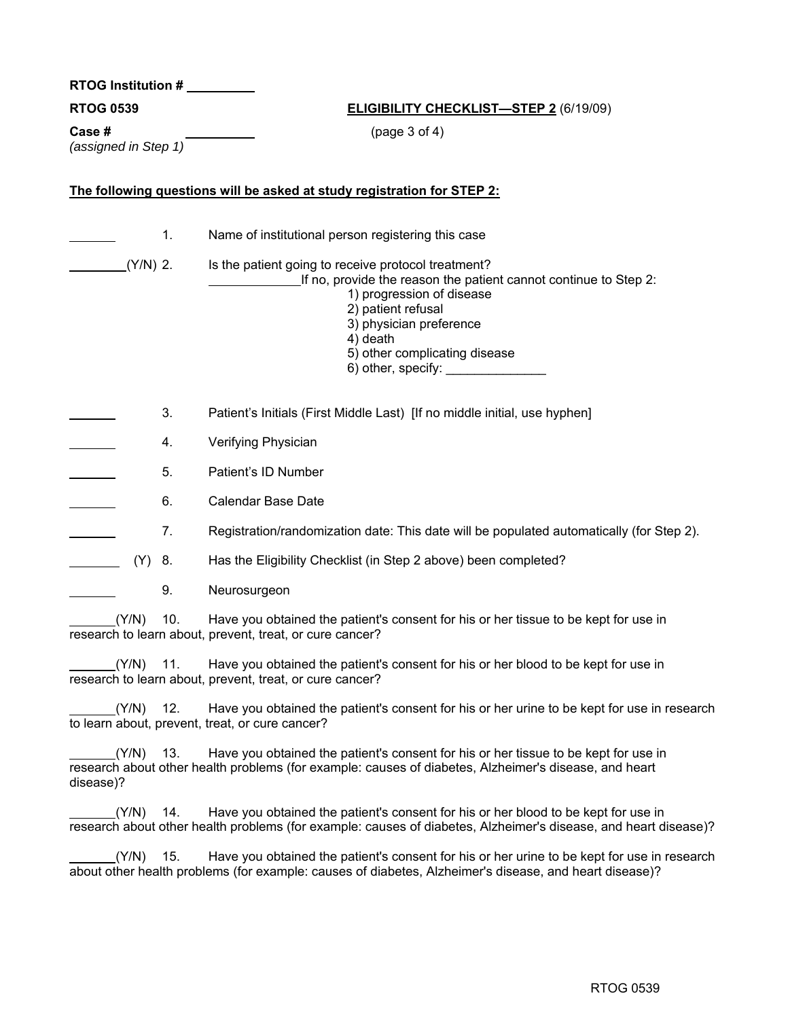**RTOG Institution #** 

### **ELIGIBILITY CHECKLIST—STEP 2 (6/19/09)**

**Case #** (page 3 of 4) *(assigned in Step 1)* 

# **The following questions will be asked at study registration for STEP 2:**

|                    | 1.  | Name of institutional person registering this case                                                                                                                                                                                                                                                                                                                                                                                                                                         |
|--------------------|-----|--------------------------------------------------------------------------------------------------------------------------------------------------------------------------------------------------------------------------------------------------------------------------------------------------------------------------------------------------------------------------------------------------------------------------------------------------------------------------------------------|
| $(Y/N)$ 2.         |     | Is the patient going to receive protocol treatment?<br>If no, provide the reason the patient cannot continue to Step 2:<br>1) progression of disease<br>2) patient refusal<br>3) physician preference<br>4) death<br>5) other complicating disease<br>6) other, specify: <b>contains the set of the set of the set of the set of the set of the set of the set of the set of the set of the set of the set of the set of the set of the set of the set of the set of the set of the se</b> |
|                    | 3.  | Patient's Initials (First Middle Last) [If no middle initial, use hyphen]                                                                                                                                                                                                                                                                                                                                                                                                                  |
|                    | 4.  | Verifying Physician                                                                                                                                                                                                                                                                                                                                                                                                                                                                        |
|                    | 5.  | Patient's ID Number                                                                                                                                                                                                                                                                                                                                                                                                                                                                        |
|                    | 6.  | <b>Calendar Base Date</b>                                                                                                                                                                                                                                                                                                                                                                                                                                                                  |
|                    | 7.  | Registration/randomization date: This date will be populated automatically (for Step 2).                                                                                                                                                                                                                                                                                                                                                                                                   |
| (Y)                | 8.  | Has the Eligibility Checklist (in Step 2 above) been completed?                                                                                                                                                                                                                                                                                                                                                                                                                            |
|                    | 9.  | Neurosurgeon                                                                                                                                                                                                                                                                                                                                                                                                                                                                               |
| (Y/N)              | 10. | Have you obtained the patient's consent for his or her tissue to be kept for use in<br>research to learn about, prevent, treat, or cure cancer?                                                                                                                                                                                                                                                                                                                                            |
| (Y/N)              | 11. | Have you obtained the patient's consent for his or her blood to be kept for use in<br>research to learn about, prevent, treat, or cure cancer?                                                                                                                                                                                                                                                                                                                                             |
| (Y/N)              | 12. | Have you obtained the patient's consent for his or her urine to be kept for use in research<br>to learn about, prevent, treat, or cure cancer?                                                                                                                                                                                                                                                                                                                                             |
| (Y/N)<br>disease)? | 13. | Have you obtained the patient's consent for his or her tissue to be kept for use in<br>research about other health problems (for example: causes of diabetes, Alzheimer's disease, and heart                                                                                                                                                                                                                                                                                               |
| (Y/N)              | 14. | Have you obtained the patient's consent for his or her blood to be kept for use in<br>research about other health problems (for example: causes of diabetes, Alzheimer's disease, and heart disease)?                                                                                                                                                                                                                                                                                      |

 $(Y/N)$  15. Have you obtained the patient's consent for his or her urine to be kept for use in research about other health problems (for example: causes of diabetes, Alzheimer's disease, and heart disease)?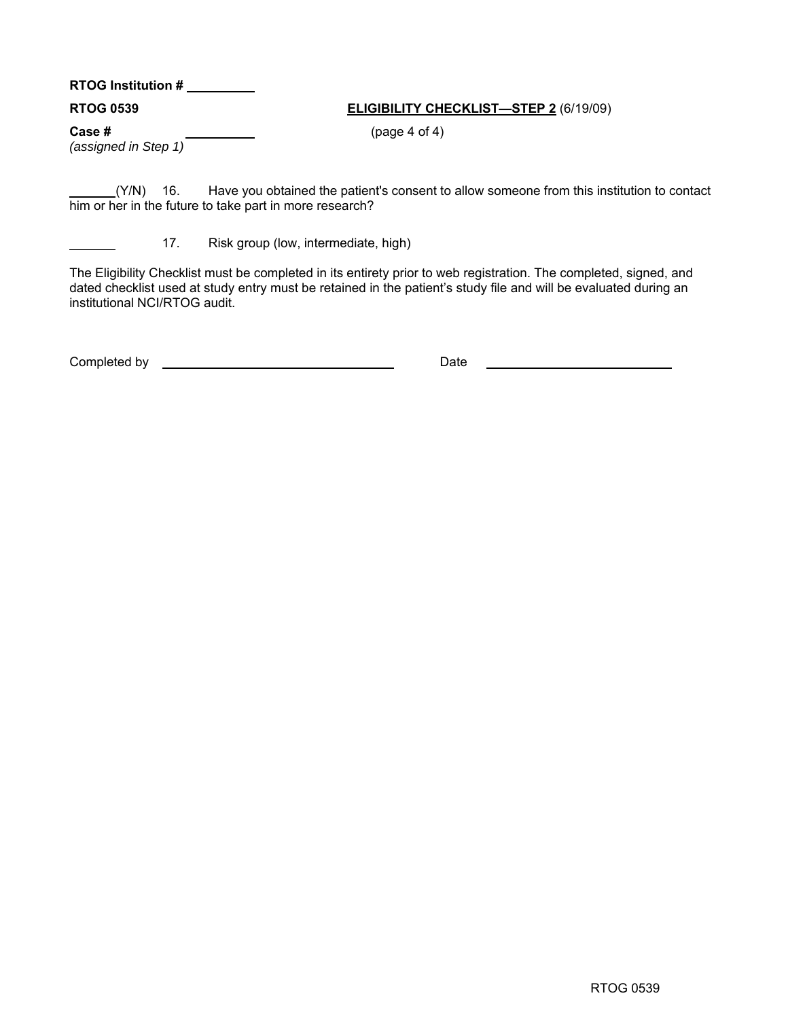# **RTOG Institution #**

# **RTOG 0539 ELIGIBILITY CHECKLIST—STEP 2** (6/19/09)

**Case #** (page 4 of 4)

*(assigned in Step 1)* 

(Y/N) 16. Have you obtained the patient's consent to allow someone from this institution to contact him or her in the future to take part in more research?

17. Risk group (low, intermediate, high)

The Eligibility Checklist must be completed in its entirety prior to web registration. The completed, signed, and dated checklist used at study entry must be retained in the patient's study file and will be evaluated during an institutional NCI/RTOG audit.

Completed by Date Date Completed by  $\Box$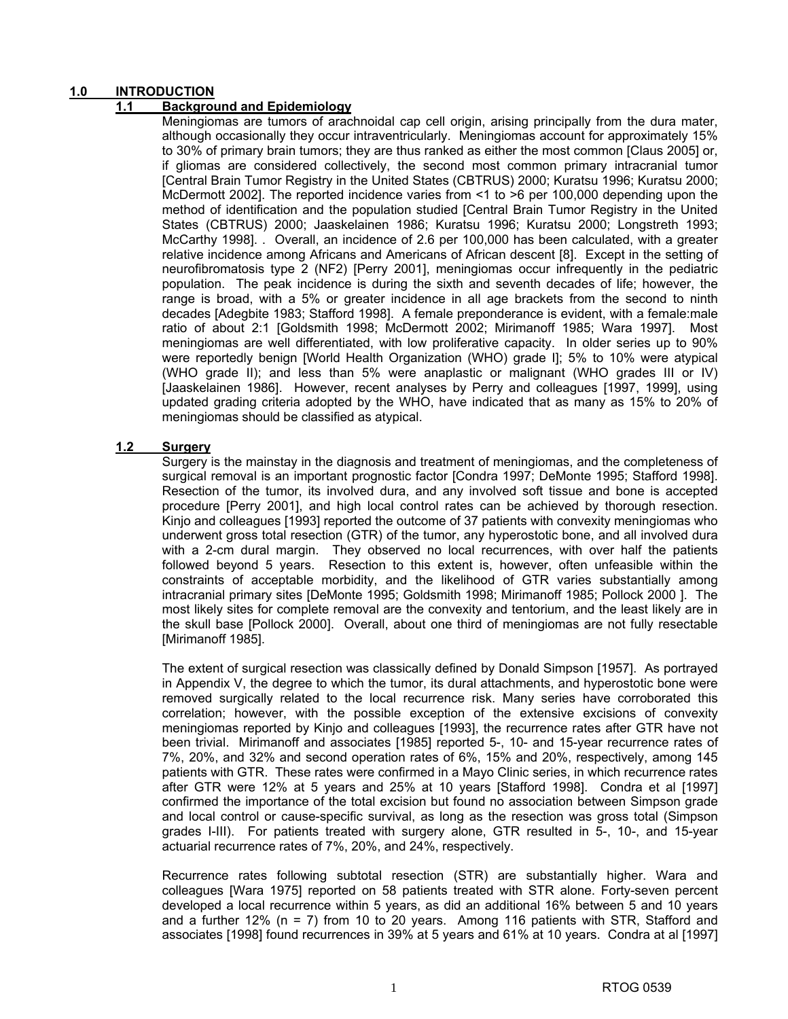# **1.0 INTRODUCTION**

# **1.1 Background and Epidemiology**

Meningiomas are tumors of arachnoidal cap cell origin, arising principally from the dura mater, although occasionally they occur intraventricularly. Meningiomas account for approximately 15% to 30% of primary brain tumors; they are thus ranked as either the most common [Claus 2005] or, if gliomas are considered collectively, the second most common primary intracranial tumor [Central Brain Tumor Registry in the United States (CBTRUS) 2000; Kuratsu 1996; Kuratsu 2000; McDermott 2002]. The reported incidence varies from <1 to >6 per 100,000 depending upon the method of identification and the population studied [Central Brain Tumor Registry in the United States (CBTRUS) 2000; Jaaskelainen 1986; Kuratsu 1996; Kuratsu 2000; Longstreth 1993; McCarthy 1998]. . Overall, an incidence of 2.6 per 100,000 has been calculated, with a greater relative incidence among Africans and Americans of African descent [8]. Except in the setting of neurofibromatosis type 2 (NF2) [Perry 2001], meningiomas occur infrequently in the pediatric population. The peak incidence is during the sixth and seventh decades of life; however, the range is broad, with a 5% or greater incidence in all age brackets from the second to ninth decades [Adegbite 1983; Stafford 1998]. A female preponderance is evident, with a female:male ratio of about 2:1 [Goldsmith 1998; McDermott 2002; Mirimanoff 1985; Wara 1997]. Most meningiomas are well differentiated, with low proliferative capacity. In older series up to 90% were reportedly benign [World Health Organization (WHO) grade I]; 5% to 10% were atypical (WHO grade II); and less than 5% were anaplastic or malignant (WHO grades III or IV) [Jaaskelainen 1986]. However, recent analyses by Perry and colleagues [1997, 1999], using updated grading criteria adopted by the WHO, have indicated that as many as 15% to 20% of meningiomas should be classified as atypical.

### **1.2 Surgery**

Surgery is the mainstay in the diagnosis and treatment of meningiomas, and the completeness of surgical removal is an important prognostic factor [Condra 1997; DeMonte 1995; Stafford 1998]. Resection of the tumor, its involved dura, and any involved soft tissue and bone is accepted procedure [Perry 2001], and high local control rates can be achieved by thorough resection. Kinjo and colleagues [1993] reported the outcome of 37 patients with convexity meningiomas who underwent gross total resection (GTR) of the tumor, any hyperostotic bone, and all involved dura with a 2-cm dural margin. They observed no local recurrences, with over half the patients followed beyond 5 years. Resection to this extent is, however, often unfeasible within the constraints of acceptable morbidity, and the likelihood of GTR varies substantially among intracranial primary sites [DeMonte 1995; Goldsmith 1998; Mirimanoff 1985; Pollock 2000 ]. The most likely sites for complete removal are the convexity and tentorium, and the least likely are in the skull base [Pollock 2000]. Overall, about one third of meningiomas are not fully resectable [Mirimanoff 1985].

The extent of surgical resection was classically defined by Donald Simpson [1957]. As portrayed in Appendix V, the degree to which the tumor, its dural attachments, and hyperostotic bone were removed surgically related to the local recurrence risk. Many series have corroborated this correlation; however, with the possible exception of the extensive excisions of convexity meningiomas reported by Kinjo and colleagues [1993], the recurrence rates after GTR have not been trivial. Mirimanoff and associates [1985] reported 5-, 10- and 15-year recurrence rates of 7%, 20%, and 32% and second operation rates of 6%, 15% and 20%, respectively, among 145 patients with GTR. These rates were confirmed in a Mayo Clinic series, in which recurrence rates after GTR were 12% at 5 years and 25% at 10 years [Stafford 1998]. Condra et al [1997] confirmed the importance of the total excision but found no association between Simpson grade and local control or cause-specific survival, as long as the resection was gross total (Simpson grades I-III). For patients treated with surgery alone, GTR resulted in 5-, 10-, and 15-year actuarial recurrence rates of 7%, 20%, and 24%, respectively.

Recurrence rates following subtotal resection (STR) are substantially higher. Wara and colleagues [Wara 1975] reported on 58 patients treated with STR alone. Forty-seven percent developed a local recurrence within 5 years, as did an additional 16% between 5 and 10 years and a further 12% ( $n = 7$ ) from 10 to 20 years. Among 116 patients with STR, Stafford and associates [1998] found recurrences in 39% at 5 years and 61% at 10 years. Condra at al [1997]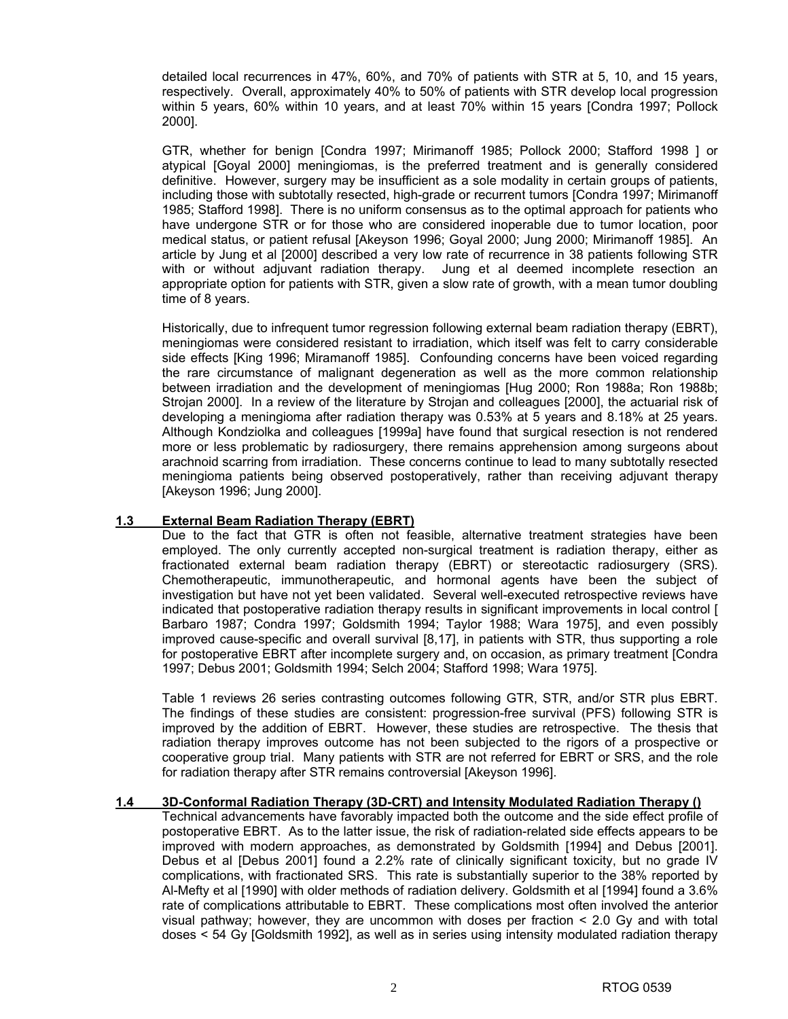detailed local recurrences in 47%, 60%, and 70% of patients with STR at 5, 10, and 15 years, respectively. Overall, approximately 40% to 50% of patients with STR develop local progression within 5 years, 60% within 10 years, and at least 70% within 15 years [Condra 1997; Pollock 2000].

GTR, whether for benign [Condra 1997; Mirimanoff 1985; Pollock 2000; Stafford 1998 ] or atypical [Goyal 2000] meningiomas, is the preferred treatment and is generally considered definitive. However, surgery may be insufficient as a sole modality in certain groups of patients, including those with subtotally resected, high-grade or recurrent tumors [Condra 1997; Mirimanoff 1985; Stafford 1998]. There is no uniform consensus as to the optimal approach for patients who have undergone STR or for those who are considered inoperable due to tumor location, poor medical status, or patient refusal [Akeyson 1996; Goyal 2000; Jung 2000; Mirimanoff 1985]. An article by Jung et al [2000] described a very low rate of recurrence in 38 patients following STR with or without adjuvant radiation therapy. Jung et al deemed incomplete resection an appropriate option for patients with STR, given a slow rate of growth, with a mean tumor doubling time of 8 years.

Historically, due to infrequent tumor regression following external beam radiation therapy (EBRT), meningiomas were considered resistant to irradiation, which itself was felt to carry considerable side effects [King 1996; Miramanoff 1985]. Confounding concerns have been voiced regarding the rare circumstance of malignant degeneration as well as the more common relationship between irradiation and the development of meningiomas [Hug 2000; Ron 1988a; Ron 1988b; Strojan 2000]. In a review of the literature by Strojan and colleagues [2000], the actuarial risk of developing a meningioma after radiation therapy was 0.53% at 5 years and 8.18% at 25 years. Although Kondziolka and colleagues [1999a] have found that surgical resection is not rendered more or less problematic by radiosurgery, there remains apprehension among surgeons about arachnoid scarring from irradiation. These concerns continue to lead to many subtotally resected meningioma patients being observed postoperatively, rather than receiving adjuvant therapy [Akeyson 1996; Jung 2000].

# **1.3 External Beam Radiation Therapy (EBRT)**

Due to the fact that GTR is often not feasible, alternative treatment strategies have been employed. The only currently accepted non-surgical treatment is radiation therapy, either as fractionated external beam radiation therapy (EBRT) or stereotactic radiosurgery (SRS). Chemotherapeutic, immunotherapeutic, and hormonal agents have been the subject of investigation but have not yet been validated. Several well-executed retrospective reviews have indicated that postoperative radiation therapy results in significant improvements in local control [ Barbaro 1987; Condra 1997; Goldsmith 1994; Taylor 1988; Wara 1975], and even possibly improved cause-specific and overall survival [8,17], in patients with STR, thus supporting a role for postoperative EBRT after incomplete surgery and, on occasion, as primary treatment [Condra 1997; Debus 2001; Goldsmith 1994; Selch 2004; Stafford 1998; Wara 1975].

Table 1 reviews 26 series contrasting outcomes following GTR, STR, and/or STR plus EBRT. The findings of these studies are consistent: progression-free survival (PFS) following STR is improved by the addition of EBRT. However, these studies are retrospective. The thesis that radiation therapy improves outcome has not been subjected to the rigors of a prospective or cooperative group trial. Many patients with STR are not referred for EBRT or SRS, and the role for radiation therapy after STR remains controversial [Akeyson 1996].

#### **1.4 3D-Conformal Radiation Therapy (3D-CRT) and Intensity Modulated Radiation Therapy ()**

Technical advancements have favorably impacted both the outcome and the side effect profile of postoperative EBRT. As to the latter issue, the risk of radiation-related side effects appears to be improved with modern approaches, as demonstrated by Goldsmith [1994] and Debus [2001]. Debus et al [Debus 2001] found a 2.2% rate of clinically significant toxicity, but no grade IV complications, with fractionated SRS. This rate is substantially superior to the 38% reported by Al-Mefty et al [1990] with older methods of radiation delivery. Goldsmith et al [1994] found a 3.6% rate of complications attributable to EBRT. These complications most often involved the anterior visual pathway; however, they are uncommon with doses per fraction < 2.0 Gy and with total doses < 54 Gy [Goldsmith 1992], as well as in series using intensity modulated radiation therapy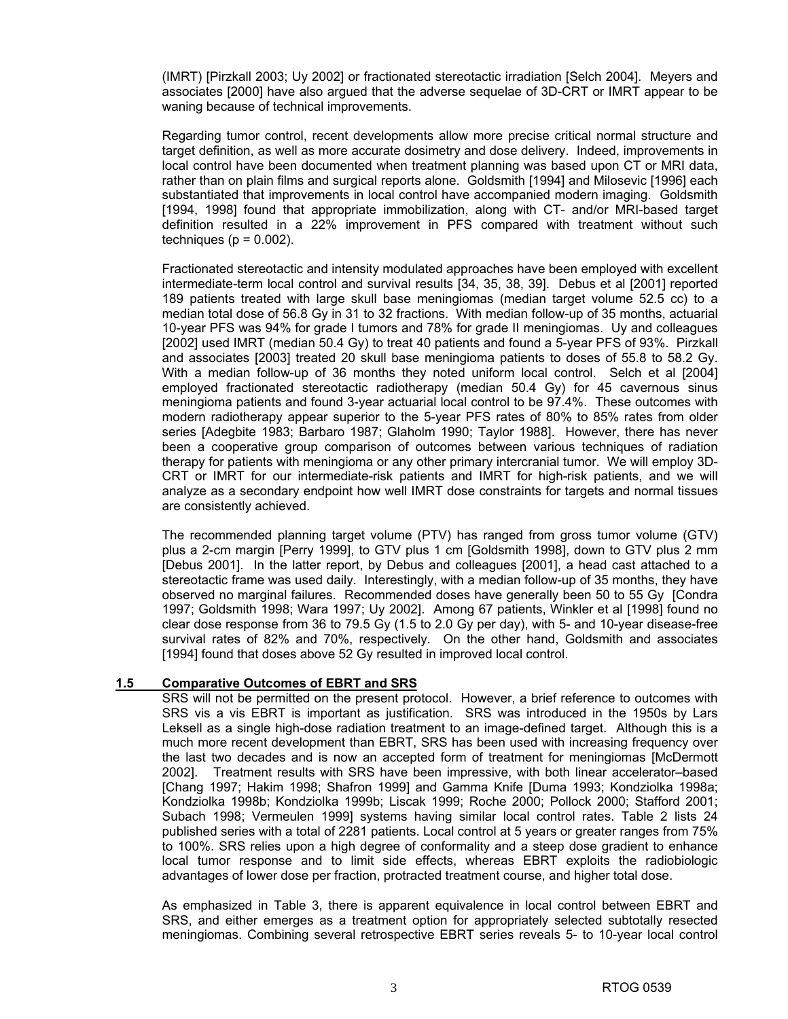(IMRT) [Pirzkall 2003; Uy 2002] or fractionated stereotactic irradiation [Selch 2004]. Meyers and associates [2000] have also argued that the adverse sequelae of 3D-CRT or IMRT appear to be waning because of technical improvements.

Regarding tumor control, recent developments allow more precise critical normal structure and target definition, as well as more accurate dosimetry and dose delivery. Indeed, improvements in local control have been documented when treatment planning was based upon CT or MRI data, rather than on plain films and surgical reports alone. Goldsmith [1994] and Milosevic [1996] each substantiated that improvements in local control have accompanied modern imaging. Goldsmith [1994, 1998] found that appropriate immobilization, along with CT- and/or MRI-based target definition resulted in a 22% improvement in PFS compared with treatment without such techniques ( $p = 0.002$ ).

Fractionated stereotactic and intensity modulated approaches have been employed with excellent intermediate-term local control and survival results [34, 35, 38, 39]. Debus et al [2001] reported 189 patients treated with large skull base meningiomas (median target volume 52.5 cc) to a median total dose of 56.8 Gy in 31 to 32 fractions. With median follow-up of 35 months, actuarial 10-year PFS was 94% for grade I tumors and 78% for grade II meningiomas. Uy and colleagues [2002] used IMRT (median 50.4 Gy) to treat 40 patients and found a 5-year PFS of 93%. Pirzkall and associates [2003] treated 20 skull base meningioma patients to doses of 55.8 to 58.2 Gy. With a median follow-up of 36 months they noted uniform local control. Selch et al [2004] employed fractionated stereotactic radiotherapy (median 50.4 Gy) for 45 cavernous sinus meningioma patients and found 3-year actuarial local control to be 97.4%. These outcomes with modern radiotherapy appear superior to the 5-year PFS rates of 80% to 85% rates from older series [Adegbite 1983; Barbaro 1987; Glaholm 1990; Taylor 1988]. However, there has never been a cooperative group comparison of outcomes between various techniques of radiation therapy for patients with meningioma or any other primary intercranial tumor. We will employ 3D-CRT or IMRT for our intermediate-risk patients and IMRT for high-risk patients, and we will analyze as a secondary endpoint how well IMRT dose constraints for targets and normal tissues are consistently achieved.

The recommended planning target volume (PTV) has ranged from gross tumor volume (GTV) plus a 2-cm margin [Perry 1999], to GTV plus 1 cm [Goldsmith 1998], down to GTV plus 2 mm [Debus 2001]. In the latter report, by Debus and colleagues [2001], a head cast attached to a stereotactic frame was used daily. Interestingly, with a median follow-up of 35 months, they have observed no marginal failures. Recommended doses have generally been 50 to 55 Gy [Condra 1997; Goldsmith 1998; Wara 1997; Uy 2002]. Among 67 patients, Winkler et al [1998] found no clear dose response from 36 to 79.5 Gy (1.5 to 2.0 Gy per day), with 5- and 10-year disease-free survival rates of 82% and 70%, respectively. On the other hand, Goldsmith and associates [1994] found that doses above 52 Gy resulted in improved local control.

# **1.5 Comparative Outcomes of EBRT and SRS**

SRS will not be permitted on the present protocol. However, a brief reference to outcomes with SRS vis a vis EBRT is important as justification. SRS was introduced in the 1950s by Lars Leksell as a single high-dose radiation treatment to an image-defined target. Although this is a much more recent development than EBRT, SRS has been used with increasing frequency over the last two decades and is now an accepted form of treatment for meningiomas [McDermott 2002]. Treatment results with SRS have been impressive, with both linear accelerator–based [Chang 1997; Hakim 1998; Shafron 1999] and Gamma Knife [Duma 1993; Kondziolka 1998a; Kondziolka 1998b; Kondziolka 1999b; Liscak 1999; Roche 2000; Pollock 2000; Stafford 2001; Subach 1998; Vermeulen 1999] systems having similar local control rates. Table 2 lists 24 published series with a total of 2281 patients. Local control at 5 years or greater ranges from 75% to 100%. SRS relies upon a high degree of conformality and a steep dose gradient to enhance local tumor response and to limit side effects, whereas EBRT exploits the radiobiologic advantages of lower dose per fraction, protracted treatment course, and higher total dose.

As emphasized in Table 3, there is apparent equivalence in local control between EBRT and SRS, and either emerges as a treatment option for appropriately selected subtotally resected meningiomas. Combining several retrospective EBRT series reveals 5- to 10-year local control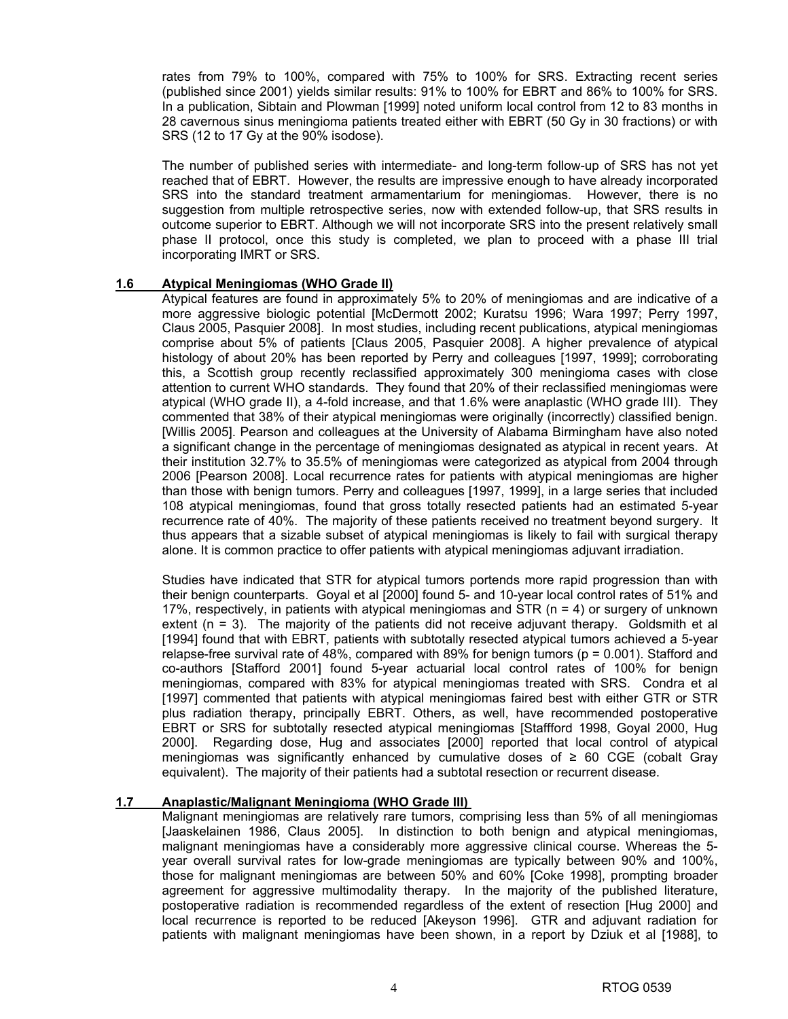rates from 79% to 100%, compared with 75% to 100% for SRS. Extracting recent series (published since 2001) yields similar results: 91% to 100% for EBRT and 86% to 100% for SRS. In a publication, Sibtain and Plowman [1999] noted uniform local control from 12 to 83 months in 28 cavernous sinus meningioma patients treated either with EBRT (50 Gy in 30 fractions) or with SRS (12 to 17 Gy at the 90% isodose).

The number of published series with intermediate- and long-term follow-up of SRS has not yet reached that of EBRT. However, the results are impressive enough to have already incorporated SRS into the standard treatment armamentarium for meningiomas. However, there is no suggestion from multiple retrospective series, now with extended follow-up, that SRS results in outcome superior to EBRT. Although we will not incorporate SRS into the present relatively small phase II protocol, once this study is completed, we plan to proceed with a phase III trial incorporating IMRT or SRS.

#### **1.6 Atypical Meningiomas (WHO Grade II)**

Atypical features are found in approximately 5% to 20% of meningiomas and are indicative of a more aggressive biologic potential [McDermott 2002; Kuratsu 1996; Wara 1997; Perry 1997, Claus 2005, Pasquier 2008]. In most studies, including recent publications, atypical meningiomas comprise about 5% of patients [Claus 2005, Pasquier 2008]. A higher prevalence of atypical histology of about 20% has been reported by Perry and colleagues [1997, 1999]; corroborating this, a Scottish group recently reclassified approximately 300 meningioma cases with close attention to current WHO standards. They found that 20% of their reclassified meningiomas were atypical (WHO grade II), a 4-fold increase, and that 1.6% were anaplastic (WHO grade III). They commented that 38% of their atypical meningiomas were originally (incorrectly) classified benign. [Willis 2005]. Pearson and colleagues at the University of Alabama Birmingham have also noted a significant change in the percentage of meningiomas designated as atypical in recent years. At their institution 32.7% to 35.5% of meningiomas were categorized as atypical from 2004 through 2006 [Pearson 2008]. Local recurrence rates for patients with atypical meningiomas are higher than those with benign tumors. Perry and colleagues [1997, 1999], in a large series that included 108 atypical meningiomas, found that gross totally resected patients had an estimated 5-year recurrence rate of 40%. The majority of these patients received no treatment beyond surgery. It thus appears that a sizable subset of atypical meningiomas is likely to fail with surgical therapy alone. It is common practice to offer patients with atypical meningiomas adjuvant irradiation.

Studies have indicated that STR for atypical tumors portends more rapid progression than with their benign counterparts. Goyal et al [2000] found 5- and 10-year local control rates of 51% and 17%, respectively, in patients with atypical meningiomas and STR  $(n = 4)$  or surgery of unknown extent (n = 3). The majority of the patients did not receive adjuvant therapy. Goldsmith et al [1994] found that with EBRT, patients with subtotally resected atypical tumors achieved a 5-year relapse-free survival rate of 48%, compared with 89% for benign tumors (p = 0.001). Stafford and co-authors [Stafford 2001] found 5-year actuarial local control rates of 100% for benign meningiomas, compared with 83% for atypical meningiomas treated with SRS. Condra et al [1997] commented that patients with atypical meningiomas faired best with either GTR or STR plus radiation therapy, principally EBRT. Others, as well, have recommended postoperative EBRT or SRS for subtotally resected atypical meningiomas [Staffford 1998, Goyal 2000, Hug 2000]. Regarding dose, Hug and associates [2000] reported that local control of atypical meningiomas was significantly enhanced by cumulative doses of  $\geq 60$  CGE (cobalt Gray equivalent). The majority of their patients had a subtotal resection or recurrent disease.

#### **1.7 Anaplastic/Malignant Meningioma (WHO Grade III)**

Malignant meningiomas are relatively rare tumors, comprising less than 5% of all meningiomas [Jaaskelainen 1986, Claus 2005]. In distinction to both benign and atypical meningiomas, malignant meningiomas have a considerably more aggressive clinical course. Whereas the 5 year overall survival rates for low-grade meningiomas are typically between 90% and 100%, those for malignant meningiomas are between 50% and 60% [Coke 1998], prompting broader agreement for aggressive multimodality therapy. In the majority of the published literature, postoperative radiation is recommended regardless of the extent of resection [Hug 2000] and local recurrence is reported to be reduced [Akeyson 1996]. GTR and adjuvant radiation for patients with malignant meningiomas have been shown, in a report by Dziuk et al [1988], to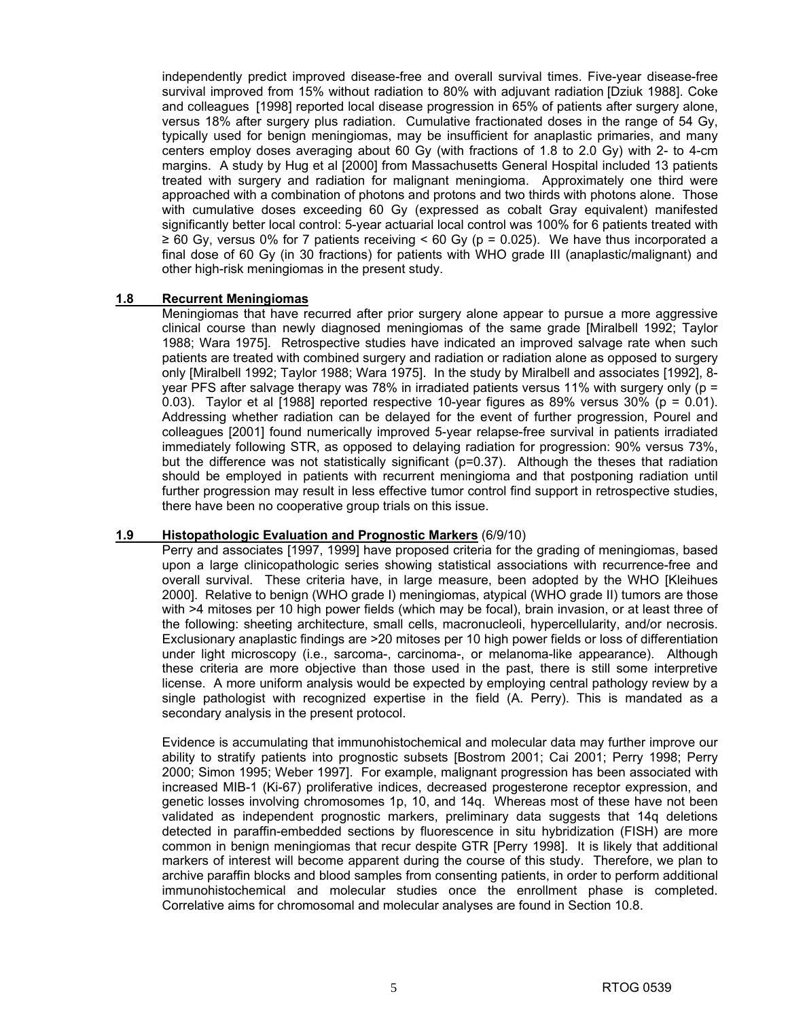independently predict improved disease-free and overall survival times. Five-year disease-free survival improved from 15% without radiation to 80% with adjuvant radiation [Dziuk 1988]. Coke and colleagues [1998] reported local disease progression in 65% of patients after surgery alone, versus 18% after surgery plus radiation. Cumulative fractionated doses in the range of 54 Gy, typically used for benign meningiomas, may be insufficient for anaplastic primaries, and many centers employ doses averaging about 60 Gy (with fractions of 1.8 to 2.0 Gy) with 2- to 4-cm margins. A study by Hug et al [2000] from Massachusetts General Hospital included 13 patients treated with surgery and radiation for malignant meningioma. Approximately one third were approached with a combination of photons and protons and two thirds with photons alone. Those with cumulative doses exceeding 60 Gy (expressed as cobalt Gray equivalent) manifested significantly better local control: 5-year actuarial local control was 100% for 6 patients treated with  $\geq$  60 Gy, versus 0% for 7 patients receiving < 60 Gy (p = 0.025). We have thus incorporated a final dose of 60 Gy (in 30 fractions) for patients with WHO grade III (anaplastic/malignant) and other high-risk meningiomas in the present study.

### **1.8 Recurrent Meningiomas**

Meningiomas that have recurred after prior surgery alone appear to pursue a more aggressive clinical course than newly diagnosed meningiomas of the same grade [Miralbell 1992; Taylor 1988; Wara 1975]. Retrospective studies have indicated an improved salvage rate when such patients are treated with combined surgery and radiation or radiation alone as opposed to surgery only [Miralbell 1992; Taylor 1988; Wara 1975]. In the study by Miralbell and associates [1992], 8 year PFS after salvage therapy was 78% in irradiated patients versus 11% with surgery only (p = 0.03). Taylor et al  $[1988]$  reported respective 10-year figures as 89% versus 30% ( $p = 0.01$ ). Addressing whether radiation can be delayed for the event of further progression, Pourel and colleagues [2001] found numerically improved 5-year relapse-free survival in patients irradiated immediately following STR, as opposed to delaying radiation for progression: 90% versus 73%, but the difference was not statistically significant ( $p=0.37$ ). Although the theses that radiation should be employed in patients with recurrent meningioma and that postponing radiation until further progression may result in less effective tumor control find support in retrospective studies, there have been no cooperative group trials on this issue.

#### **1.9 Histopathologic Evaluation and Prognostic Markers** (6/9/10)

Perry and associates [1997, 1999] have proposed criteria for the grading of meningiomas, based upon a large clinicopathologic series showing statistical associations with recurrence-free and overall survival. These criteria have, in large measure, been adopted by the WHO [Kleihues 2000]. Relative to benign (WHO grade I) meningiomas, atypical (WHO grade II) tumors are those with >4 mitoses per 10 high power fields (which may be focal), brain invasion, or at least three of the following: sheeting architecture, small cells, macronucleoli, hypercellularity, and/or necrosis. Exclusionary anaplastic findings are >20 mitoses per 10 high power fields or loss of differentiation under light microscopy (i.e., sarcoma-, carcinoma-, or melanoma-like appearance). Although these criteria are more objective than those used in the past, there is still some interpretive license. A more uniform analysis would be expected by employing central pathology review by a single pathologist with recognized expertise in the field (A. Perry). This is mandated as a secondary analysis in the present protocol.

Evidence is accumulating that immunohistochemical and molecular data may further improve our ability to stratify patients into prognostic subsets [Bostrom 2001; Cai 2001; Perry 1998; Perry 2000; Simon 1995; Weber 1997]. For example, malignant progression has been associated with increased MIB-1 (Ki-67) proliferative indices, decreased progesterone receptor expression, and genetic losses involving chromosomes 1p, 10, and 14q. Whereas most of these have not been validated as independent prognostic markers, preliminary data suggests that 14q deletions detected in paraffin-embedded sections by fluorescence in situ hybridization (FISH) are more common in benign meningiomas that recur despite GTR [Perry 1998]. It is likely that additional markers of interest will become apparent during the course of this study. Therefore, we plan to archive paraffin blocks and blood samples from consenting patients, in order to perform additional immunohistochemical and molecular studies once the enrollment phase is completed. Correlative aims for chromosomal and molecular analyses are found in Section 10.8.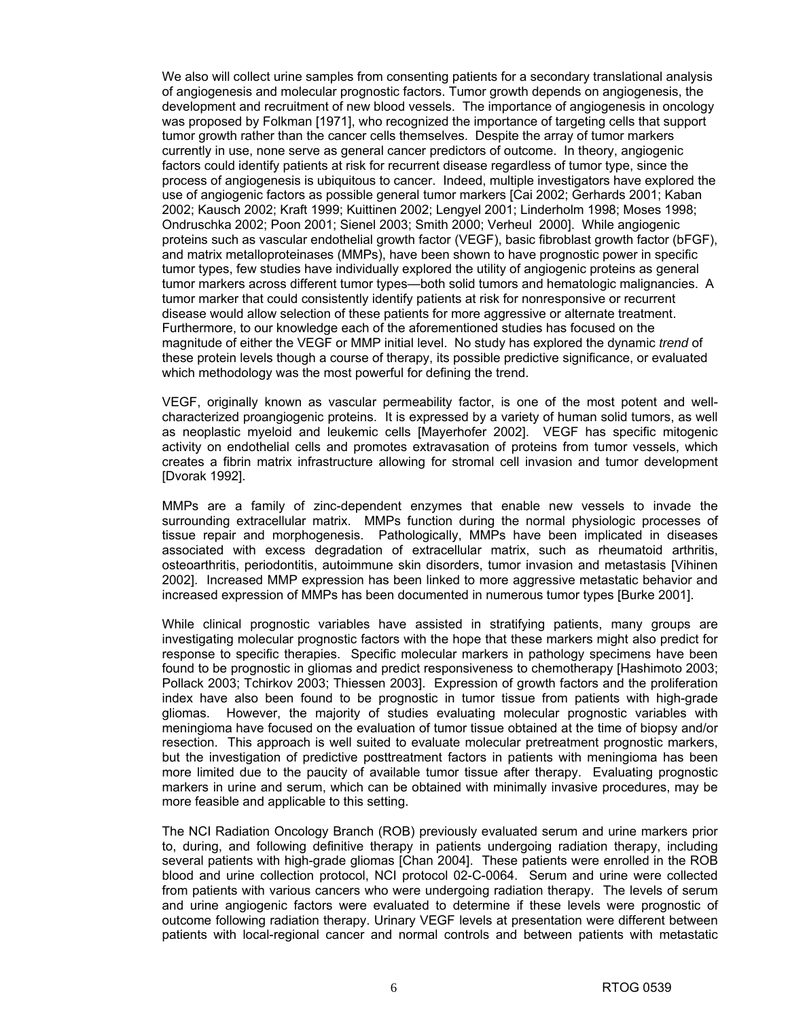We also will collect urine samples from consenting patients for a secondary translational analysis of angiogenesis and molecular prognostic factors. Tumor growth depends on angiogenesis, the development and recruitment of new blood vessels. The importance of angiogenesis in oncology was proposed by Folkman [1971], who recognized the importance of targeting cells that support tumor growth rather than the cancer cells themselves. Despite the array of tumor markers currently in use, none serve as general cancer predictors of outcome. In theory, angiogenic factors could identify patients at risk for recurrent disease regardless of tumor type, since the process of angiogenesis is ubiquitous to cancer. Indeed, multiple investigators have explored the use of angiogenic factors as possible general tumor markers [Cai 2002; Gerhards 2001; Kaban 2002; Kausch 2002; Kraft 1999; Kuittinen 2002; Lengyel 2001; Linderholm 1998; Moses 1998; Ondruschka 2002; Poon 2001; Sienel 2003; Smith 2000; Verheul 2000]. While angiogenic proteins such as vascular endothelial growth factor (VEGF), basic fibroblast growth factor (bFGF), and matrix metalloproteinases (MMPs), have been shown to have prognostic power in specific tumor types, few studies have individually explored the utility of angiogenic proteins as general tumor markers across different tumor types—both solid tumors and hematologic malignancies. A tumor marker that could consistently identify patients at risk for nonresponsive or recurrent disease would allow selection of these patients for more aggressive or alternate treatment. Furthermore, to our knowledge each of the aforementioned studies has focused on the magnitude of either the VEGF or MMP initial level. No study has explored the dynamic *trend* of these protein levels though a course of therapy, its possible predictive significance, or evaluated which methodology was the most powerful for defining the trend.

VEGF, originally known as vascular permeability factor, is one of the most potent and wellcharacterized proangiogenic proteins. It is expressed by a variety of human solid tumors, as well as neoplastic myeloid and leukemic cells [Mayerhofer 2002]. VEGF has specific mitogenic activity on endothelial cells and promotes extravasation of proteins from tumor vessels, which creates a fibrin matrix infrastructure allowing for stromal cell invasion and tumor development [Dvorak 1992].

MMPs are a family of zinc-dependent enzymes that enable new vessels to invade the surrounding extracellular matrix. MMPs function during the normal physiologic processes of tissue repair and morphogenesis. Pathologically, MMPs have been implicated in diseases associated with excess degradation of extracellular matrix, such as rheumatoid arthritis, osteoarthritis, periodontitis, autoimmune skin disorders, tumor invasion and metastasis [Vihinen 2002]. Increased MMP expression has been linked to more aggressive metastatic behavior and increased expression of MMPs has been documented in numerous tumor types [Burke 2001].

While clinical prognostic variables have assisted in stratifying patients, many groups are investigating molecular prognostic factors with the hope that these markers might also predict for response to specific therapies. Specific molecular markers in pathology specimens have been found to be prognostic in gliomas and predict responsiveness to chemotherapy [Hashimoto 2003; Pollack 2003; Tchirkov 2003; Thiessen 2003]. Expression of growth factors and the proliferation index have also been found to be prognostic in tumor tissue from patients with high-grade gliomas. However, the majority of studies evaluating molecular prognostic variables with meningioma have focused on the evaluation of tumor tissue obtained at the time of biopsy and/or resection. This approach is well suited to evaluate molecular pretreatment prognostic markers, but the investigation of predictive posttreatment factors in patients with meningioma has been more limited due to the paucity of available tumor tissue after therapy. Evaluating prognostic markers in urine and serum, which can be obtained with minimally invasive procedures, may be more feasible and applicable to this setting.

The NCI Radiation Oncology Branch (ROB) previously evaluated serum and urine markers prior to, during, and following definitive therapy in patients undergoing radiation therapy, including several patients with high-grade gliomas [Chan 2004]. These patients were enrolled in the ROB blood and urine collection protocol, NCI protocol 02-C-0064. Serum and urine were collected from patients with various cancers who were undergoing radiation therapy. The levels of serum and urine angiogenic factors were evaluated to determine if these levels were prognostic of outcome following radiation therapy. Urinary VEGF levels at presentation were different between patients with local-regional cancer and normal controls and between patients with metastatic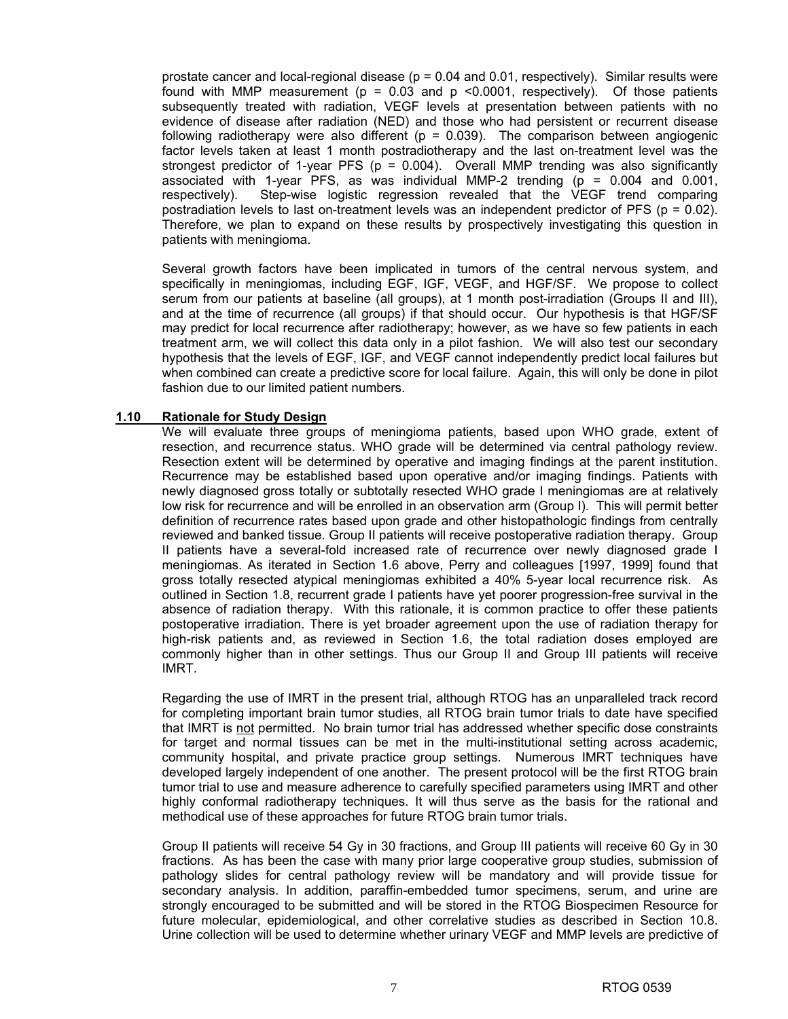prostate cancer and local-regional disease ( $p = 0.04$  and 0.01, respectively). Similar results were found with MMP measurement ( $p = 0.03$  and  $p \le 0.0001$ , respectively). Of those patients subsequently treated with radiation, VEGF levels at presentation between patients with no evidence of disease after radiation (NED) and those who had persistent or recurrent disease following radiotherapy were also different ( $p = 0.039$ ). The comparison between angiogenic factor levels taken at least 1 month postradiotherapy and the last on-treatment level was the strongest predictor of 1-year PFS ( $p = 0.004$ ). Overall MMP trending was also significantly associated with 1-year PFS, as was individual MMP-2 trending  $(p = 0.004$  and 0.001, respectively). Step-wise logistic regression revealed that the VEGF trend comparing postradiation levels to last on-treatment levels was an independent predictor of PFS (p = 0.02). Therefore, we plan to expand on these results by prospectively investigating this question in patients with meningioma.

Several growth factors have been implicated in tumors of the central nervous system, and specifically in meningiomas, including EGF, IGF, VEGF, and HGF/SF. We propose to collect serum from our patients at baseline (all groups), at 1 month post-irradiation (Groups II and III), and at the time of recurrence (all groups) if that should occur. Our hypothesis is that HGF/SF may predict for local recurrence after radiotherapy; however, as we have so few patients in each treatment arm, we will collect this data only in a pilot fashion. We will also test our secondary hypothesis that the levels of EGF, IGF, and VEGF cannot independently predict local failures but when combined can create a predictive score for local failure. Again, this will only be done in pilot fashion due to our limited patient numbers.

### **1.10 Rationale for Study Design**

We will evaluate three groups of meningioma patients, based upon WHO grade, extent of resection, and recurrence status. WHO grade will be determined via central pathology review. Resection extent will be determined by operative and imaging findings at the parent institution. Recurrence may be established based upon operative and/or imaging findings. Patients with newly diagnosed gross totally or subtotally resected WHO grade I meningiomas are at relatively low risk for recurrence and will be enrolled in an observation arm (Group I). This will permit better definition of recurrence rates based upon grade and other histopathologic findings from centrally reviewed and banked tissue. Group II patients will receive postoperative radiation therapy. Group II patients have a several-fold increased rate of recurrence over newly diagnosed grade I meningiomas. As iterated in Section 1.6 above, Perry and colleagues [1997, 1999] found that gross totally resected atypical meningiomas exhibited a 40% 5-year local recurrence risk. As outlined in Section 1.8, recurrent grade I patients have yet poorer progression-free survival in the absence of radiation therapy. With this rationale, it is common practice to offer these patients postoperative irradiation. There is yet broader agreement upon the use of radiation therapy for high-risk patients and, as reviewed in Section 1.6, the total radiation doses employed are commonly higher than in other settings. Thus our Group II and Group III patients will receive IMRT.

Regarding the use of IMRT in the present trial, although RTOG has an unparalleled track record for completing important brain tumor studies, all RTOG brain tumor trials to date have specified that IMRT is not permitted. No brain tumor trial has addressed whether specific dose constraints for target and normal tissues can be met in the multi-institutional setting across academic, community hospital, and private practice group settings. Numerous IMRT techniques have developed largely independent of one another. The present protocol will be the first RTOG brain tumor trial to use and measure adherence to carefully specified parameters using IMRT and other highly conformal radiotherapy techniques. It will thus serve as the basis for the rational and methodical use of these approaches for future RTOG brain tumor trials.

Group II patients will receive 54 Gy in 30 fractions, and Group III patients will receive 60 Gy in 30 fractions. As has been the case with many prior large cooperative group studies, submission of pathology slides for central pathology review will be mandatory and will provide tissue for secondary analysis. In addition, paraffin-embedded tumor specimens, serum, and urine are strongly encouraged to be submitted and will be stored in the RTOG Biospecimen Resource for future molecular, epidemiological, and other correlative studies as described in Section 10.8. Urine collection will be used to determine whether urinary VEGF and MMP levels are predictive of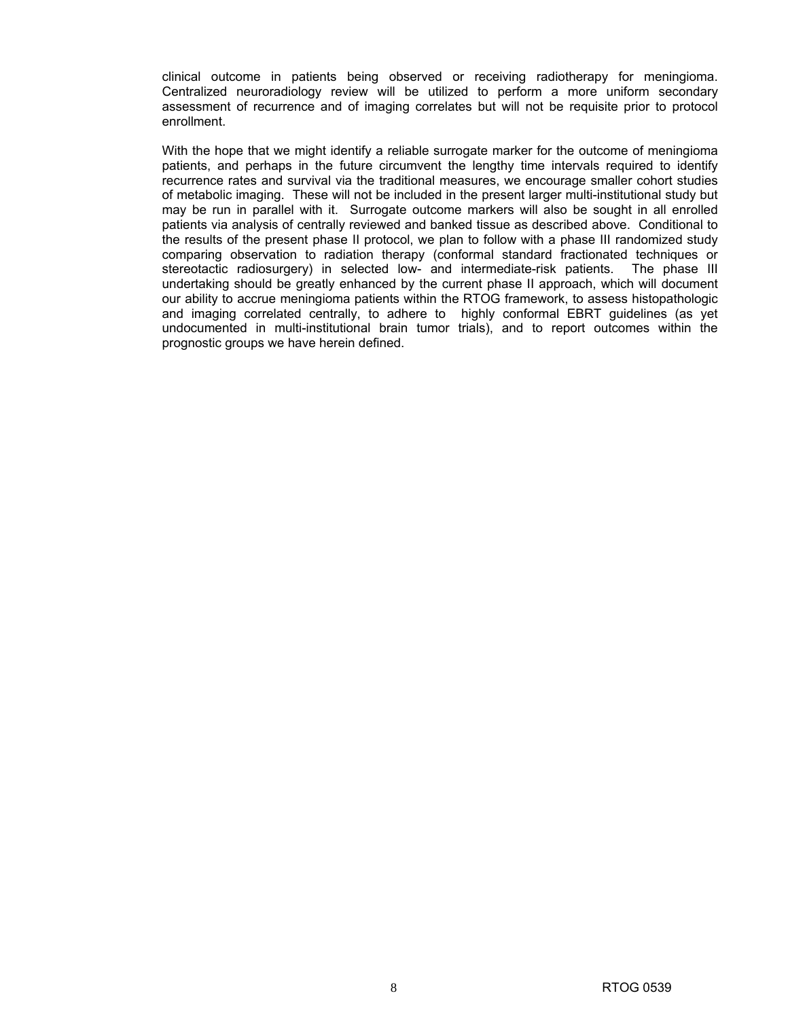clinical outcome in patients being observed or receiving radiotherapy for meningioma. Centralized neuroradiology review will be utilized to perform a more uniform secondary assessment of recurrence and of imaging correlates but will not be requisite prior to protocol enrollment.

With the hope that we might identify a reliable surrogate marker for the outcome of meningioma patients, and perhaps in the future circumvent the lengthy time intervals required to identify recurrence rates and survival via the traditional measures, we encourage smaller cohort studies of metabolic imaging. These will not be included in the present larger multi-institutional study but may be run in parallel with it. Surrogate outcome markers will also be sought in all enrolled patients via analysis of centrally reviewed and banked tissue as described above. Conditional to the results of the present phase II protocol, we plan to follow with a phase III randomized study comparing observation to radiation therapy (conformal standard fractionated techniques or stereotactic radiosurgery) in selected low- and intermediate-risk patients. The phase III undertaking should be greatly enhanced by the current phase II approach, which will document our ability to accrue meningioma patients within the RTOG framework, to assess histopathologic and imaging correlated centrally, to adhere to highly conformal EBRT guidelines (as yet undocumented in multi-institutional brain tumor trials), and to report outcomes within the prognostic groups we have herein defined.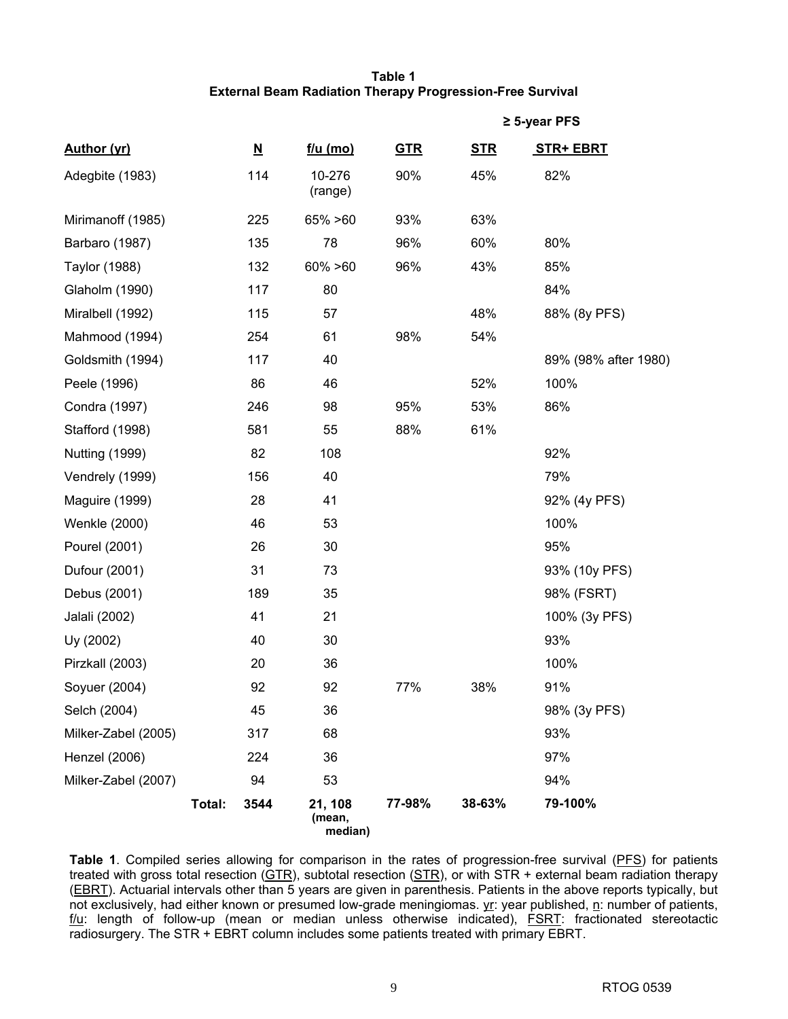### **Table 1 External Beam Radiation Therapy Progression-Free Survival**

|                       |        |                          |                              |            |            | $\geq$ 5-year PFS    |
|-----------------------|--------|--------------------------|------------------------------|------------|------------|----------------------|
| Author (yr)           |        | $\underline{\mathsf{N}}$ | f/u (mo)                     | <b>GTR</b> | <u>STR</u> | <b>STR+ EBRT</b>     |
| Adegbite (1983)       |        | 114                      | 10-276<br>(range)            | 90%        | 45%        | 82%                  |
| Mirimanoff (1985)     |        | 225                      | 65% > 60                     | 93%        | 63%        |                      |
| Barbaro (1987)        |        | 135                      | 78                           | 96%        | 60%        | 80%                  |
| Taylor (1988)         |        | 132                      | $60\% > 60$                  | 96%        | 43%        | 85%                  |
| Glaholm (1990)        |        | 117                      | 80                           |            |            | 84%                  |
| Miralbell (1992)      |        | 115                      | 57                           |            | 48%        | 88% (8y PFS)         |
| Mahmood (1994)        |        | 254                      | 61                           | 98%        | 54%        |                      |
| Goldsmith (1994)      |        | 117                      | 40                           |            |            | 89% (98% after 1980) |
| Peele (1996)          |        | 86                       | 46                           |            | 52%        | 100%                 |
| Condra (1997)         |        | 246                      | 98                           | 95%        | 53%        | 86%                  |
| Stafford (1998)       |        | 581                      | 55                           | 88%        | 61%        |                      |
| <b>Nutting (1999)</b> |        | 82                       | 108                          |            |            | 92%                  |
| Vendrely (1999)       |        | 156                      | 40                           |            |            | 79%                  |
| Maguire (1999)        |        | 28                       | 41                           |            |            | 92% (4y PFS)         |
| Wenkle (2000)         |        | 46                       | 53                           |            |            | 100%                 |
| Pourel (2001)         |        | 26                       | 30                           |            |            | 95%                  |
| Dufour (2001)         |        | 31                       | 73                           |            |            | 93% (10y PFS)        |
| Debus (2001)          |        | 189                      | 35                           |            |            | 98% (FSRT)           |
| Jalali (2002)         |        | 41                       | 21                           |            |            | 100% (3y PFS)        |
| Uy (2002)             |        | 40                       | 30                           |            |            | 93%                  |
| Pirzkall (2003)       |        | 20                       | 36                           |            |            | 100%                 |
| Soyuer (2004)         |        | 92                       | 92                           | 77%        | 38%        | 91%                  |
| Selch (2004)          |        | 45                       | 36                           |            |            | 98% (3y PFS)         |
| Milker-Zabel (2005)   |        | 317                      | 68                           |            |            | 93%                  |
| Henzel (2006)         |        | 224                      | 36                           |            |            | 97%                  |
| Milker-Zabel (2007)   |        | 94                       | 53                           |            |            | 94%                  |
|                       | Total: | 3544                     | 21, 108<br>(mean,<br>median) | 77-98%     | 38-63%     | 79-100%              |

Table 1. Compiled series allowing for comparison in the rates of progression-free survival (PFS) for patients treated with gross total resection (GTR), subtotal resection (STR), or with STR + external beam radiation therapy (EBRT). Actuarial intervals other than 5 years are given in parenthesis. Patients in the above reports typically, but not exclusively, had either known or presumed low-grade meningiomas. yr: year published, n: number of patients,  $f/u$ : length of follow-up (mean or median unless otherwise indicated), FSRT: fractionated stereotactic radiosurgery. The STR + EBRT column includes some patients treated with primary EBRT.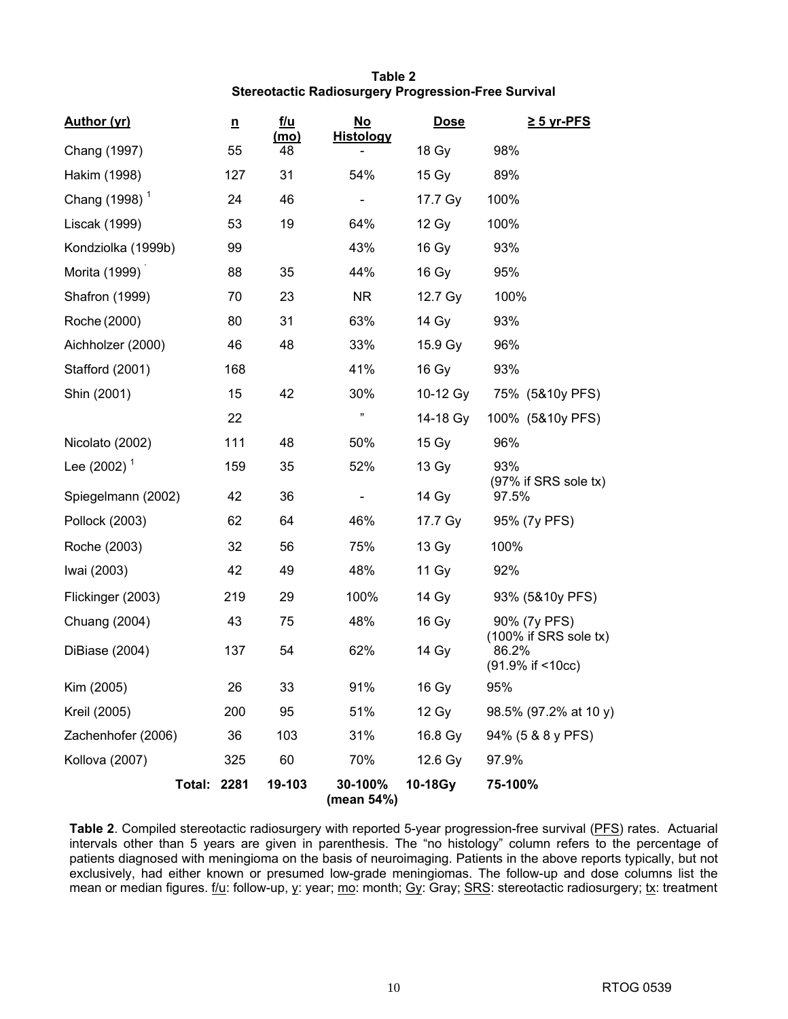# **Table 2 Stereotactic Radiosurgery Progression-Free Survival**

| <b>Author (yr)</b>        | $\underline{n}$ | <u>f/u</u> | <u>No</u><br><b>Histology</b> | <b>Dose</b> | $\geq$ 5 yr-PFS                                    |
|---------------------------|-----------------|------------|-------------------------------|-------------|----------------------------------------------------|
| Chang (1997)              | 55              | (mo)<br>48 |                               | 18 Gy       | 98%                                                |
| Hakim (1998)              | 127             | 31         | 54%                           | 15 Gy       | 89%                                                |
| Chang (1998) <sup>1</sup> | 24              | 46         |                               | 17.7 Gy     | 100%                                               |
| Liscak (1999)             | 53              | 19         | 64%                           | 12 Gy       | 100%                                               |
| Kondziolka (1999b)        | 99              |            | 43%                           | 16 Gy       | 93%                                                |
| Morita (1999)             | 88              | 35         | 44%                           | 16 Gy       | 95%                                                |
| <b>Shafron (1999)</b>     | 70              | 23         | NR.                           | 12.7 Gy     | 100%                                               |
| Roche (2000)              | 80              | 31         | 63%                           | 14 Gy       | 93%                                                |
| Aichholzer (2000)         | 46              | 48         | 33%                           | 15.9 Gy     | 96%                                                |
| Stafford (2001)           | 168             |            | 41%                           | 16 Gy       | 93%                                                |
| Shin (2001)               | 15              | 42         | 30%                           | 10-12 Gy    | 75% (5&10y PFS)                                    |
|                           | 22              |            | ,,                            | 14-18 Gy    | 100% (5&10y PFS)                                   |
| Nicolato (2002)           | 111             | 48         | 50%                           | 15 Gy       | 96%                                                |
| Lee (2002) <sup>1</sup>   | 159             | 35         | 52%                           | 13 Gy       | 93%                                                |
| Spiegelmann (2002)        | 42              | 36         | $\blacksquare$                | 14 Gy       | $(97\%$ if SRS sole tx)<br>97.5%                   |
| Pollock (2003)            | 62              | 64         | 46%                           | 17.7 Gy     | 95% (7y PFS)                                       |
| Roche (2003)              | 32              | 56         | 75%                           | 13 Gy       | 100%                                               |
| Iwai (2003)               | 42              | 49         | 48%                           | 11 Gy       | 92%                                                |
| Flickinger (2003)         | 219             | 29         | 100%                          | 14 Gy       | 93% (5&10y PFS)                                    |
| Chuang (2004)             | 43              | 75         | 48%                           | 16 Gy       | 90% (7y PFS)                                       |
| DiBiase (2004)            | 137             | 54         | 62%                           | 14 Gy       | (100% if SRS sole tx)<br>86.2%<br>(91.9% if <10cc) |
| Kim (2005)                | 26              | 33         | 91%                           | 16 Gy       | 95%                                                |
| Kreil (2005)              | 200             | 95         | 51%                           | 12 Gy       | 98.5% (97.2% at 10 y)                              |
| Zachenhofer (2006)        | 36              | 103        | 31%                           | 16.8 Gy     | 94% (5 & 8 y PFS)                                  |
| Kollova (2007)            | 325             | 60         | 70%                           | 12.6 Gy     | 97.9%                                              |
| <b>Total: 2281</b>        |                 | 19-103     | 30-100%<br>(mean 54%)         | 10-18Gy     | 75-100%                                            |

**Table 2**. Compiled stereotactic radiosurgery with reported 5-year progression-free survival (PFS) rates. Actuarial intervals other than 5 years are given in parenthesis. The "no histology" column refers to the percentage of patients diagnosed with meningioma on the basis of neuroimaging. Patients in the above reports typically, but not exclusively, had either known or presumed low-grade meningiomas. The follow-up and dose columns list the mean or median figures. f/u: follow-up, y: year; mo: month; Gy: Gray; SRS: stereotactic radiosurgery; tx: treatment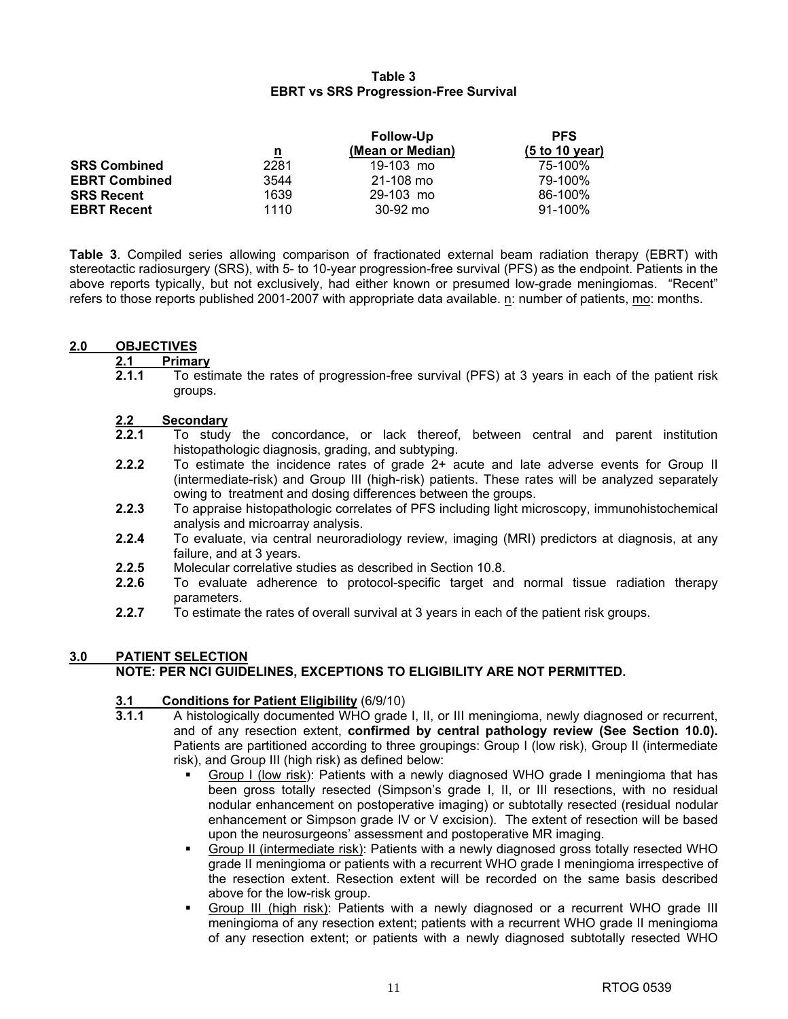### **Table 3 EBRT vs SRS Progression-Free Survival**

|                      |                         | <b>Follow-Up</b> | <b>PFS</b>     |
|----------------------|-------------------------|------------------|----------------|
|                      | $\overline{\mathbf{u}}$ | (Mean or Median) | (5 to 10 year) |
| <b>SRS Combined</b>  | 2281                    | 19-103 mo        | 75-100%        |
| <b>EBRT Combined</b> | 3544                    | 21-108 mo        | 79-100%        |
| <b>SRS Recent</b>    | 1639                    | 29-103 mo        | 86-100%        |
| <b>EBRT Recent</b>   | 1110                    | $30 - 92$ mo     | $91 - 100\%$   |

**Table 3**. Compiled series allowing comparison of fractionated external beam radiation therapy (EBRT) with stereotactic radiosurgery (SRS), with 5- to 10-year progression-free survival (PFS) as the endpoint. Patients in the above reports typically, but not exclusively, had either known or presumed low-grade meningiomas. "Recent" refers to those reports published 2001-2007 with appropriate data available. n: number of patients, mo: months.

#### **2.0 OBJECTIVES**

# **2.1 Primary**

**2.1.1** To estimate the rates of progression-free survival (PFS) at 3 years in each of the patient risk groups.

# 2.2 **Secondary**<br>2.2.1 To study

- **2.2.1** To study the concordance, or lack thereof, between central and parent institution histopathologic diagnosis, grading, and subtyping.
- **2.2.2** To estimate the incidence rates of grade 2+ acute and late adverse events for Group II (intermediate-risk) and Group III (high-risk) patients. These rates will be analyzed separately owing to treatment and dosing differences between the groups.
- **2.2.3** To appraise histopathologic correlates of PFS including light microscopy, immunohistochemical analysis and microarray analysis.
- **2.2.4** To evaluate, via central neuroradiology review, imaging (MRI) predictors at diagnosis, at any failure, and at 3 years.
- **2.2.5** Molecular correlative studies as described in Section 10.8.
- **2.2.6** To evaluate adherence to protocol-specific target and normal tissue radiation therapy parameters.
- **2.2.7** To estimate the rates of overall survival at 3 years in each of the patient risk groups.

# **3.0 PATIENT SELECTION**

# **NOTE: PER NCI GUIDELINES, EXCEPTIONS TO ELIGIBILITY ARE NOT PERMITTED.**

# **3.1 Conditions for Patient Eligibility** (6/9/10)

- **3.1.1** A histologically documented WHO grade I, II, or III meningioma, newly diagnosed or recurrent, and of any resection extent, **confirmed by central pathology review (See Section 10.0).** Patients are partitioned according to three groupings: Group I (low risk), Group II (intermediate risk), and Group III (high risk) as defined below:
	- Group I (low risk): Patients with a newly diagnosed WHO grade I meningioma that has been gross totally resected (Simpson's grade I, II, or III resections, with no residual nodular enhancement on postoperative imaging) or subtotally resected (residual nodular enhancement or Simpson grade IV or V excision). The extent of resection will be based upon the neurosurgeons' assessment and postoperative MR imaging.
	- Group II (intermediate risk): Patients with a newly diagnosed gross totally resected WHO grade II meningioma or patients with a recurrent WHO grade I meningioma irrespective of the resection extent. Resection extent will be recorded on the same basis described above for the low-risk group.
	- Group III (high risk): Patients with a newly diagnosed or a recurrent WHO grade III meningioma of any resection extent; patients with a recurrent WHO grade II meningioma of any resection extent; or patients with a newly diagnosed subtotally resected WHO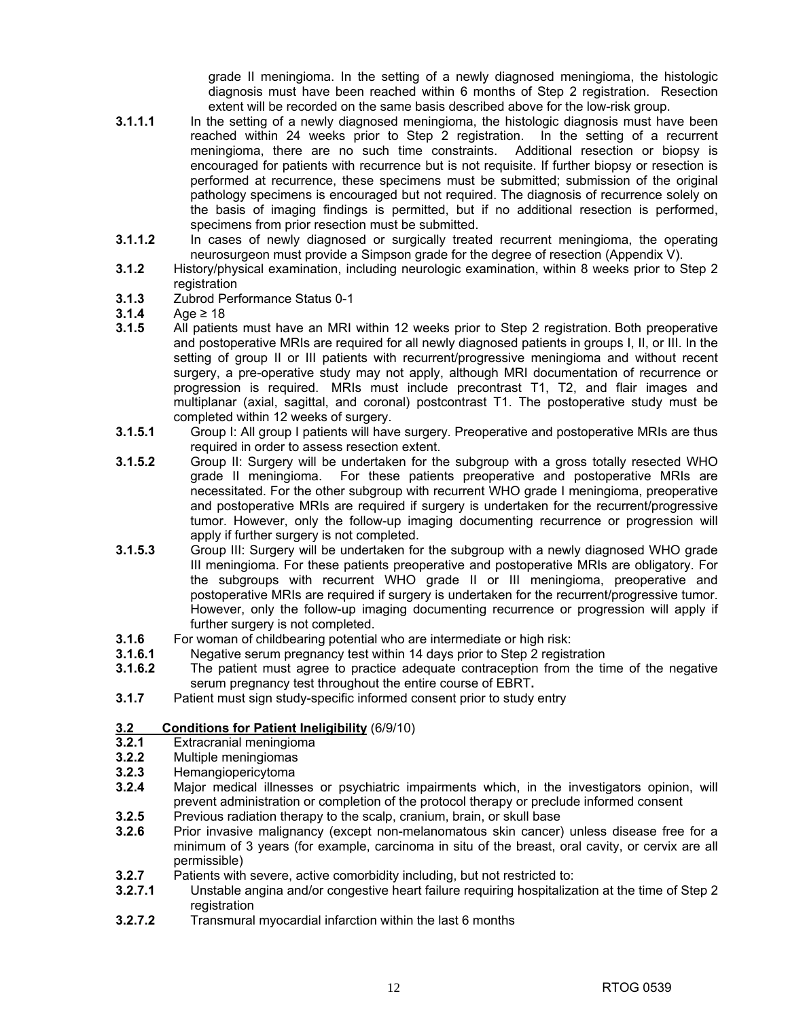grade II meningioma. In the setting of a newly diagnosed meningioma, the histologic diagnosis must have been reached within 6 months of Step 2 registration. Resection extent will be recorded on the same basis described above for the low-risk group.

- **3.1.1.1** In the setting of a newly diagnosed meningioma, the histologic diagnosis must have been reached within 24 weeks prior to Step 2 registration. In the setting of a recurrent meningioma, there are no such time constraints. Additional resection or biopsy is encouraged for patients with recurrence but is not requisite. If further biopsy or resection is performed at recurrence, these specimens must be submitted; submission of the original pathology specimens is encouraged but not required. The diagnosis of recurrence solely on the basis of imaging findings is permitted, but if no additional resection is performed, specimens from prior resection must be submitted.
- **3.1.1.2** In cases of newly diagnosed or surgically treated recurrent meningioma, the operating neurosurgeon must provide a Simpson grade for the degree of resection (Appendix V).
- **3.1.2** History/physical examination, including neurologic examination, within 8 weeks prior to Step 2 registration
- **3.1.3** Zubrod Performance Status 0-1
- **3.1.4** Age ≥ 18
- **3.1.5** All patients must have an MRI within 12 weeks prior to Step 2 registration. Both preoperative and postoperative MRIs are required for all newly diagnosed patients in groups I, II, or III. In the setting of group II or III patients with recurrent/progressive meningioma and without recent surgery, a pre-operative study may not apply, although MRI documentation of recurrence or progression is required. MRIs must include precontrast T1, T2, and flair images and multiplanar (axial, sagittal, and coronal) postcontrast T1. The postoperative study must be completed within 12 weeks of surgery.
- **3.1.5.1** Group I: All group I patients will have surgery. Preoperative and postoperative MRIs are thus required in order to assess resection extent.
- **3.1.5.2** Group II: Surgery will be undertaken for the subgroup with a gross totally resected WHO grade II meningioma. For these patients preoperative and postoperative MRIs are necessitated. For the other subgroup with recurrent WHO grade I meningioma, preoperative and postoperative MRIs are required if surgery is undertaken for the recurrent/progressive tumor. However, only the follow-up imaging documenting recurrence or progression will apply if further surgery is not completed.
- **3.1.5.3** Group III: Surgery will be undertaken for the subgroup with a newly diagnosed WHO grade III meningioma. For these patients preoperative and postoperative MRIs are obligatory. For the subgroups with recurrent WHO grade II or III meningioma, preoperative and postoperative MRIs are required if surgery is undertaken for the recurrent/progressive tumor. However, only the follow-up imaging documenting recurrence or progression will apply if further surgery is not completed.
- **3.1.6** For woman of childbearing potential who are intermediate or high risk:<br>**3.1.6.1** Negative serum pregnancy test within 14 days prior to Step 2 regist
- **3.1.6.1** Negative serum pregnancy test within 14 days prior to Step 2 registration
- **3.1.6.2** The patient must agree to practice adequate contraception from the time of the negative serum pregnancy test throughout the entire course of EBRT**.**
- **3.1.7** Patient must sign study-specific informed consent prior to study entry

# **3.2 Conditions for Patient Ineligibility** (6/9/10)

- **3.2.1** Extracranial meningioma
- **3.2.2** Multiple meningiomas
- **3.2.3** Hemangiopericytoma
- **3.2.4** Major medical illnesses or psychiatric impairments which, in the investigators opinion, will prevent administration or completion of the protocol therapy or preclude informed consent
- **3.2.5** Previous radiation therapy to the scalp, cranium, brain, or skull base
- **3.2.6** Prior invasive malignancy (except non-melanomatous skin cancer) unless disease free for a minimum of 3 years (for example, carcinoma in situ of the breast, oral cavity, or cervix are all permissible)
- **3.2.7** Patients with severe, active comorbidity including, but not restricted to:
- **3.2.7.1** Unstable angina and/or congestive heart failure requiring hospitalization at the time of Step 2 registration
- **3.2.7.2** Transmural myocardial infarction within the last 6 months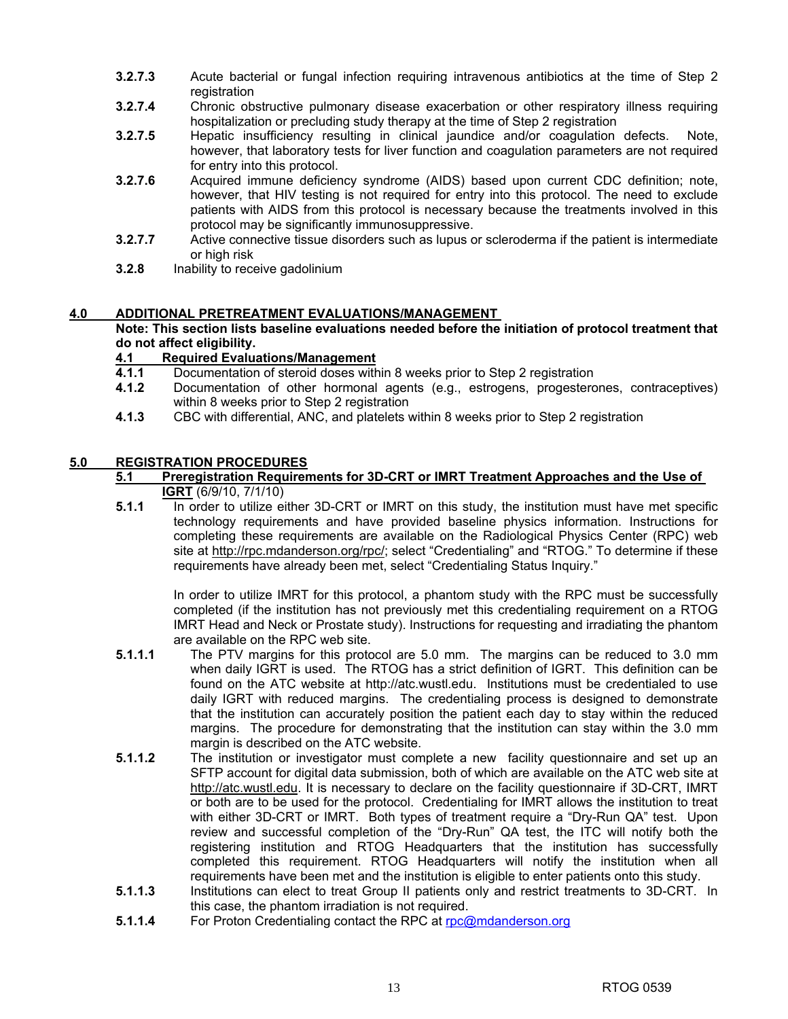- **3.2.7.3** Acute bacterial or fungal infection requiring intravenous antibiotics at the time of Step 2 registration
- **3.2.7.4** Chronic obstructive pulmonary disease exacerbation or other respiratory illness requiring hospitalization or precluding study therapy at the time of Step 2 registration
- **3.2.7.5** Hepatic insufficiency resulting in clinical jaundice and/or coagulation defects. Note, however, that laboratory tests for liver function and coagulation parameters are not required for entry into this protocol.
- **3.2.7.6** Acquired immune deficiency syndrome (AIDS) based upon current CDC definition; note, however, that HIV testing is not required for entry into this protocol. The need to exclude patients with AIDS from this protocol is necessary because the treatments involved in this protocol may be significantly immunosuppressive.
- **3.2.7.7** Active connective tissue disorders such as lupus or scleroderma if the patient is intermediate or high risk
- **3.2.8** Inability to receive gadolinium

### **4.0 ADDITIONAL PRETREATMENT EVALUATIONS/MANAGEMENT**

**Note: This section lists baseline evaluations needed before the initiation of protocol treatment that do not affect eligibility.** 

# **4.1 Required Evaluations/Management**

- **4.1.1** Documentation of steroid doses within 8 weeks prior to Step 2 registration
- **4.1.2** Documentation of other hormonal agents (e.g., estrogens, progesterones, contraceptives) within 8 weeks prior to Step 2 registration
- **4.1.3** CBC with differential, ANC, and platelets within 8 weeks prior to Step 2 registration

### **5.0 REGISTRATION PROCEDURES**

- **5.1 Preregistration Requirements for 3D-CRT or IMRT Treatment Approaches and the Use of IGRT** (6/9/10, 7/1/10)
- **5.1.1** In order to utilize either 3D-CRT or IMRT on this study, the institution must have met specific technology requirements and have provided baseline physics information. Instructions for completing these requirements are available on the Radiological Physics Center (RPC) web site at http://rpc.mdanderson.org/rpc/; select "Credentialing" and "RTOG." To determine if these requirements have already been met, select "Credentialing Status Inquiry."

 In order to utilize IMRT for this protocol, a phantom study with the RPC must be successfully completed (if the institution has not previously met this credentialing requirement on a RTOG IMRT Head and Neck or Prostate study). Instructions for requesting and irradiating the phantom are available on the RPC web site.

- **5.1.1.1** The PTV margins for this protocol are 5.0 mm. The margins can be reduced to 3.0 mm when daily IGRT is used. The RTOG has a strict definition of IGRT. This definition can be found on the ATC website at http://atc.wustl.edu. Institutions must be credentialed to use daily IGRT with reduced margins. The credentialing process is designed to demonstrate that the institution can accurately position the patient each day to stay within the reduced margins. The procedure for demonstrating that the institution can stay within the 3.0 mm margin is described on the ATC website.
- **5.1.1.2** The institution or investigator must complete a new facility questionnaire and set up an SFTP account for digital data submission, both of which are available on the ATC web site at http://atc.wustl.edu. It is necessary to declare on the facility questionnaire if 3D-CRT, IMRT or both are to be used for the protocol. Credentialing for IMRT allows the institution to treat with either 3D-CRT or IMRT. Both types of treatment require a "Dry-Run QA" test. Upon review and successful completion of the "Dry-Run" QA test, the ITC will notify both the registering institution and RTOG Headquarters that the institution has successfully completed this requirement. RTOG Headquarters will notify the institution when all requirements have been met and the institution is eligible to enter patients onto this study.
- **5.1.1.3** Institutions can elect to treat Group II patients only and restrict treatments to 3D-CRT. In this case, the phantom irradiation is not required.
- **5.1.1.4** For Proton Credentialing contact the RPC at rpc@mdanderson.org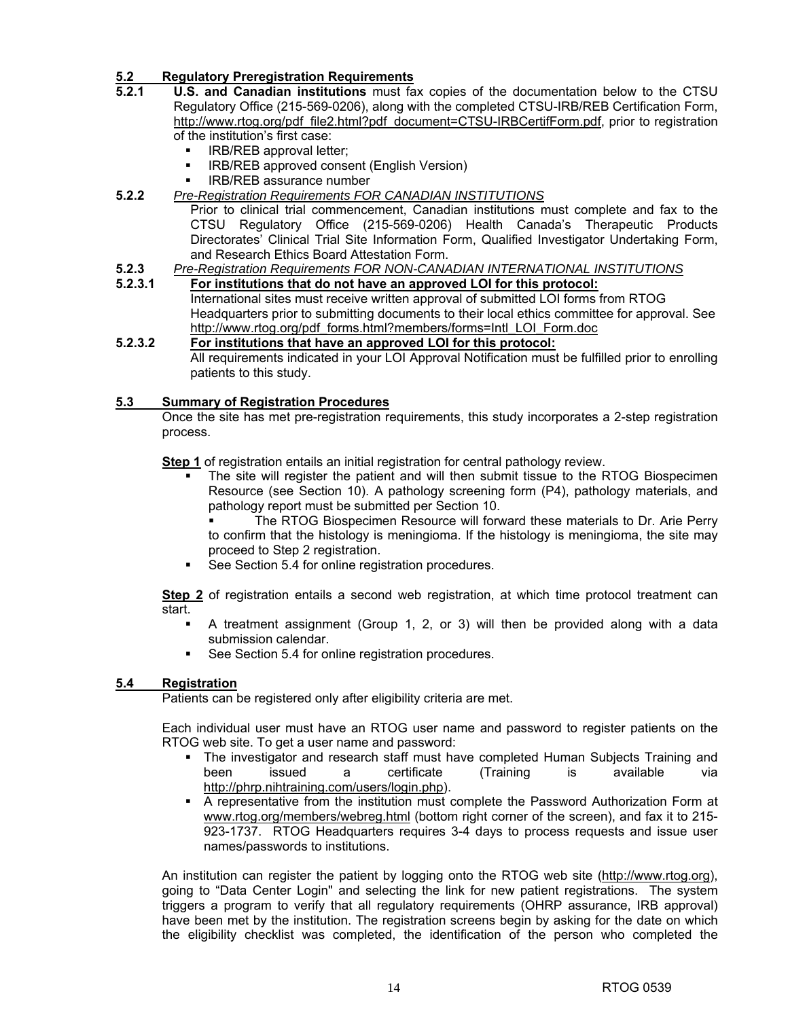# **5.2 Regulatory Preregistration Requirements**

- **5.2.1 U.S. and Canadian institutions** must fax copies of the documentation below to the CTSU Regulatory Office (215-569-0206), along with the completed CTSU-IRB/REB Certification Form, http://www.rtog.org/pdf\_file2.html?pdf\_document=CTSU-IRBCertifForm.pdf, prior to registration of the institution's first case:
	- IRB/REB approval letter;
	- **EXECTED EXECTED APPROX IRB/REB approved consent (English Version)**
	- IRB/REB assurance number
- **5.2.2** *Pre-Registration Requirements FOR CANADIAN INSTITUTIONS*

 Prior to clinical trial commencement, Canadian institutions must complete and fax to the CTSU Regulatory Office (215-569-0206) Health Canada's Therapeutic Products Directorates' Clinical Trial Site Information Form, Qualified Investigator Undertaking Form, and Research Ethics Board Attestation Form.

- 
- **5.2.3** *Pre-Registration Requirements FOR NON-CANADIAN INTERNATIONAL INSTITUTIONS* **5.2.3.1 For institutions that do not have an approved LOI for this protocol:** International sites must receive written approval of submitted LOI forms from RTOG Headquarters prior to submitting documents to their local ethics committee for approval. See http://www.rtog.org/pdf\_forms.html?members/forms=Intl\_LOI\_Form.doc

### **5.2.3.2 For institutions that have an approved LOI for this protocol:**

 All requirements indicated in your LOI Approval Notification must be fulfilled prior to enrolling patients to this study.

### **5.3 Summary of Registration Procedures**

Once the site has met pre-registration requirements, this study incorporates a 2-step registration process.

**Step 1** of registration entails an initial registration for central pathology review.

 The site will register the patient and will then submit tissue to the RTOG Biospecimen Resource (see Section 10). A pathology screening form (P4), pathology materials, and pathology report must be submitted per Section 10.

 The RTOG Biospecimen Resource will forward these materials to Dr. Arie Perry to confirm that the histology is meningioma. If the histology is meningioma, the site may proceed to Step 2 registration.

See Section 5.4 for online registration procedures.

**Step 2** of registration entails a second web registration, at which time protocol treatment can start.

- A treatment assignment (Group 1, 2, or 3) will then be provided along with a data submission calendar.
- See Section 5.4 for online registration procedures.

# **5.4 Registration**

Patients can be registered only after eligibility criteria are met.

Each individual user must have an RTOG user name and password to register patients on the RTOG web site. To get a user name and password:

- **The investigator and research staff must have completed Human Subjects Training and** been issued a certificate (Training is available via http://phrp.nihtraining.com/users/login.php).
- A representative from the institution must complete the Password Authorization Form at www.rtog.org/members/webreg.html (bottom right corner of the screen), and fax it to 215- 923-1737. RTOG Headquarters requires 3-4 days to process requests and issue user names/passwords to institutions.

An institution can register the patient by logging onto the RTOG web site (http://www.rtog.org), going to "Data Center Login" and selecting the link for new patient registrations. The system triggers a program to verify that all regulatory requirements (OHRP assurance, IRB approval) have been met by the institution. The registration screens begin by asking for the date on which the eligibility checklist was completed, the identification of the person who completed the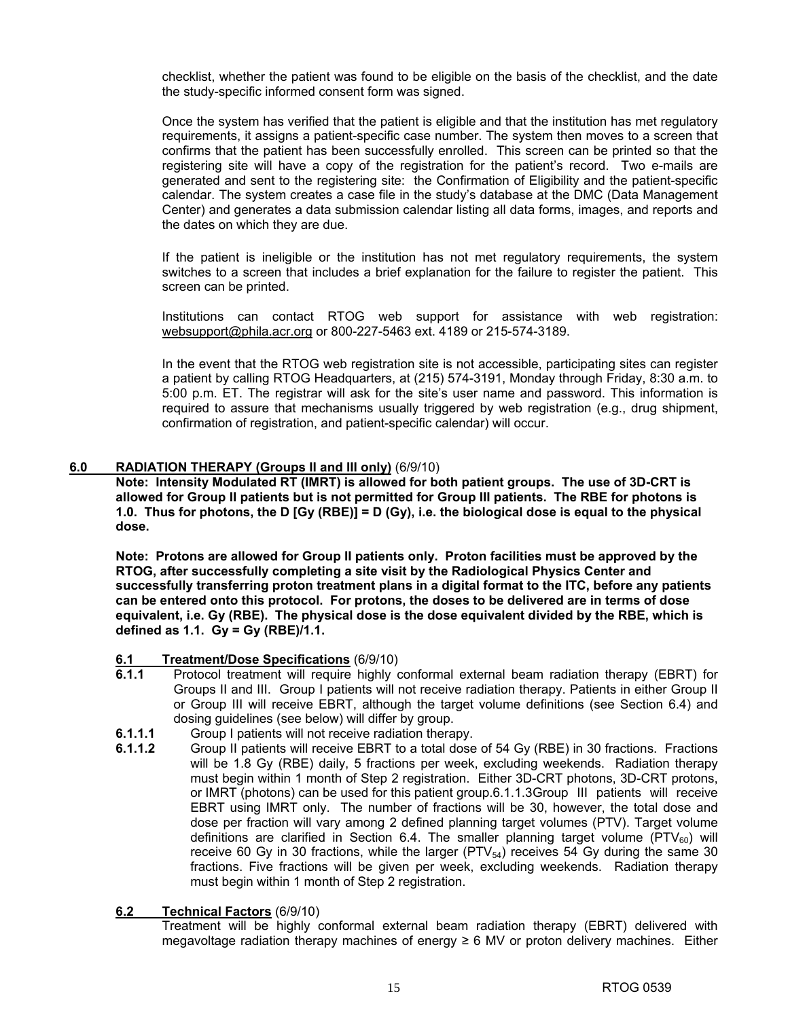checklist, whether the patient was found to be eligible on the basis of the checklist, and the date the study-specific informed consent form was signed.

Once the system has verified that the patient is eligible and that the institution has met regulatory requirements, it assigns a patient-specific case number. The system then moves to a screen that confirms that the patient has been successfully enrolled. This screen can be printed so that the registering site will have a copy of the registration for the patient's record. Two e-mails are generated and sent to the registering site: the Confirmation of Eligibility and the patient-specific calendar. The system creates a case file in the study's database at the DMC (Data Management Center) and generates a data submission calendar listing all data forms, images, and reports and the dates on which they are due.

If the patient is ineligible or the institution has not met regulatory requirements, the system switches to a screen that includes a brief explanation for the failure to register the patient. This screen can be printed.

Institutions can contact RTOG web support for assistance with web registration: websupport@phila.acr.org or 800-227-5463 ext. 4189 or 215-574-3189.

In the event that the RTOG web registration site is not accessible, participating sites can register a patient by calling RTOG Headquarters, at (215) 574-3191, Monday through Friday, 8:30 a.m. to 5:00 p.m. ET. The registrar will ask for the site's user name and password. This information is required to assure that mechanisms usually triggered by web registration (e.g., drug shipment, confirmation of registration, and patient-specific calendar) will occur.

#### **6.0 RADIATION THERAPY (Groups II and III only)** (6/9/10)

**Note: Intensity Modulated RT (IMRT) is allowed for both patient groups. The use of 3D-CRT is allowed for Group II patients but is not permitted for Group III patients. The RBE for photons is 1.0. Thus for photons, the D [Gy (RBE)] = D (Gy), i.e. the biological dose is equal to the physical dose.** 

**Note: Protons are allowed for Group II patients only. Proton facilities must be approved by the RTOG, after successfully completing a site visit by the Radiological Physics Center and successfully transferring proton treatment plans in a digital format to the ITC, before any patients can be entered onto this protocol. For protons, the doses to be delivered are in terms of dose equivalent, i.e. Gy (RBE). The physical dose is the dose equivalent divided by the RBE, which is defined as 1.1. Gy = Gy (RBE)/1.1.** 

#### **6.1 Treatment/Dose Specifications** (6/9/10)

- **6.1.1** Protocol treatment will require highly conformal external beam radiation therapy (EBRT) for Groups II and III. Group I patients will not receive radiation therapy. Patients in either Group II or Group III will receive EBRT, although the target volume definitions (see Section 6.4) and dosing guidelines (see below) will differ by group.
- **6.1.1.1** Group I patients will not receive radiation therapy.
- **6.1.1.2** Group II patients will receive EBRT to a total dose of 54 Gy (RBE) in 30 fractions. Fractions will be 1.8 Gy (RBE) daily, 5 fractions per week, excluding weekends. Radiation therapy must begin within 1 month of Step 2 registration. Either 3D-CRT photons, 3D-CRT protons, or IMRT (photons) can be used for this patient group.6.1.1.3 Group III patients will receive EBRT using IMRT only. The number of fractions will be 30, however, the total dose and dose per fraction will vary among 2 defined planning target volumes (PTV). Target volume definitions are clarified in Section 6.4. The smaller planning target volume ( $PTV_{60}$ ) will receive 60 Gy in 30 fractions, while the larger  $(PTV_{54})$  receives 54 Gy during the same 30 fractions. Five fractions will be given per week, excluding weekends. Radiation therapy must begin within 1 month of Step 2 registration.

# **6.2 Technical Factors** (6/9/10)

Treatment will be highly conformal external beam radiation therapy (EBRT) delivered with megavoltage radiation therapy machines of energy ≥ 6 MV or proton delivery machines. Either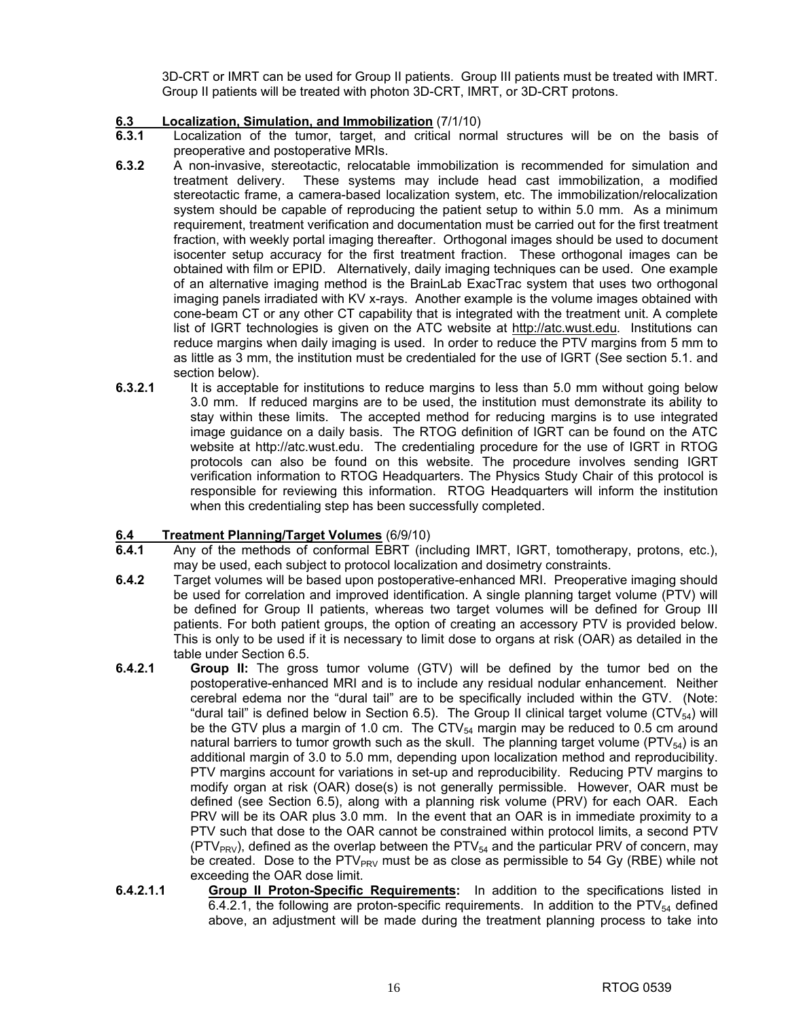3D-CRT or IMRT can be used for Group II patients. Group III patients must be treated with IMRT. Group II patients will be treated with photon 3D-CRT, IMRT, or 3D-CRT protons.

# **6.3 Localization, Simulation, and Immobilization** (7/1/10)

- **6.3.1** Localization of the tumor, target, and critical normal structures will be on the basis of preoperative and postoperative MRIs.
- **6.3.2** A non-invasive, stereotactic, relocatable immobilization is recommended for simulation and treatment delivery. These systems may include head cast immobilization, a modified stereotactic frame, a camera-based localization system, etc. The immobilization/relocalization system should be capable of reproducing the patient setup to within 5.0 mm. As a minimum requirement, treatment verification and documentation must be carried out for the first treatment fraction, with weekly portal imaging thereafter. Orthogonal images should be used to document isocenter setup accuracy for the first treatment fraction. These orthogonal images can be obtained with film or EPID. Alternatively, daily imaging techniques can be used. One example of an alternative imaging method is the BrainLab ExacTrac system that uses two orthogonal imaging panels irradiated with KV x-rays. Another example is the volume images obtained with cone-beam CT or any other CT capability that is integrated with the treatment unit. A complete list of IGRT technologies is given on the ATC website at http://atc.wust.edu. Institutions can reduce margins when daily imaging is used. In order to reduce the PTV margins from 5 mm to as little as 3 mm, the institution must be credentialed for the use of IGRT (See section 5.1. and section below).
- **6.3.2.1** It is acceptable for institutions to reduce margins to less than 5.0 mm without going below 3.0 mm. If reduced margins are to be used, the institution must demonstrate its ability to stay within these limits. The accepted method for reducing margins is to use integrated image guidance on a daily basis. The RTOG definition of IGRT can be found on the ATC website at http://atc.wust.edu. The credentialing procedure for the use of IGRT in RTOG protocols can also be found on this website. The procedure involves sending IGRT verification information to RTOG Headquarters. The Physics Study Chair of this protocol is responsible for reviewing this information. RTOG Headquarters will inform the institution when this credentialing step has been successfully completed.

#### **6.4 Treatment Planning/Target Volumes** (6/9/10)

- **6.4.1** Any of the methods of conformal EBRT (including IMRT, IGRT, tomotherapy, protons, etc.), may be used, each subject to protocol localization and dosimetry constraints.
- **6.4.2** Target volumes will be based upon postoperative-enhanced MRI. Preoperative imaging should be used for correlation and improved identification. A single planning target volume (PTV) will be defined for Group II patients, whereas two target volumes will be defined for Group III patients. For both patient groups, the option of creating an accessory PTV is provided below. This is only to be used if it is necessary to limit dose to organs at risk (OAR) as detailed in the table under Section 6.5.
- **6.4.2.1 Group II:** The gross tumor volume (GTV) will be defined by the tumor bed on the postoperative-enhanced MRI and is to include any residual nodular enhancement. Neither cerebral edema nor the "dural tail" are to be specifically included within the GTV. (Note: "dural tail" is defined below in Section 6.5). The Group II clinical target volume (CTV $_{54}$ ) will be the GTV plus a margin of 1.0 cm. The  $CY_{54}$  margin may be reduced to 0.5 cm around natural barriers to tumor growth such as the skull. The planning target volume (PTV $_{54}$ ) is an additional margin of 3.0 to 5.0 mm, depending upon localization method and reproducibility. PTV margins account for variations in set-up and reproducibility. Reducing PTV margins to modify organ at risk (OAR) dose(s) is not generally permissible. However, OAR must be defined (see Section 6.5), along with a planning risk volume (PRV) for each OAR. Each PRV will be its OAR plus 3.0 mm. In the event that an OAR is in immediate proximity to a PTV such that dose to the OAR cannot be constrained within protocol limits, a second PTV  $(PTV<sub>PRV</sub>)$ , defined as the overlap between the  $PTV<sub>54</sub>$  and the particular PRV of concern, may be created. Dose to the PTV $_{PRV}$  must be as close as permissible to 54 Gy (RBE) while not exceeding the OAR dose limit.
- **6.4.2.1.1** Group II Proton-Specific Requirements: In addition to the specifications listed in 6.4.2.1, the following are proton-specific requirements. In addition to the PTV $_{54}$  defined above, an adjustment will be made during the treatment planning process to take into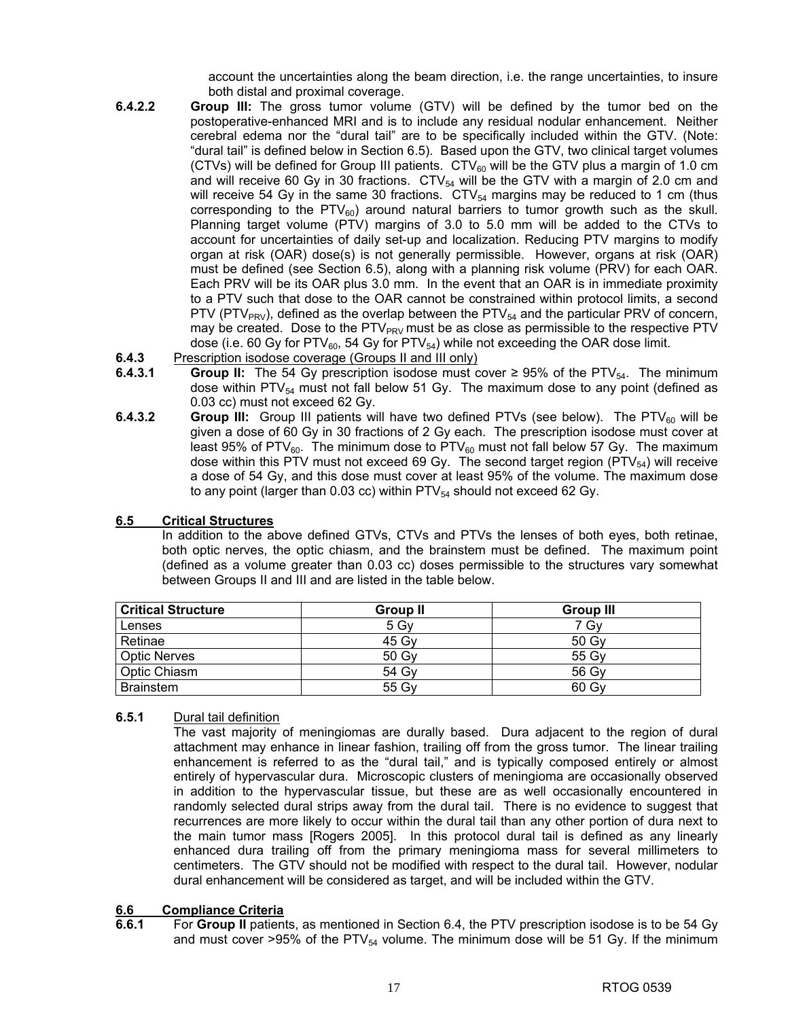account the uncertainties along the beam direction, i.e. the range uncertainties, to insure both distal and proximal coverage.

- **6.4.2.2 Group III:** The gross tumor volume (GTV) will be defined by the tumor bed on the postoperative-enhanced MRI and is to include any residual nodular enhancement. Neither cerebral edema nor the "dural tail" are to be specifically included within the GTV. (Note: "dural tail" is defined below in Section 6.5). Based upon the GTV, two clinical target volumes (CTVs) will be defined for Group III patients.  $CTV_{60}$  will be the GTV plus a margin of 1.0 cm and will receive 60 Gy in 30 fractions.  $\text{CTV}_{54}$  will be the GTV with a margin of 2.0 cm and will receive 54 Gy in the same 30 fractions.  $CY_{54}$  margins may be reduced to 1 cm (thus corresponding to the  $PTV_{60}$ ) around natural barriers to tumor growth such as the skull. Planning target volume (PTV) margins of 3.0 to 5.0 mm will be added to the CTVs to account for uncertainties of daily set-up and localization. Reducing PTV margins to modify organ at risk (OAR) dose(s) is not generally permissible. However, organs at risk (OAR) must be defined (see Section 6.5), along with a planning risk volume (PRV) for each OAR. Each PRV will be its OAR plus 3.0 mm. In the event that an OAR is in immediate proximity to a PTV such that dose to the OAR cannot be constrained within protocol limits, a second PTV (PTV<sub>PRV</sub>), defined as the overlap between the PTV $_{54}$  and the particular PRV of concern, may be created. Dose to the  $PTV_{PRV}$  must be as close as permissible to the respective PTV dose (i.e. 60 Gy for PTV $_{60}$ , 54 Gy for PTV $_{54}$ ) while not exceeding the OAR dose limit.
- **6.4.3** Prescription isodose coverage (Groups II and III only)
- **6.4.3.1 <b>Group II:** The 54 Gy prescription isodose must cover ≥ 95% of the PTV<sub>54</sub>. The minimum dose within PTV $_{54}$  must not fall below 51 Gy. The maximum dose to any point (defined as 0.03 cc) must not exceed 62 Gy.
- **6.4.3.2 Group III:** Group III patients will have two defined PTVs (see below). The PTV<sub>60</sub> will be given a dose of 60 Gy in 30 fractions of 2 Gy each. The prescription isodose must cover at least 95% of PTV<sub>60</sub>. The minimum dose to PTV<sub>60</sub> must not fall below 57 Gy. The maximum dose within this PTV must not exceed 69 Gy. The second target region (PTV $_{54}$ ) will receive a dose of 54 Gy, and this dose must cover at least 95% of the volume. The maximum dose to any point (larger than 0.03 cc) within  $PTV_{54}$  should not exceed 62 Gy.

# **6.5 Critical Structures**

In addition to the above defined GTVs, CTVs and PTVs the lenses of both eyes, both retinae, both optic nerves, the optic chiasm, and the brainstem must be defined. The maximum point (defined as a volume greater than 0.03 cc) doses permissible to the structures vary somewhat between Groups II and III and are listed in the table below.

| <b>Critical Structure</b> | <b>Group II</b> | <b>Group III</b> |
|---------------------------|-----------------|------------------|
| Lenses                    | 5 Gv            | 7 Gv             |
| Retinae                   | 45 Gv           | 50 Gv            |
| Optic Nerves              | 50 Gv           | 55 Gv            |
| Optic Chiasm              | 54 Gv           | 56 Gv            |
| <b>Brainstem</b>          | 55 Gv           | 60 Gv            |

#### **6.5.1** Dural tail definition

The vast majority of meningiomas are durally based. Dura adjacent to the region of dural attachment may enhance in linear fashion, trailing off from the gross tumor. The linear trailing enhancement is referred to as the "dural tail," and is typically composed entirely or almost entirely of hypervascular dura. Microscopic clusters of meningioma are occasionally observed in addition to the hypervascular tissue, but these are as well occasionally encountered in randomly selected dural strips away from the dural tail. There is no evidence to suggest that recurrences are more likely to occur within the dural tail than any other portion of dura next to the main tumor mass [Rogers 2005]. In this protocol dural tail is defined as any linearly enhanced dura trailing off from the primary meningioma mass for several millimeters to centimeters. The GTV should not be modified with respect to the dural tail. However, nodular dural enhancement will be considered as target, and will be included within the GTV.

#### **6.6 Compliance Criteria**

**6.6.1** For **Group II** patients, as mentioned in Section 6.4, the PTV prescription isodose is to be 54 Gy and must cover >95% of the  $PTV_{54}$  volume. The minimum dose will be 51 Gy. If the minimum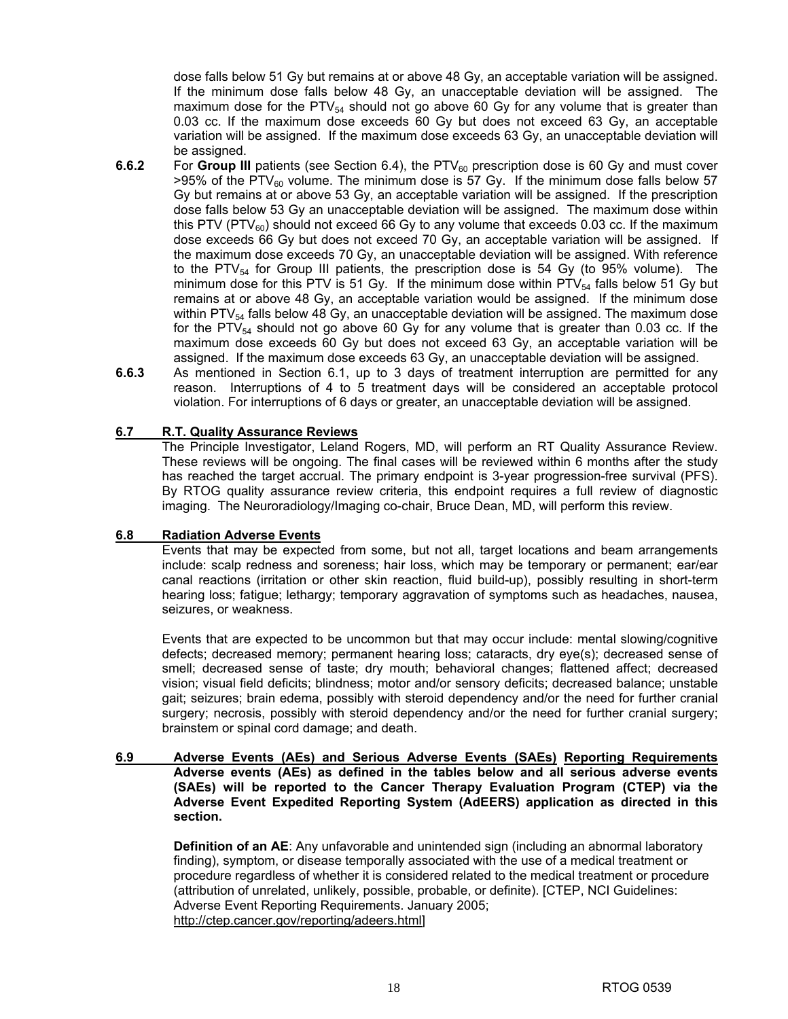dose falls below 51 Gy but remains at or above 48 Gy, an acceptable variation will be assigned. If the minimum dose falls below 48 Gy, an unacceptable deviation will be assigned. The maximum dose for the PTV $_{54}$  should not go above 60 Gy for any volume that is greater than 0.03 cc. If the maximum dose exceeds 60 Gy but does not exceed 63 Gy, an acceptable variation will be assigned. If the maximum dose exceeds 63 Gy, an unacceptable deviation will be assigned.

- **6.6.2** For Group III patients (see Section 6.4), the PTV<sub>60</sub> prescription dose is 60 Gy and must cover  $>95\%$  of the PTV<sub>60</sub> volume. The minimum dose is 57 Gy. If the minimum dose falls below 57 Gy but remains at or above 53 Gy, an acceptable variation will be assigned. If the prescription dose falls below 53 Gy an unacceptable deviation will be assigned. The maximum dose within this PTV (PTV $_{60}$ ) should not exceed 66 Gy to any volume that exceeds 0.03 cc. If the maximum dose exceeds 66 Gy but does not exceed 70 Gy, an acceptable variation will be assigned. If the maximum dose exceeds 70 Gy, an unacceptable deviation will be assigned. With reference to the PTV $_{54}$  for Group III patients, the prescription dose is 54 Gy (to 95% volume). The minimum dose for this PTV is 51 Gy. If the minimum dose within  $PTV_{54}$  falls below 51 Gy but remains at or above 48 Gy, an acceptable variation would be assigned. If the minimum dose within  $PTV_{54}$  falls below 48 Gy, an unacceptable deviation will be assigned. The maximum dose for the PTV $_{54}$  should not go above 60 Gy for any volume that is greater than 0.03 cc. If the maximum dose exceeds 60 Gy but does not exceed 63 Gy, an acceptable variation will be assigned. If the maximum dose exceeds 63 Gy, an unacceptable deviation will be assigned.
- **6.6.3** As mentioned in Section 6.1, up to 3 days of treatment interruption are permitted for any reason. Interruptions of 4 to 5 treatment days will be considered an acceptable protocol violation. For interruptions of 6 days or greater, an unacceptable deviation will be assigned.

### **6.7 R.T. Quality Assurance Reviews**

The Principle Investigator, Leland Rogers, MD, will perform an RT Quality Assurance Review. These reviews will be ongoing. The final cases will be reviewed within 6 months after the study has reached the target accrual. The primary endpoint is 3-year progression-free survival (PFS). By RTOG quality assurance review criteria, this endpoint requires a full review of diagnostic imaging. The Neuroradiology/Imaging co-chair, Bruce Dean, MD, will perform this review.

#### **6.8 Radiation Adverse Events**

Events that may be expected from some, but not all, target locations and beam arrangements include: scalp redness and soreness; hair loss, which may be temporary or permanent; ear/ear canal reactions (irritation or other skin reaction, fluid build-up), possibly resulting in short-term hearing loss; fatigue; lethargy; temporary aggravation of symptoms such as headaches, nausea, seizures, or weakness.

Events that are expected to be uncommon but that may occur include: mental slowing/cognitive defects; decreased memory; permanent hearing loss; cataracts, dry eye(s); decreased sense of smell; decreased sense of taste; dry mouth; behavioral changes; flattened affect; decreased vision; visual field deficits; blindness; motor and/or sensory deficits; decreased balance; unstable gait; seizures; brain edema, possibly with steroid dependency and/or the need for further cranial surgery; necrosis, possibly with steroid dependency and/or the need for further cranial surgery; brainstem or spinal cord damage; and death.

#### **6.9 Adverse Events (AEs) and Serious Adverse Events (SAEs) Reporting Requirements Adverse events (AEs) as defined in the tables below and all serious adverse events (SAEs) will be reported to the Cancer Therapy Evaluation Program (CTEP) via the Adverse Event Expedited Reporting System (AdEERS) application as directed in this section.**

**Definition of an AE**: Any unfavorable and unintended sign (including an abnormal laboratory finding), symptom, or disease temporally associated with the use of a medical treatment or procedure regardless of whether it is considered related to the medical treatment or procedure (attribution of unrelated, unlikely, possible, probable, or definite). [CTEP, NCI Guidelines: Adverse Event Reporting Requirements. January 2005; http://ctep.cancer.gov/reporting/adeers.html]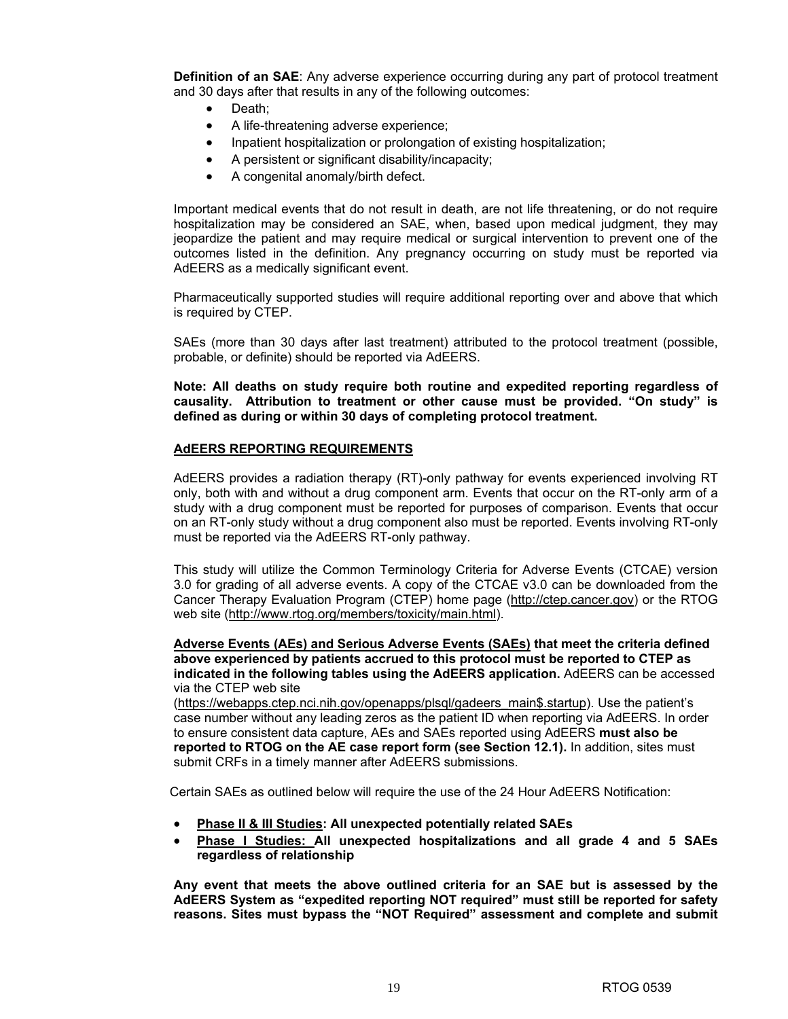**Definition of an SAE:** Any adverse experience occurring during any part of protocol treatment and 30 days after that results in any of the following outcomes:

- Death:
- A life-threatening adverse experience;
- Inpatient hospitalization or prolongation of existing hospitalization;
- A persistent or significant disability/incapacity;
- A congenital anomaly/birth defect.

 Important medical events that do not result in death, are not life threatening, or do not require hospitalization may be considered an SAE, when, based upon medical judgment, they may jeopardize the patient and may require medical or surgical intervention to prevent one of the outcomes listed in the definition. Any pregnancy occurring on study must be reported via AdEERS as a medically significant event.

Pharmaceutically supported studies will require additional reporting over and above that which is required by CTEP.

SAEs (more than 30 days after last treatment) attributed to the protocol treatment (possible, probable, or definite) should be reported via AdEERS.

**Note: All deaths on study require both routine and expedited reporting regardless of causality. Attribution to treatment or other cause must be provided. "On study" is defined as during or within 30 days of completing protocol treatment.** 

#### **AdEERS REPORTING REQUIREMENTS**

 AdEERS provides a radiation therapy (RT)-only pathway for events experienced involving RT only, both with and without a drug component arm. Events that occur on the RT-only arm of a study with a drug component must be reported for purposes of comparison. Events that occur on an RT-only study without a drug component also must be reported. Events involving RT-only must be reported via the AdEERS RT-only pathway.

 This study will utilize the Common Terminology Criteria for Adverse Events (CTCAE) version 3.0 for grading of all adverse events. A copy of the CTCAE v3.0 can be downloaded from the Cancer Therapy Evaluation Program (CTEP) home page (http://ctep.cancer.gov) or the RTOG web site (http://www.rtog.org/members/toxicity/main.html).

#### **Adverse Events (AEs) and Serious Adverse Events (SAEs) that meet the criteria defined above experienced by patients accrued to this protocol must be reported to CTEP as indicated in the following tables using the AdEERS application.** AdEERS can be accessed via the CTEP web site

(https://webapps.ctep.nci.nih.gov/openapps/plsql/gadeers\_main\$.startup). Use the patient's case number without any leading zeros as the patient ID when reporting via AdEERS. In order to ensure consistent data capture, AEs and SAEs reported using AdEERS **must also be reported to RTOG on the AE case report form (see Section 12.1).** In addition, sites must submit CRFs in a timely manner after AdEERS submissions.

Certain SAEs as outlined below will require the use of the 24 Hour AdEERS Notification:

- **Phase II & III Studies: All unexpected potentially related SAEs**
- **Phase I Studies: All unexpected hospitalizations and all grade 4 and 5 SAEs regardless of relationship**

**Any event that meets the above outlined criteria for an SAE but is assessed by the AdEERS System as "expedited reporting NOT required" must still be reported for safety reasons. Sites must bypass the "NOT Required" assessment and complete and submit**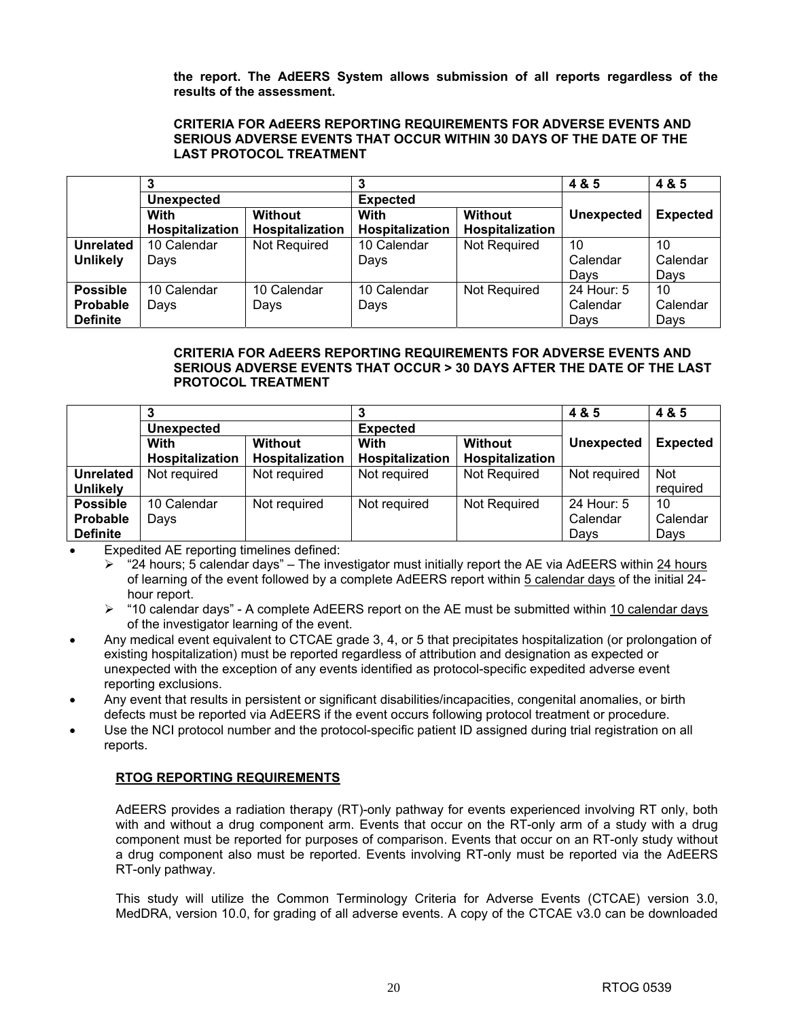**the report. The AdEERS System allows submission of all reports regardless of the results of the assessment.** 

#### **CRITERIA FOR AdEERS REPORTING REQUIREMENTS FOR ADVERSE EVENTS AND SERIOUS ADVERSE EVENTS THAT OCCUR WITHIN 30 DAYS OF THE DATE OF THE LAST PROTOCOL TREATMENT**

|                  | 3                 |                 |                 |                 | 4 & 5             | 4 & 5           |
|------------------|-------------------|-----------------|-----------------|-----------------|-------------------|-----------------|
|                  | <b>Unexpected</b> |                 | <b>Expected</b> |                 |                   |                 |
|                  | With              | <b>Without</b>  | With            | <b>Without</b>  | <b>Unexpected</b> | <b>Expected</b> |
|                  | Hospitalization   | Hospitalization | Hospitalization | Hospitalization |                   |                 |
| <b>Unrelated</b> | 10 Calendar       | Not Required    | 10 Calendar     | Not Required    | 10                | 10              |
| <b>Unlikely</b>  | Days              |                 | Days            |                 | Calendar          | Calendar        |
|                  |                   |                 |                 |                 | Davs              | Days            |
| <b>Possible</b>  | 10 Calendar       | 10 Calendar     | 10 Calendar     | Not Required    | 24 Hour: 5        | 10              |
| Probable         | Days              | Days            | Days            |                 | Calendar          | Calendar        |
| <b>Definite</b>  |                   |                 |                 |                 | Days              | Days            |

### **CRITERIA FOR AdEERS REPORTING REQUIREMENTS FOR ADVERSE EVENTS AND SERIOUS ADVERSE EVENTS THAT OCCUR > 30 DAYS AFTER THE DATE OF THE LAST PROTOCOL TREATMENT**

|                  |                   |                 |                        |                 | 4 & 5        | 4 & 5           |
|------------------|-------------------|-----------------|------------------------|-----------------|--------------|-----------------|
|                  | <b>Unexpected</b> |                 | <b>Expected</b>        |                 |              |                 |
|                  | With              | <b>Without</b>  | With                   | Without         | Unexpected   | <b>Expected</b> |
|                  | Hospitalization   | Hospitalization | <b>Hospitalization</b> | Hospitalization |              |                 |
| <b>Unrelated</b> | Not required      | Not required    | Not required           | Not Required    | Not required | <b>Not</b>      |
| <b>Unlikely</b>  |                   |                 |                        |                 |              | required        |
| <b>Possible</b>  | 10 Calendar       | Not required    | Not required           | Not Required    | 24 Hour: 5   | 10              |
| Probable         | Days              |                 |                        |                 | Calendar     | Calendar        |
| <b>Definite</b>  |                   |                 |                        |                 | Davs         | Days            |

Expedited AE reporting timelines defined:

- $▶$  "24 hours; 5 calendar days" The investigator must initially report the AE via AdEERS within 24 hours of learning of the event followed by a complete AdEERS report within 5 calendar days of the initial 24hour report.
- ¾ "10 calendar days" A complete AdEERS report on the AE must be submitted within 10 calendar days of the investigator learning of the event.
- Any medical event equivalent to CTCAE grade 3, 4, or 5 that precipitates hospitalization (or prolongation of existing hospitalization) must be reported regardless of attribution and designation as expected or unexpected with the exception of any events identified as protocol-specific expedited adverse event reporting exclusions.
- Any event that results in persistent or significant disabilities/incapacities, congenital anomalies, or birth defects must be reported via AdEERS if the event occurs following protocol treatment or procedure.
- Use the NCI protocol number and the protocol-specific patient ID assigned during trial registration on all reports.

# **RTOG REPORTING REQUIREMENTS**

AdEERS provides a radiation therapy (RT)-only pathway for events experienced involving RT only, both with and without a drug component arm. Events that occur on the RT-only arm of a study with a drug component must be reported for purposes of comparison. Events that occur on an RT-only study without a drug component also must be reported. Events involving RT-only must be reported via the AdEERS RT-only pathway.

This study will utilize the Common Terminology Criteria for Adverse Events (CTCAE) version 3.0, MedDRA, version 10.0, for grading of all adverse events. A copy of the CTCAE v3.0 can be downloaded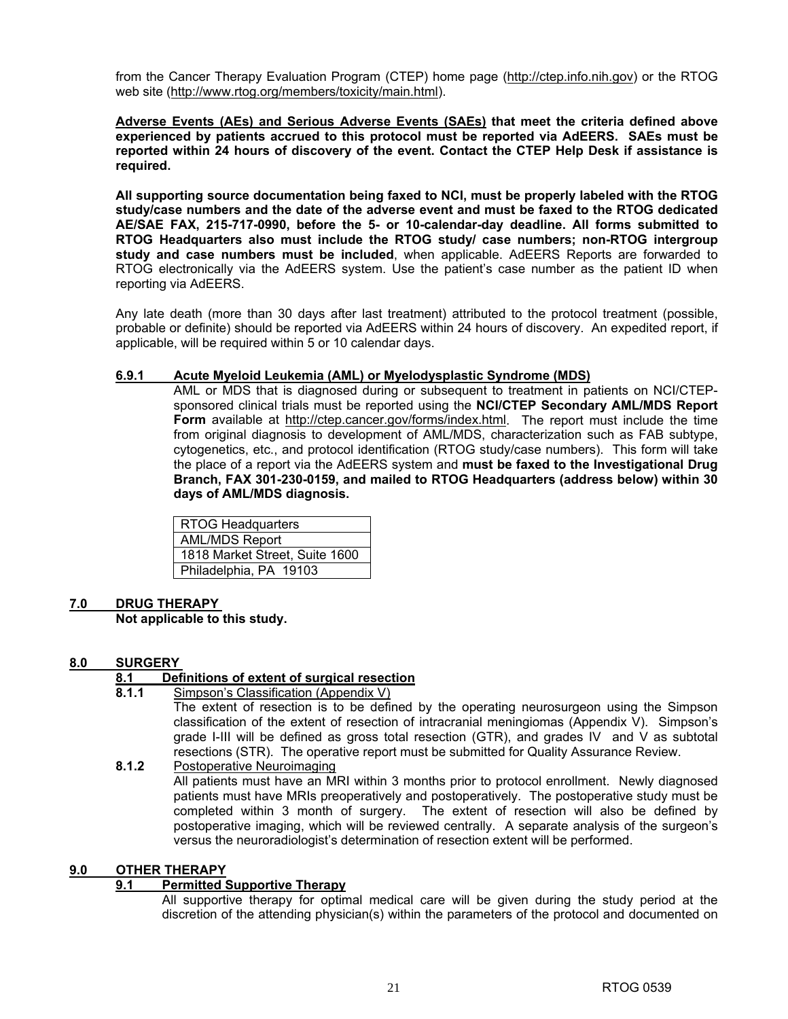from the Cancer Therapy Evaluation Program (CTEP) home page (http://ctep.info.nih.gov) or the RTOG web site (http://www.rtog.org/members/toxicity/main.html).

**Adverse Events (AEs) and Serious Adverse Events (SAEs) that meet the criteria defined above experienced by patients accrued to this protocol must be reported via AdEERS. SAEs must be reported within 24 hours of discovery of the event. Contact the CTEP Help Desk if assistance is required.** 

**All supporting source documentation being faxed to NCI, must be properly labeled with the RTOG study/case numbers and the date of the adverse event and must be faxed to the RTOG dedicated AE/SAE FAX, 215-717-0990, before the 5- or 10-calendar-day deadline. All forms submitted to RTOG Headquarters also must include the RTOG study/ case numbers; non-RTOG intergroup study and case numbers must be included**, when applicable. AdEERS Reports are forwarded to RTOG electronically via the AdEERS system. Use the patient's case number as the patient ID when reporting via AdEERS.

Any late death (more than 30 days after last treatment) attributed to the protocol treatment (possible, probable or definite) should be reported via AdEERS within 24 hours of discovery. An expedited report, if applicable, will be required within 5 or 10 calendar days.

### **6.9.1 Acute Myeloid Leukemia (AML) or Myelodysplastic Syndrome (MDS)**

 AML or MDS that is diagnosed during or subsequent to treatment in patients on NCI/CTEPsponsored clinical trials must be reported using the **NCI/CTEP Secondary AML/MDS Report Form** available at http://ctep.cancer.gov/forms/index.html. The report must include the time from original diagnosis to development of AML/MDS, characterization such as FAB subtype, cytogenetics, etc., and protocol identification (RTOG study/case numbers). This form will take the place of a report via the AdEERS system and **must be faxed to the Investigational Drug Branch, FAX 301-230-0159, and mailed to RTOG Headquarters (address below) within 30 days of AML/MDS diagnosis.** 

RTOG Headquarters AML/MDS Report 1818 Market Street, Suite 1600 Philadelphia, PA 19103

#### **7.0 DRUG THERAPY Not applicable to this study.**

#### **8.0 SURGERY**

# **8.1 Definitions of extent of surgical resection**

**8.1.1** Simpson's Classification (Appendix V)

The extent of resection is to be defined by the operating neurosurgeon using the Simpson classification of the extent of resection of intracranial meningiomas (Appendix V). Simpson's grade I-III will be defined as gross total resection (GTR), and grades IV and V as subtotal resections (STR). The operative report must be submitted for Quality Assurance Review.

**8.1.2** Postoperative Neuroimaging All patients must have an MRI within 3 months prior to protocol enrollment. Newly diagnosed patients must have MRIs preoperatively and postoperatively. The postoperative study must be completed within 3 month of surgery. The extent of resection will also be defined by postoperative imaging, which will be reviewed centrally. A separate analysis of the surgeon's versus the neuroradiologist's determination of resection extent will be performed.

# **9.0 OTHER THERAPY**

# **9.1 Permitted Supportive Therapy**

All supportive therapy for optimal medical care will be given during the study period at the discretion of the attending physician(s) within the parameters of the protocol and documented on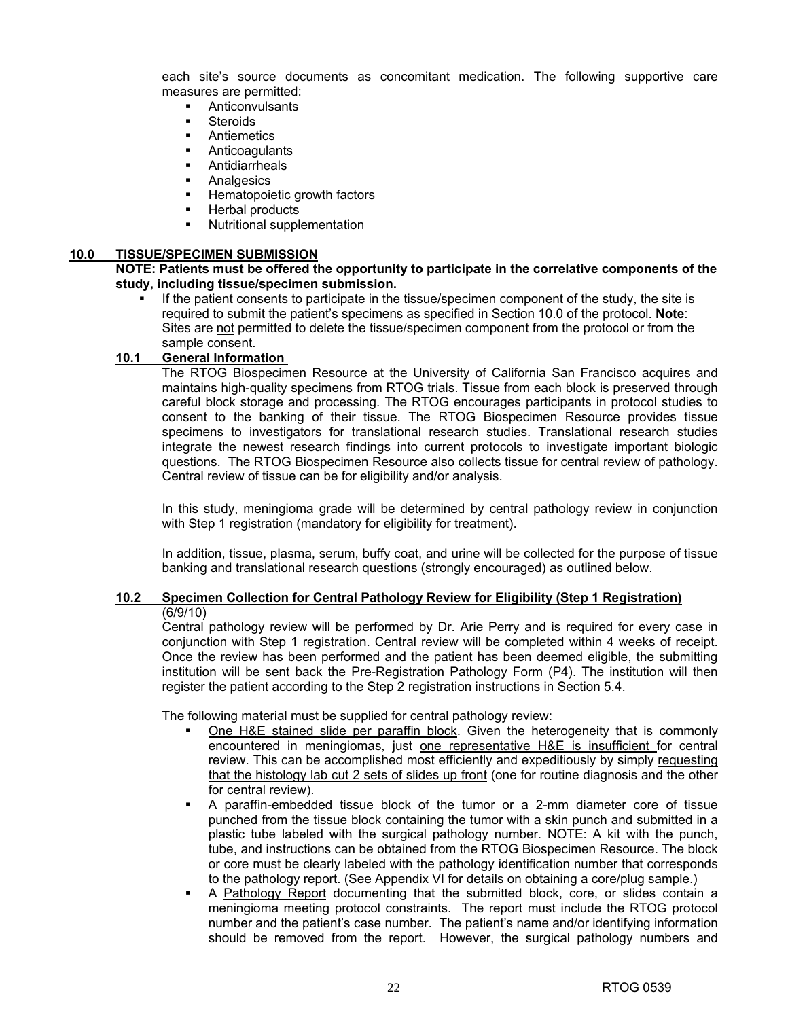each site's source documents as concomitant medication. The following supportive care measures are permitted:

- **Anticonvulsants**
- **Steroids**
- Antiemetics
- Anticoagulants
- **E** Antidiarrheals
- **Analgesics**
- **Hematopoietic growth factors**
- **Herbal products**
- Nutritional supplementation

#### **10.0 TISSUE/SPECIMEN SUBMISSION**

#### **NOTE: Patients must be offered the opportunity to participate in the correlative components of the study, including tissue/specimen submission.**

 If the patient consents to participate in the tissue/specimen component of the study, the site is required to submit the patient's specimens as specified in Section 10.0 of the protocol. **Note**: Sites are not permitted to delete the tissue/specimen component from the protocol or from the sample consent.

#### **10.1 General Information**

The RTOG Biospecimen Resource at the University of California San Francisco acquires and maintains high-quality specimens from RTOG trials. Tissue from each block is preserved through careful block storage and processing. The RTOG encourages participants in protocol studies to consent to the banking of their tissue. The RTOG Biospecimen Resource provides tissue specimens to investigators for translational research studies. Translational research studies integrate the newest research findings into current protocols to investigate important biologic questions. The RTOG Biospecimen Resource also collects tissue for central review of pathology. Central review of tissue can be for eligibility and/or analysis.

In this study, meningioma grade will be determined by central pathology review in conjunction with Step 1 registration (mandatory for eligibility for treatment).

In addition, tissue, plasma, serum, buffy coat, and urine will be collected for the purpose of tissue banking and translational research questions (strongly encouraged) as outlined below.

#### **10.2 Specimen Collection for Central Pathology Review for Eligibility (Step 1 Registration)** (6/9/10)

Central pathology review will be performed by Dr. Arie Perry and is required for every case in conjunction with Step 1 registration. Central review will be completed within 4 weeks of receipt. Once the review has been performed and the patient has been deemed eligible, the submitting institution will be sent back the Pre-Registration Pathology Form (P4). The institution will then register the patient according to the Step 2 registration instructions in Section 5.4.

The following material must be supplied for central pathology review:

- One H&E stained slide per paraffin block. Given the heterogeneity that is commonly encountered in meningiomas, just one representative H&E is insufficient for central review. This can be accomplished most efficiently and expeditiously by simply requesting that the histology lab cut 2 sets of slides up front (one for routine diagnosis and the other for central review).
- A paraffin-embedded tissue block of the tumor or a 2-mm diameter core of tissue punched from the tissue block containing the tumor with a skin punch and submitted in a plastic tube labeled with the surgical pathology number. NOTE: A kit with the punch, tube, and instructions can be obtained from the RTOG Biospecimen Resource. The block or core must be clearly labeled with the pathology identification number that corresponds to the pathology report. (See Appendix VI for details on obtaining a core/plug sample.)
- A Pathology Report documenting that the submitted block, core, or slides contain a meningioma meeting protocol constraints. The report must include the RTOG protocol number and the patient's case number. The patient's name and/or identifying information should be removed from the report. However, the surgical pathology numbers and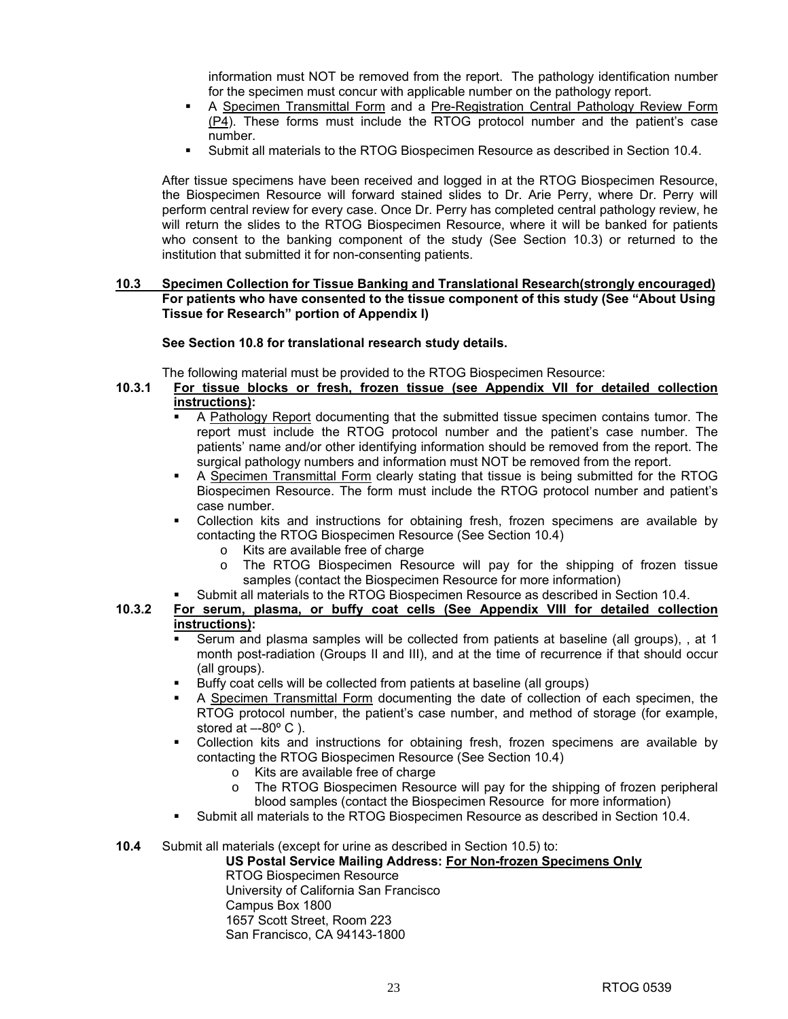information must NOT be removed from the report. The pathology identification number for the specimen must concur with applicable number on the pathology report.

- A Specimen Transmittal Form and a Pre-Registration Central Pathology Review Form (P4). These forms must include the RTOG protocol number and the patient's case number.
- Submit all materials to the RTOG Biospecimen Resource as described in Section 10.4.

After tissue specimens have been received and logged in at the RTOG Biospecimen Resource, the Biospecimen Resource will forward stained slides to Dr. Arie Perry, where Dr. Perry will perform central review for every case. Once Dr. Perry has completed central pathology review, he will return the slides to the RTOG Biospecimen Resource, where it will be banked for patients who consent to the banking component of the study (See Section 10.3) or returned to the institution that submitted it for non-consenting patients.

#### **10.3 Specimen Collection for Tissue Banking and Translational Research(strongly encouraged) For patients who have consented to the tissue component of this study (See "About Using Tissue for Research" portion of Appendix I)**

#### **See Section 10.8 for translational research study details.**

The following material must be provided to the RTOG Biospecimen Resource:

- **10.3.1 For tissue blocks or fresh, frozen tissue (see Appendix VII for detailed collection instructions):**
	- A Pathology Report documenting that the submitted tissue specimen contains tumor. The report must include the RTOG protocol number and the patient's case number. The patients' name and/or other identifying information should be removed from the report. The surgical pathology numbers and information must NOT be removed from the report.
	- A Specimen Transmittal Form clearly stating that tissue is being submitted for the RTOG Biospecimen Resource. The form must include the RTOG protocol number and patient's case number.
	- Collection kits and instructions for obtaining fresh, frozen specimens are available by contacting the RTOG Biospecimen Resource (See Section 10.4)
		- $\circ$  Kits are available free of charge
		- o The RTOG Biospecimen Resource will pay for the shipping of frozen tissue samples (contact the Biospecimen Resource for more information)

#### Submit all materials to the RTOG Biospecimen Resource as described in Section 10.4.

# **10.3.2 For serum, plasma, or buffy coat cells (See Appendix VIII for detailed collection instructions):**

- Serum and plasma samples will be collected from patients at baseline (all groups), , at 1 month post-radiation (Groups II and III), and at the time of recurrence if that should occur (all groups).
- Buffy coat cells will be collected from patients at baseline (all groups)
- A Specimen Transmittal Form documenting the date of collection of each specimen, the RTOG protocol number, the patient's case number, and method of storage (for example, stored at  $-80^\circ$  C).
- Collection kits and instructions for obtaining fresh, frozen specimens are available by contacting the RTOG Biospecimen Resource (See Section 10.4)
	- o Kits are available free of charge
	- o The RTOG Biospecimen Resource will pay for the shipping of frozen peripheral blood samples (contact the Biospecimen Resource for more information)
- Submit all materials to the RTOG Biospecimen Resource as described in Section 10.4.

# **10.4** Submit all materials (except for urine as described in Section 10.5) to:

**US Postal Service Mailing Address: For Non-frozen Specimens Only** RTOG Biospecimen Resource University of California San Francisco Campus Box 1800 1657 Scott Street, Room 223

San Francisco, CA 94143-1800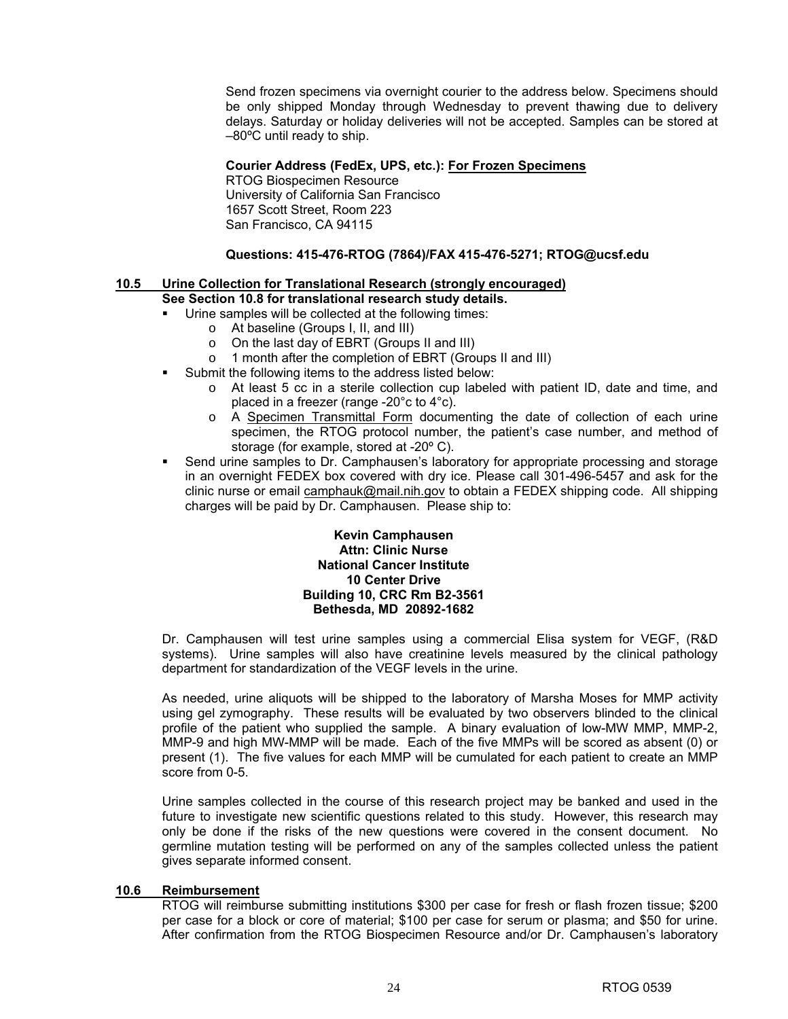Send frozen specimens via overnight courier to the address below. Specimens should be only shipped Monday through Wednesday to prevent thawing due to delivery delays. Saturday or holiday deliveries will not be accepted. Samples can be stored at –80ºC until ready to ship.

#### **Courier Address (FedEx, UPS, etc.): For Frozen Specimens**

RTOG Biospecimen Resource University of California San Francisco 1657 Scott Street, Room 223 San Francisco, CA 94115

#### **Questions: 415-476-RTOG (7864)/FAX 415-476-5271; RTOG@ucsf.edu**

### **10.5 Urine Collection for Translational Research (strongly encouraged)**

# **See Section 10.8 for translational research study details.**

- Urine samples will be collected at the following times:
	- o At baseline (Groups I, II, and III)
	- o On the last day of EBRT (Groups II and III)
	- o 1 month after the completion of EBRT (Groups II and III)
- Submit the following items to the address listed below:
	- o At least 5 cc in a sterile collection cup labeled with patient ID, date and time, and placed in a freezer (range -20°c to 4°c).
	- o A Specimen Transmittal Form documenting the date of collection of each urine specimen, the RTOG protocol number, the patient's case number, and method of storage (for example, stored at -20º C).
- Send urine samples to Dr. Camphausen's laboratory for appropriate processing and storage in an overnight FEDEX box covered with dry ice. Please call 301-496-5457 and ask for the clinic nurse or email camphauk@mail.nih.gov to obtain a FEDEX shipping code. All shipping charges will be paid by Dr. Camphausen. Please ship to:

#### **Kevin Camphausen Attn: Clinic Nurse National Cancer Institute 10 Center Drive Building 10, CRC Rm B2-3561 Bethesda, MD 20892-1682**

Dr. Camphausen will test urine samples using a commercial Elisa system for VEGF, (R&D systems). Urine samples will also have creatinine levels measured by the clinical pathology department for standardization of the VEGF levels in the urine.

As needed, urine aliquots will be shipped to the laboratory of Marsha Moses for MMP activity using gel zymography. These results will be evaluated by two observers blinded to the clinical profile of the patient who supplied the sample. A binary evaluation of low-MW MMP, MMP-2, MMP-9 and high MW-MMP will be made. Each of the five MMPs will be scored as absent (0) or present (1). The five values for each MMP will be cumulated for each patient to create an MMP score from 0-5.

Urine samples collected in the course of this research project may be banked and used in the future to investigate new scientific questions related to this study. However, this research may only be done if the risks of the new questions were covered in the consent document. No germline mutation testing will be performed on any of the samples collected unless the patient gives separate informed consent.

#### **10.6 Reimbursement**

RTOG will reimburse submitting institutions \$300 per case for fresh or flash frozen tissue; \$200 per case for a block or core of material; \$100 per case for serum or plasma; and \$50 for urine. After confirmation from the RTOG Biospecimen Resource and/or Dr. Camphausen's laboratory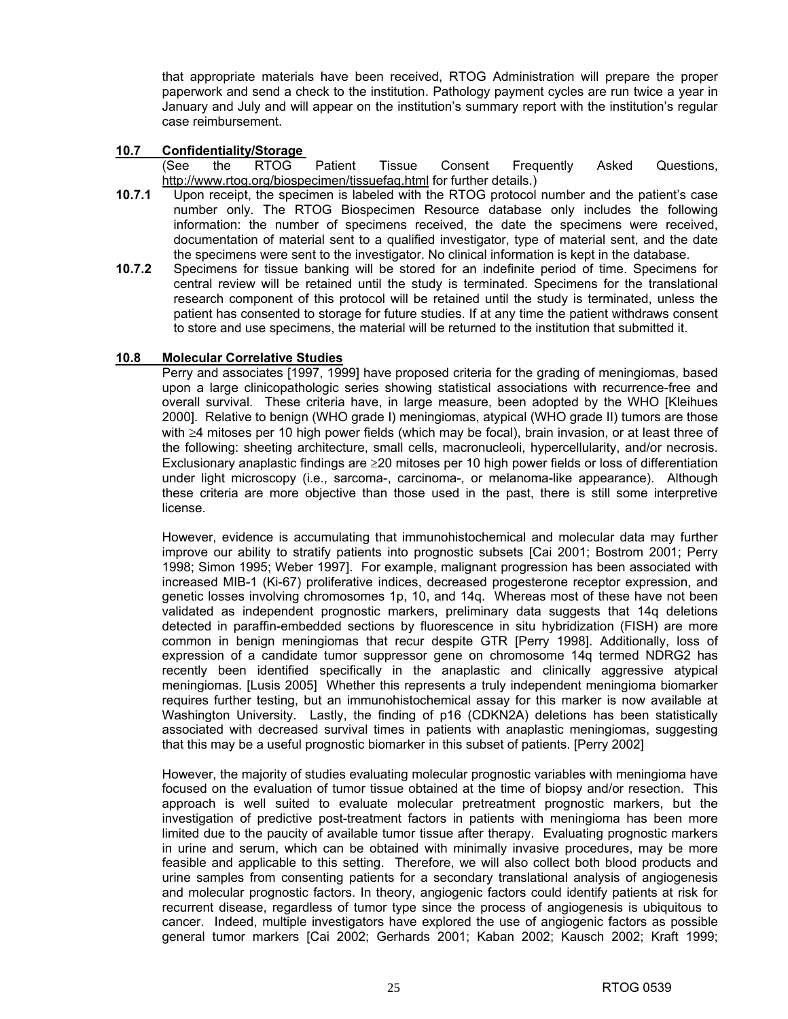that appropriate materials have been received, RTOG Administration will prepare the proper paperwork and send a check to the institution. Pathology payment cycles are run twice a year in January and July and will appear on the institution's summary report with the institution's regular case reimbursement.

#### **10.7 Confidentiality/Storage**

- (See the RTOG Patient Tissue Consent Frequently Asked Questions, http://www.rtog.org/biospecimen/tissuefaq.html for further details.)
- **10.7.1** Upon receipt, the specimen is labeled with the RTOG protocol number and the patient's case number only. The RTOG Biospecimen Resource database only includes the following information: the number of specimens received, the date the specimens were received, documentation of material sent to a qualified investigator, type of material sent, and the date the specimens were sent to the investigator. No clinical information is kept in the database.
- **10.7.2** Specimens for tissue banking will be stored for an indefinite period of time. Specimens for central review will be retained until the study is terminated. Specimens for the translational research component of this protocol will be retained until the study is terminated, unless the patient has consented to storage for future studies. If at any time the patient withdraws consent to store and use specimens, the material will be returned to the institution that submitted it.

### **10.8 Molecular Correlative Studies**

Perry and associates [1997, 1999] have proposed criteria for the grading of meningiomas, based upon a large clinicopathologic series showing statistical associations with recurrence-free and overall survival. These criteria have, in large measure, been adopted by the WHO [Kleihues 2000]. Relative to benign (WHO grade I) meningiomas, atypical (WHO grade II) tumors are those with ≥4 mitoses per 10 high power fields (which may be focal), brain invasion, or at least three of the following: sheeting architecture, small cells, macronucleoli, hypercellularity, and/or necrosis. Exclusionary anaplastic findings are ≥20 mitoses per 10 high power fields or loss of differentiation under light microscopy (i.e., sarcoma-, carcinoma-, or melanoma-like appearance). Although these criteria are more objective than those used in the past, there is still some interpretive license.

However, evidence is accumulating that immunohistochemical and molecular data may further improve our ability to stratify patients into prognostic subsets [Cai 2001; Bostrom 2001; Perry 1998; Simon 1995; Weber 1997]. For example, malignant progression has been associated with increased MIB-1 (Ki-67) proliferative indices, decreased progesterone receptor expression, and genetic losses involving chromosomes 1p, 10, and 14q. Whereas most of these have not been validated as independent prognostic markers, preliminary data suggests that 14q deletions detected in paraffin-embedded sections by fluorescence in situ hybridization (FISH) are more common in benign meningiomas that recur despite GTR [Perry 1998]. Additionally, loss of expression of a candidate tumor suppressor gene on chromosome 14q termed NDRG2 has recently been identified specifically in the anaplastic and clinically aggressive atypical meningiomas. [Lusis 2005] Whether this represents a truly independent meningioma biomarker requires further testing, but an immunohistochemical assay for this marker is now available at Washington University. Lastly, the finding of p16 (CDKN2A) deletions has been statistically associated with decreased survival times in patients with anaplastic meningiomas, suggesting that this may be a useful prognostic biomarker in this subset of patients. [Perry 2002]

However, the majority of studies evaluating molecular prognostic variables with meningioma have focused on the evaluation of tumor tissue obtained at the time of biopsy and/or resection. This approach is well suited to evaluate molecular pretreatment prognostic markers, but the investigation of predictive post-treatment factors in patients with meningioma has been more limited due to the paucity of available tumor tissue after therapy. Evaluating prognostic markers in urine and serum, which can be obtained with minimally invasive procedures, may be more feasible and applicable to this setting. Therefore, we will also collect both blood products and urine samples from consenting patients for a secondary translational analysis of angiogenesis and molecular prognostic factors. In theory, angiogenic factors could identify patients at risk for recurrent disease, regardless of tumor type since the process of angiogenesis is ubiquitous to cancer. Indeed, multiple investigators have explored the use of angiogenic factors as possible general tumor markers [Cai 2002; Gerhards 2001; Kaban 2002; Kausch 2002; Kraft 1999;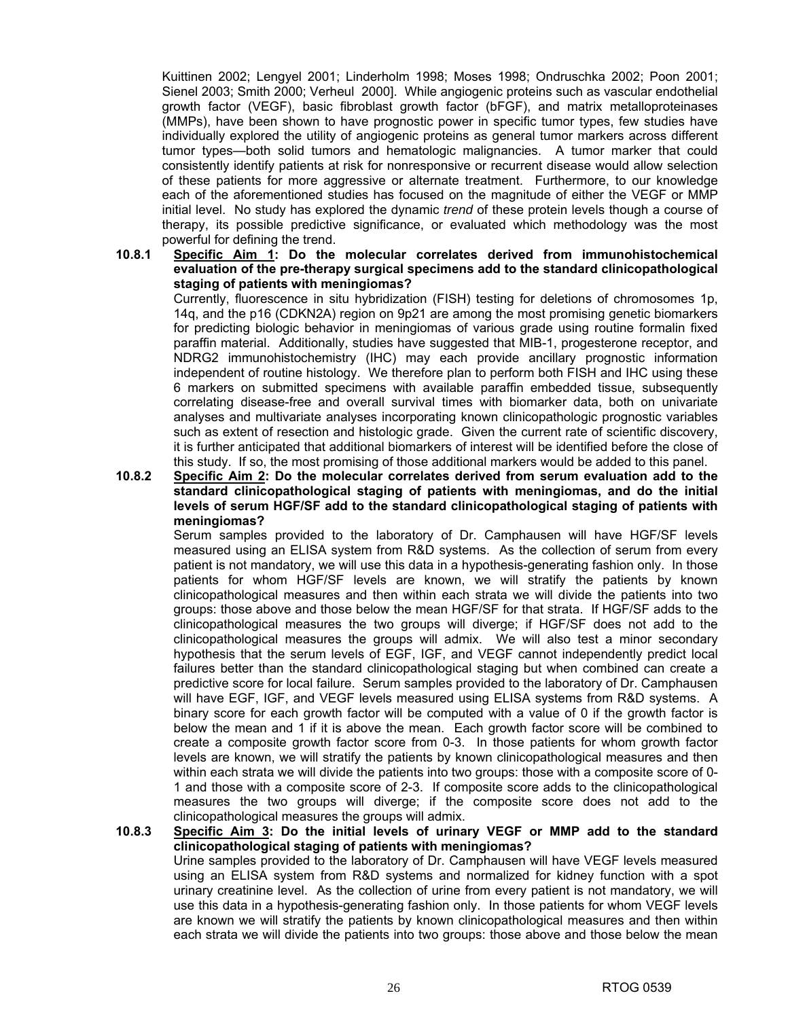Kuittinen 2002; Lengyel 2001; Linderholm 1998; Moses 1998; Ondruschka 2002; Poon 2001; Sienel 2003; Smith 2000; Verheul 2000]. While angiogenic proteins such as vascular endothelial growth factor (VEGF), basic fibroblast growth factor (bFGF), and matrix metalloproteinases (MMPs), have been shown to have prognostic power in specific tumor types, few studies have individually explored the utility of angiogenic proteins as general tumor markers across different tumor types—both solid tumors and hematologic malignancies. A tumor marker that could consistently identify patients at risk for nonresponsive or recurrent disease would allow selection of these patients for more aggressive or alternate treatment. Furthermore, to our knowledge each of the aforementioned studies has focused on the magnitude of either the VEGF or MMP initial level. No study has explored the dynamic *trend* of these protein levels though a course of therapy, its possible predictive significance, or evaluated which methodology was the most powerful for defining the trend.

#### **10.8.1 Specific Aim 1: Do the molecular correlates derived from immunohistochemical evaluation of the pre-therapy surgical specimens add to the standard clinicopathological staging of patients with meningiomas?**

Currently, fluorescence in situ hybridization (FISH) testing for deletions of chromosomes 1p, 14q, and the p16 (CDKN2A) region on 9p21 are among the most promising genetic biomarkers for predicting biologic behavior in meningiomas of various grade using routine formalin fixed paraffin material. Additionally, studies have suggested that MIB-1, progesterone receptor, and NDRG2 immunohistochemistry (IHC) may each provide ancillary prognostic information independent of routine histology. We therefore plan to perform both FISH and IHC using these 6 markers on submitted specimens with available paraffin embedded tissue, subsequently correlating disease-free and overall survival times with biomarker data, both on univariate analyses and multivariate analyses incorporating known clinicopathologic prognostic variables such as extent of resection and histologic grade. Given the current rate of scientific discovery, it is further anticipated that additional biomarkers of interest will be identified before the close of this study. If so, the most promising of those additional markers would be added to this panel.

#### **10.8.2 Specific Aim 2: Do the molecular correlates derived from serum evaluation add to the standard clinicopathological staging of patients with meningiomas, and do the initial levels of serum HGF/SF add to the standard clinicopathological staging of patients with meningiomas?**

Serum samples provided to the laboratory of Dr. Camphausen will have HGF/SF levels measured using an ELISA system from R&D systems. As the collection of serum from every patient is not mandatory, we will use this data in a hypothesis-generating fashion only. In those patients for whom HGF/SF levels are known, we will stratify the patients by known clinicopathological measures and then within each strata we will divide the patients into two groups: those above and those below the mean HGF/SF for that strata. If HGF/SF adds to the clinicopathological measures the two groups will diverge; if HGF/SF does not add to the clinicopathological measures the groups will admix. We will also test a minor secondary hypothesis that the serum levels of EGF, IGF, and VEGF cannot independently predict local failures better than the standard clinicopathological staging but when combined can create a predictive score for local failure. Serum samples provided to the laboratory of Dr. Camphausen will have EGF, IGF, and VEGF levels measured using ELISA systems from R&D systems. A binary score for each growth factor will be computed with a value of 0 if the growth factor is below the mean and 1 if it is above the mean. Each growth factor score will be combined to create a composite growth factor score from 0-3. In those patients for whom growth factor levels are known, we will stratify the patients by known clinicopathological measures and then within each strata we will divide the patients into two groups: those with a composite score of 0- 1 and those with a composite score of 2-3. If composite score adds to the clinicopathological measures the two groups will diverge; if the composite score does not add to the clinicopathological measures the groups will admix.

# **10.8.3 Specific Aim 3: Do the initial levels of urinary VEGF or MMP add to the standard clinicopathological staging of patients with meningiomas?**

Urine samples provided to the laboratory of Dr. Camphausen will have VEGF levels measured using an ELISA system from R&D systems and normalized for kidney function with a spot urinary creatinine level. As the collection of urine from every patient is not mandatory, we will use this data in a hypothesis-generating fashion only. In those patients for whom VEGF levels are known we will stratify the patients by known clinicopathological measures and then within each strata we will divide the patients into two groups: those above and those below the mean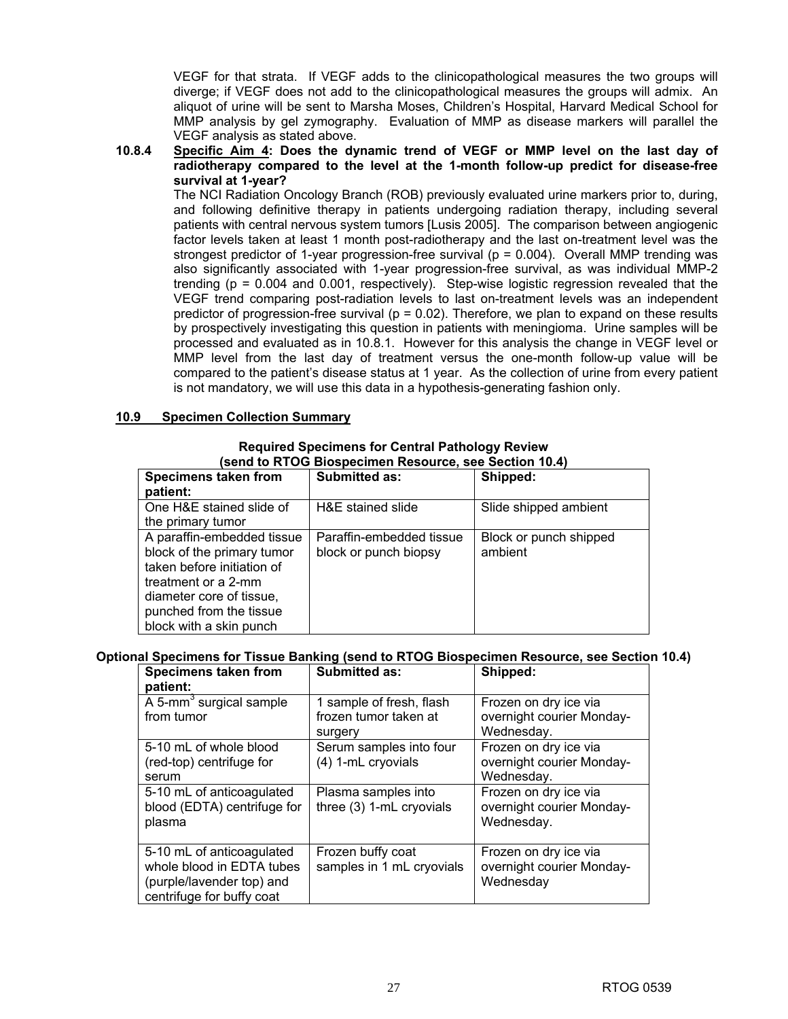VEGF for that strata. If VEGF adds to the clinicopathological measures the two groups will diverge; if VEGF does not add to the clinicopathological measures the groups will admix. An aliquot of urine will be sent to Marsha Moses, Children's Hospital, Harvard Medical School for MMP analysis by gel zymography. Evaluation of MMP as disease markers will parallel the VEGF analysis as stated above.

**10.8.4 Specific Aim 4: Does the dynamic trend of VEGF or MMP level on the last day of radiotherapy compared to the level at the 1-month follow-up predict for disease-free survival at 1-year?** 

The NCI Radiation Oncology Branch (ROB) previously evaluated urine markers prior to, during, and following definitive therapy in patients undergoing radiation therapy, including several patients with central nervous system tumors [Lusis 2005]. The comparison between angiogenic factor levels taken at least 1 month post-radiotherapy and the last on-treatment level was the strongest predictor of 1-year progression-free survival ( $p = 0.004$ ). Overall MMP trending was also significantly associated with 1-year progression-free survival, as was individual MMP-2 trending ( $p = 0.004$  and 0.001, respectively). Step-wise logistic regression revealed that the VEGF trend comparing post-radiation levels to last on-treatment levels was an independent predictor of progression-free survival ( $p = 0.02$ ). Therefore, we plan to expand on these results by prospectively investigating this question in patients with meningioma. Urine samples will be processed and evaluated as in 10.8.1. However for this analysis the change in VEGF level or MMP level from the last day of treatment versus the one-month follow-up value will be compared to the patient's disease status at 1 year. As the collection of urine from every patient is not mandatory, we will use this data in a hypothesis-generating fashion only.

#### **10.9 Specimen Collection Summary**

#### **Required Specimens for Central Pathology Review (send to RTOG Biospecimen Resource, see Section 10.4)**

| send to KTOG Diospectinen Resource, see Section T0.4) |                          |                        |  |  |  |
|-------------------------------------------------------|--------------------------|------------------------|--|--|--|
| Specimens taken from                                  | <b>Submitted as:</b>     | Shipped:               |  |  |  |
| patient:                                              |                          |                        |  |  |  |
| One H&E stained slide of                              | H&E stained slide        | Slide shipped ambient  |  |  |  |
| the primary tumor                                     |                          |                        |  |  |  |
| A paraffin-embedded tissue                            | Paraffin-embedded tissue | Block or punch shipped |  |  |  |
| block of the primary tumor                            | block or punch biopsy    | ambient                |  |  |  |
| taken before initiation of                            |                          |                        |  |  |  |
| treatment or a 2-mm                                   |                          |                        |  |  |  |
| diameter core of tissue,                              |                          |                        |  |  |  |
| punched from the tissue                               |                          |                        |  |  |  |
| block with a skin punch                               |                          |                        |  |  |  |

# **Optional Specimens for Tissue Banking (send to RTOG Biospecimen Resource, see Section 10.4)**

| <b>Specimens taken from</b><br>patient:                                                                          | <b>Submitted as:</b>                            | Shipped:                                                         |
|------------------------------------------------------------------------------------------------------------------|-------------------------------------------------|------------------------------------------------------------------|
| A 5-mm <sup>3</sup> surgical sample                                                                              | 1 sample of fresh, flash                        | Frozen on dry ice via                                            |
| from tumor                                                                                                       | frozen tumor taken at<br>surgery                | overnight courier Monday-<br>Wednesday.                          |
| 5-10 mL of whole blood<br>(red-top) centrifuge for<br>serum                                                      | Serum samples into four<br>(4) 1-mL cryovials   | Frozen on dry ice via<br>overnight courier Monday-<br>Wednesday. |
| 5-10 mL of anticoagulated<br>blood (EDTA) centrifuge for<br>plasma                                               | Plasma samples into<br>three (3) 1-mL cryovials | Frozen on dry ice via<br>overnight courier Monday-<br>Wednesday. |
| 5-10 mL of anticoagulated<br>whole blood in EDTA tubes<br>(purple/lavender top) and<br>centrifuge for buffy coat | Frozen buffy coat<br>samples in 1 mL cryovials  | Frozen on dry ice via<br>overnight courier Monday-<br>Wednesday  |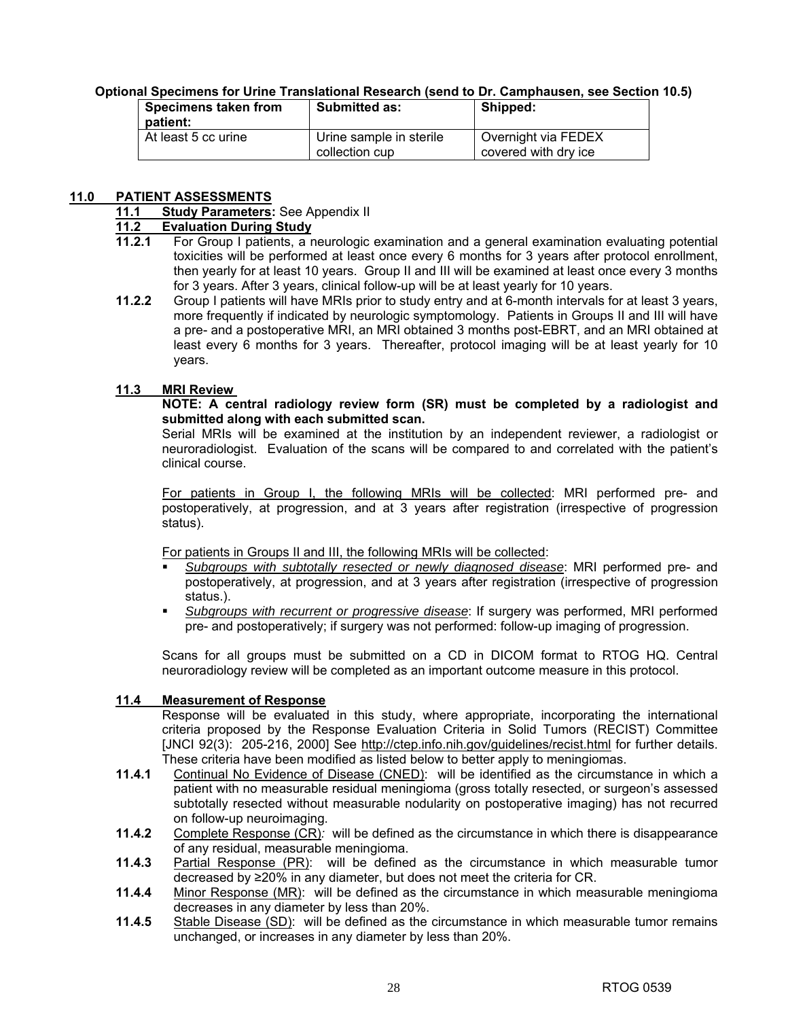# **Optional Specimens for Urine Translational Research (send to Dr. Camphausen, see Section 10.5)**

| Specimens taken from<br>patient: | <b>Submitted as:</b>    | Shipped:             |
|----------------------------------|-------------------------|----------------------|
| At least 5 cc urine              | Urine sample in sterile | Overnight via FEDEX  |
|                                  | collection cup          | covered with dry ice |

#### **11.0 PATIENT ASSESSMENTS**

#### **11.1 Study Parameters:** See Appendix II

# **11.2 Evaluation During Study**

- **11.2.1** For Group I patients, a neurologic examination and a general examination evaluating potential toxicities will be performed at least once every 6 months for 3 years after protocol enrollment, then yearly for at least 10 years. Group II and III will be examined at least once every 3 months for 3 years. After 3 years, clinical follow-up will be at least yearly for 10 years.
- **11.2.2** Group I patients will have MRIs prior to study entry and at 6-month intervals for at least 3 years, more frequently if indicated by neurologic symptomology. Patients in Groups II and III will have a pre- and a postoperative MRI, an MRI obtained 3 months post-EBRT, and an MRI obtained at least every 6 months for 3 years. Thereafter, protocol imaging will be at least yearly for 10 years.

#### **11.3 MRI Review**

#### **NOTE: A central radiology review form (SR) must be completed by a radiologist and submitted along with each submitted scan.**

 Serial MRIs will be examined at the institution by an independent reviewer, a radiologist or neuroradiologist. Evaluation of the scans will be compared to and correlated with the patient's clinical course.

 For patients in Group I, the following MRIs will be collected: MRI performed pre- and postoperatively, at progression, and at 3 years after registration (irrespective of progression status).

For patients in Groups II and III, the following MRIs will be collected:

- *Subgroups with subtotally resected or newly diagnosed disease*: MRI performed pre- and postoperatively, at progression, and at 3 years after registration (irrespective of progression status.).
- *Subgroups with recurrent or progressive disease*: If surgery was performed, MRI performed pre- and postoperatively; if surgery was not performed: follow-up imaging of progression.

 Scans for all groups must be submitted on a CD in DICOM format to RTOG HQ. Central neuroradiology review will be completed as an important outcome measure in this protocol.

#### **11.4 Measurement of Response**

 Response will be evaluated in this study, where appropriate, incorporating the international criteria proposed by the Response Evaluation Criteria in Solid Tumors (RECIST) Committee [JNCI 92(3): 205-216, 2000] See http://ctep.info.nih.gov/guidelines/recist.html for further details. These criteria have been modified as listed below to better apply to meningiomas.

- **11.4.1** Continual No Evidence of Disease (CNED): will be identified as the circumstance in which a patient with no measurable residual meningioma (gross totally resected, or surgeon's assessed subtotally resected without measurable nodularity on postoperative imaging) has not recurred on follow-up neuroimaging.
- **11.4.2** Complete Response (CR)*:* will be defined as the circumstance in which there is disappearance of any residual, measurable meningioma.
- **11.4.3** Partial Response (PR): will be defined as the circumstance in which measurable tumor decreased by ≥20% in any diameter, but does not meet the criteria for CR.
- **11.4.4** Minor Response (MR): will be defined as the circumstance in which measurable meningioma decreases in any diameter by less than 20%.
- **11.4.5** Stable Disease (SD): will be defined as the circumstance in which measurable tumor remains unchanged, or increases in any diameter by less than 20%.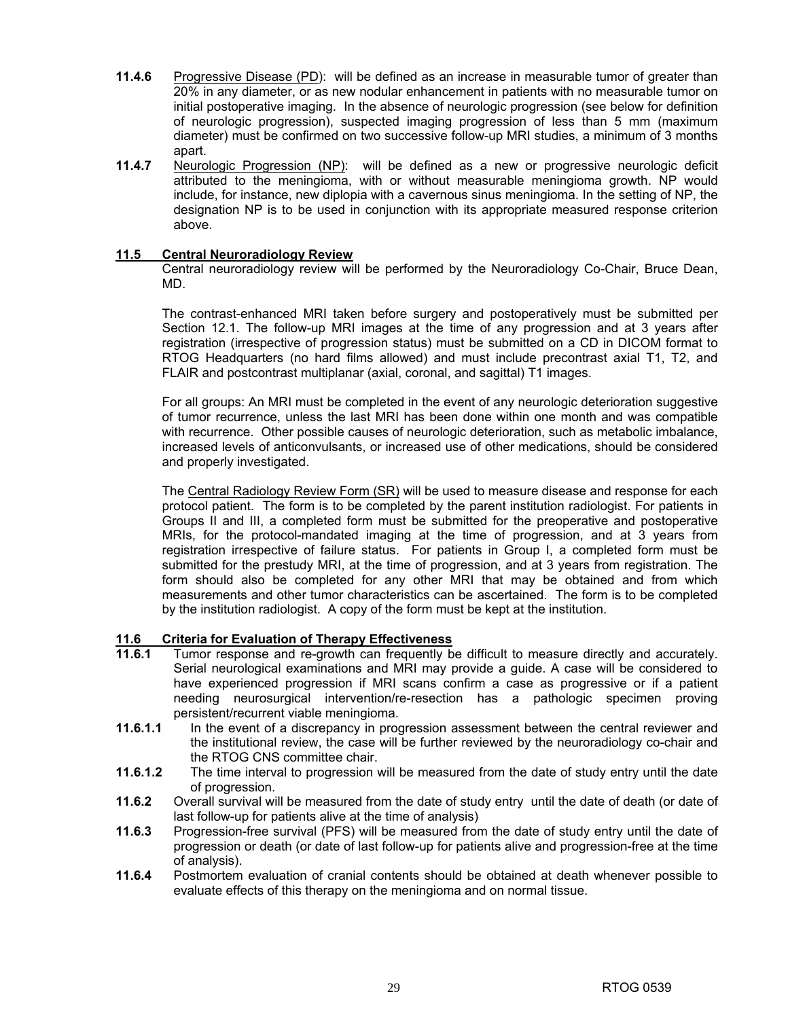- **11.4.6** Progressive Disease (PD): will be defined as an increase in measurable tumor of greater than 20% in any diameter, or as new nodular enhancement in patients with no measurable tumor on initial postoperative imaging. In the absence of neurologic progression (see below for definition of neurologic progression), suspected imaging progression of less than 5 mm (maximum diameter) must be confirmed on two successive follow-up MRI studies, a minimum of 3 months apart.
- **11.4.7** Neurologic Progression (NP): will be defined as a new or progressive neurologic deficit attributed to the meningioma, with or without measurable meningioma growth. NP would include, for instance, new diplopia with a cavernous sinus meningioma. In the setting of NP, the designation NP is to be used in conjunction with its appropriate measured response criterion above.

#### **11.5 Central Neuroradiology Review**

Central neuroradiology review will be performed by the Neuroradiology Co-Chair, Bruce Dean, MD.

The contrast-enhanced MRI taken before surgery and postoperatively must be submitted per Section 12.1. The follow-up MRI images at the time of any progression and at 3 years after registration (irrespective of progression status) must be submitted on a CD in DICOM format to RTOG Headquarters (no hard films allowed) and must include precontrast axial T1, T2, and FLAIR and postcontrast multiplanar (axial, coronal, and sagittal) T1 images.

For all groups: An MRI must be completed in the event of any neurologic deterioration suggestive of tumor recurrence, unless the last MRI has been done within one month and was compatible with recurrence. Other possible causes of neurologic deterioration, such as metabolic imbalance, increased levels of anticonvulsants, or increased use of other medications, should be considered and properly investigated.

The Central Radiology Review Form (SR) will be used to measure disease and response for each protocol patient. The form is to be completed by the parent institution radiologist. For patients in Groups II and III, a completed form must be submitted for the preoperative and postoperative MRIs, for the protocol-mandated imaging at the time of progression, and at 3 years from registration irrespective of failure status. For patients in Group I, a completed form must be submitted for the prestudy MRI, at the time of progression, and at 3 years from registration. The form should also be completed for any other MRI that may be obtained and from which measurements and other tumor characteristics can be ascertained. The form is to be completed by the institution radiologist. A copy of the form must be kept at the institution.

# **11.6 Criteria for Evaluation of Therapy Effectiveness**

- **11.6.1** Tumor response and re-growth can frequently be difficult to measure directly and accurately. Serial neurological examinations and MRI may provide a guide. A case will be considered to have experienced progression if MRI scans confirm a case as progressive or if a patient needing neurosurgical intervention/re-resection has a pathologic specimen proving persistent/recurrent viable meningioma.
- **11.6.1.1** In the event of a discrepancy in progression assessment between the central reviewer and the institutional review, the case will be further reviewed by the neuroradiology co-chair and the RTOG CNS committee chair.
- **11.6.1.2** The time interval to progression will be measured from the date of study entry until the date of progression.
- **11.6.2** Overall survival will be measured from the date of study entry until the date of death (or date of last follow-up for patients alive at the time of analysis)
- **11.6.3** Progression-free survival (PFS) will be measured from the date of study entry until the date of progression or death (or date of last follow-up for patients alive and progression-free at the time of analysis).
- **11.6.4** Postmortem evaluation of cranial contents should be obtained at death whenever possible to evaluate effects of this therapy on the meningioma and on normal tissue.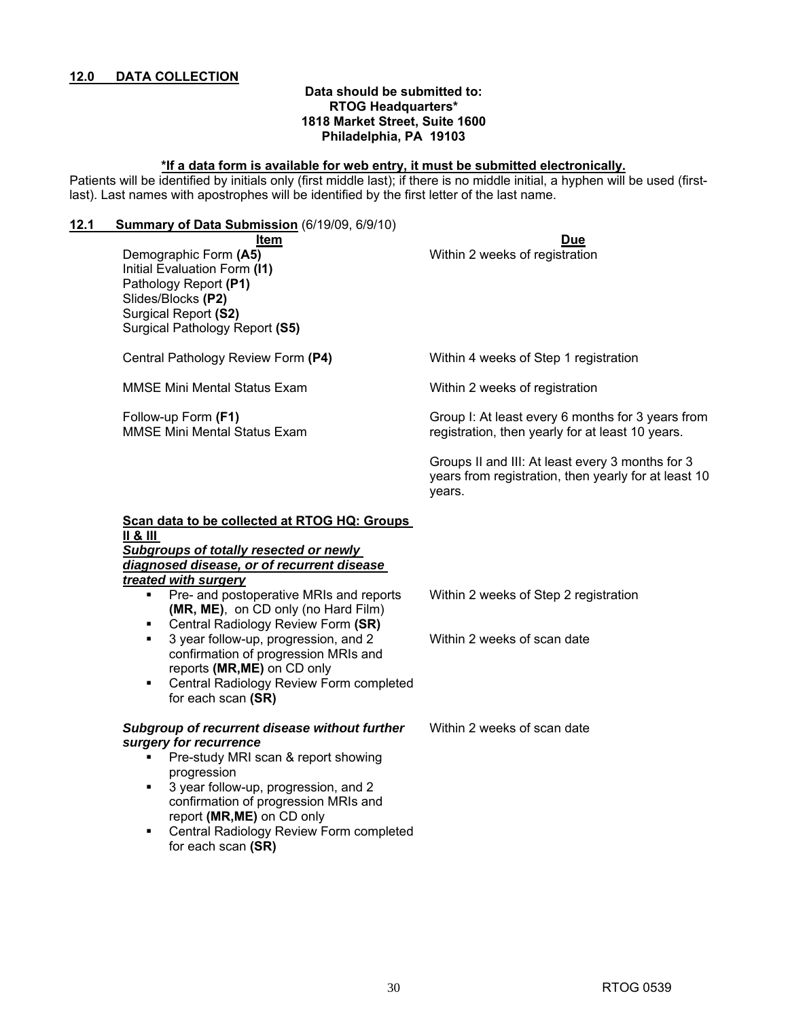#### **Data should be submitted to: RTOG Headquarters\* 1818 Market Street, Suite 1600 Philadelphia, PA 19103**

#### **\*If a data form is available for web entry, it must be submitted electronically.**

Patients will be identified by initials only (first middle last); if there is no middle initial, a hyphen will be used (firstlast). Last names with apostrophes will be identified by the first letter of the last name.

**12.1 Summary of Data Submission** (6/19/09, 6/9/10)

**Item Due** Demographic Form (A5) **Now the Contract Contract Contract Contract Contract Contract Contract Contract Contract Contract Contract Contract Contract Contract Contract Contract Contract Contract Contract Contract Contract Co** Initial Evaluation Form **(I1)** Pathology Report **(P1)** Slides/Blocks **(P2)**  Surgical Report **(S2)** Surgical Pathology Report **(S5)** Central Pathology Review Form **(P4)** Within 4 weeks of Step 1 registration MMSE Mini Mental Status Exam The Mithin 2 weeks of registration Follow-up Form **(F1)**  MMSE Mini Mental Status Exam Group I: At least every 6 months for 3 years from registration, then yearly for at least 10 years. Groups II and III: At least every 3 months for 3 years from registration, then yearly for at least 10 years. **Scan data to be collected at RTOG HQ: Groups II & III**  *Subgroups of totally resected or newly diagnosed disease, or of recurrent disease treated with surgery* **Pre- and postoperative MRIs and reports (MR, ME)**, on CD only (no Hard Film) Central Radiology Review Form **(SR)** Within 2 weeks of Step 2 registration 3 year follow-up, progression, and 2 confirmation of progression MRIs and reports **(MR,ME)** on CD only Central Radiology Review Form completed for each scan **(SR)**  Within 2 weeks of scan date *Subgroup of recurrent disease without further surgery for recurrence*  **Pre-study MRI scan & report showing** progression 3 year follow-up, progression, and 2 confirmation of progression MRIs and report **(MR,ME)** on CD only **EXEC** Central Radiology Review Form completed for each scan **(SR)**  Within 2 weeks of scan date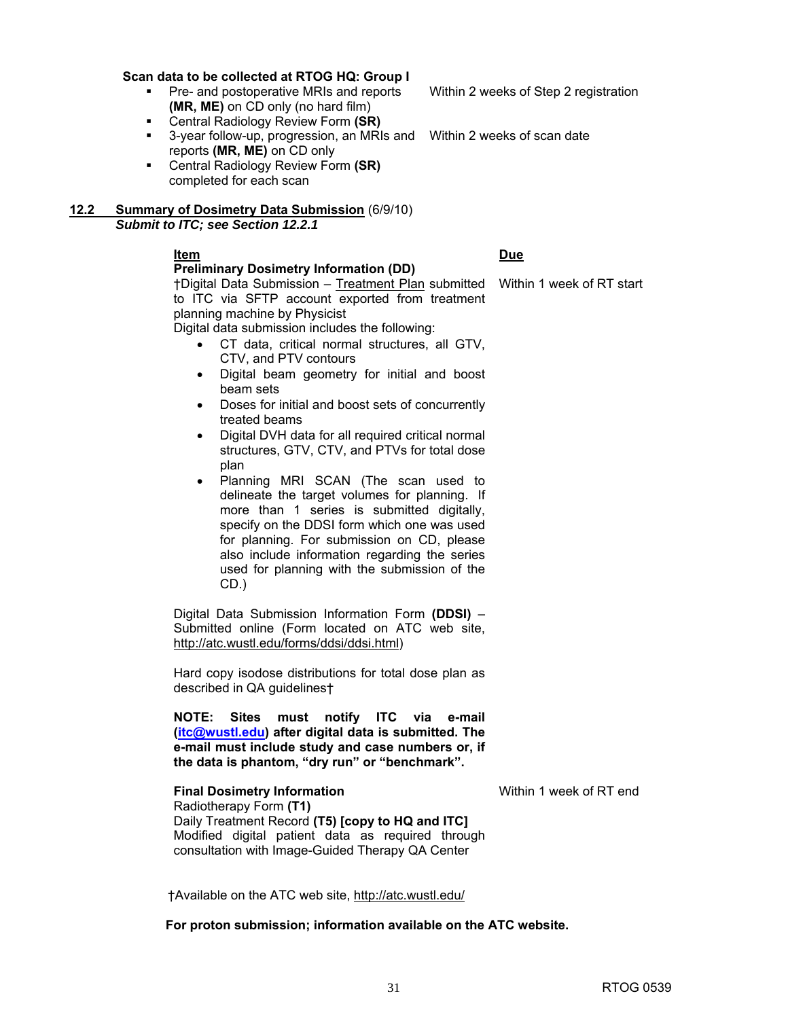#### **Scan data to be collected at RTOG HQ: Group I**

- Pre- and postoperative MRIs and reports **(MR, ME)** on CD only (no hard film)
- Central Radiology Review Form **(SR)**
- 3-year follow-up, progression, an MRIs and Within 2 weeks of scan date reports **(MR, ME)** on CD only
- Central Radiology Review Form **(SR)**  completed for each scan

#### **12.2 Summary of Dosimetry Data Submission** (6/9/10) *Submit to ITC; see Section 12.2.1*

#### **Item Due Preliminary Dosimetry Information (DD)**

#### †Digital Data Submission – Treatment Plan submitted Within 1 week of RT start to ITC via SFTP account exported from treatment planning machine by Physicist

Digital data submission includes the following:

- CT data, critical normal structures, all GTV, CTV, and PTV contours
- Digital beam geometry for initial and boost beam sets
- Doses for initial and boost sets of concurrently treated beams
- Digital DVH data for all required critical normal structures, GTV, CTV, and PTVs for total dose plan
- Planning MRI SCAN (The scan used to delineate the target volumes for planning. If more than 1 series is submitted digitally, specify on the DDSI form which one was used for planning. For submission on CD, please also include information regarding the series used for planning with the submission of the CD.)

Digital Data Submission Information Form **(DDSI)** – Submitted online (Form located on ATC web site, http://atc.wustl.edu/forms/ddsi/ddsi.html)

Hard copy isodose distributions for total dose plan as described in QA guidelines†

**NOTE: Sites must notify ITC via e-mail (itc@wustl.edu) after digital data is submitted. The e-mail must include study and case numbers or, if the data is phantom, "dry run" or "benchmark".** 

#### **Final Dosimetry Information Within 1 week of RT end**

Radiotherapy Form **(T1)**  Daily Treatment Record **(T5) [copy to HQ and ITC]**  Modified digital patient data as required through consultation with Image-Guided Therapy QA Center

†Available on the ATC web site, http://atc.wustl.edu/

 **For proton submission; information available on the ATC website.** 

Within 2 weeks of Step 2 registration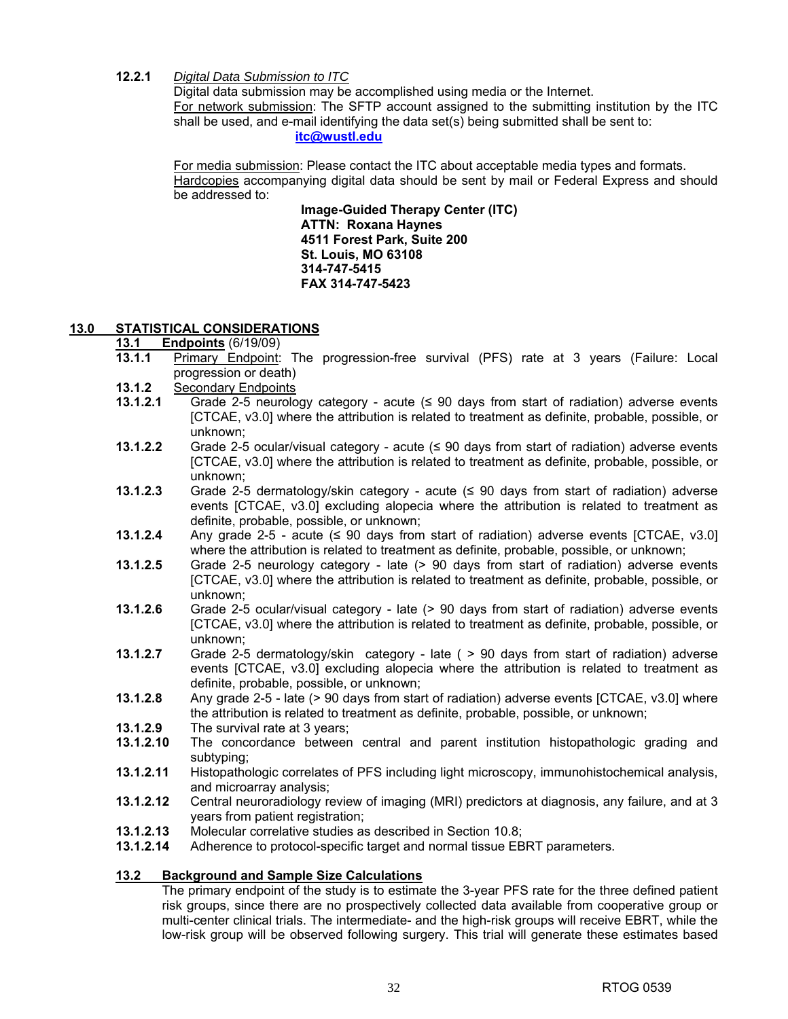#### **12.2.1** *Digital Data Submission to ITC*

Digital data submission may be accomplished using media or the Internet. For network submission: The SFTP account assigned to the submitting institution by the ITC shall be used, and e-mail identifying the data set(s) being submitted shall be sent to: **itc@wustl.edu**

For media submission: Please contact the ITC about acceptable media types and formats. Hardcopies accompanying digital data should be sent by mail or Federal Express and should be addressed to:

> **Image-Guided Therapy Center (ITC) ATTN: Roxana Haynes 4511 Forest Park, Suite 200 St. Louis, MO 63108 314-747-5415 FAX 314-747-5423**

#### **13.0 STATISTICAL CONSIDERATIONS**

#### **13.1 Endpoints** (6/19/09)

- **13.1.1** Primary Endpoint: The progression-free survival (PFS) rate at 3 years (Failure: Local progression or death)
- **13.1.2** Secondary Endpoints
- **13.1.2.1** Grade 2-5 neurology category acute (≤ 90 days from start of radiation) adverse events [CTCAE, v3.0] where the attribution is related to treatment as definite, probable, possible, or unknown;
- **13.1.2.2** Grade 2-5 ocular/visual category acute (≤ 90 days from start of radiation) adverse events [CTCAE, v3.0] where the attribution is related to treatment as definite, probable, possible, or unknown;
- **13.1.2.3** Grade 2-5 dermatology/skin category acute (≤ 90 days from start of radiation) adverse events [CTCAE, v3.0] excluding alopecia where the attribution is related to treatment as definite, probable, possible, or unknown;
- **13.1.2.4** Any grade 2-5 acute (≤ 90 days from start of radiation) adverse events [CTCAE, v3.0] where the attribution is related to treatment as definite, probable, possible, or unknown;
- **13.1.2.5** Grade 2-5 neurology category late (> 90 days from start of radiation) adverse events [CTCAE, v3.0] where the attribution is related to treatment as definite, probable, possible, or unknown;
- **13.1.2.6** Grade 2-5 ocular/visual category late (> 90 days from start of radiation) adverse events [CTCAE, v3.0] where the attribution is related to treatment as definite, probable, possible, or unknown;
- **13.1.2.7** Grade 2-5 dermatology/skin category late ( > 90 days from start of radiation) adverse events [CTCAE, v3.0] excluding alopecia where the attribution is related to treatment as definite, probable, possible, or unknown;
- **13.1.2.8** Any grade 2-5 late (> 90 days from start of radiation) adverse events [CTCAE, v3.0] where the attribution is related to treatment as definite, probable, possible, or unknown;
- 13.1.2.9 The survival rate at 3 years;<br>**13.1.2.10** The concordance between
- **13.1.2.10** The concordance between central and parent institution histopathologic grading and subtyping;
- **13.1.2.11** Histopathologic correlates of PFS including light microscopy, immunohistochemical analysis, and microarray analysis;
- **13.1.2.12** Central neuroradiology review of imaging (MRI) predictors at diagnosis, any failure, and at 3 years from patient registration;
- **13.1.2.13** Molecular correlative studies as described in Section 10.8;
- **13.1.2.14** Adherence to protocol-specific target and normal tissue EBRT parameters.

#### **13.2 Background and Sample Size Calculations**

The primary endpoint of the study is to estimate the 3-year PFS rate for the three defined patient risk groups, since there are no prospectively collected data available from cooperative group or multi-center clinical trials. The intermediate- and the high-risk groups will receive EBRT, while the low-risk group will be observed following surgery. This trial will generate these estimates based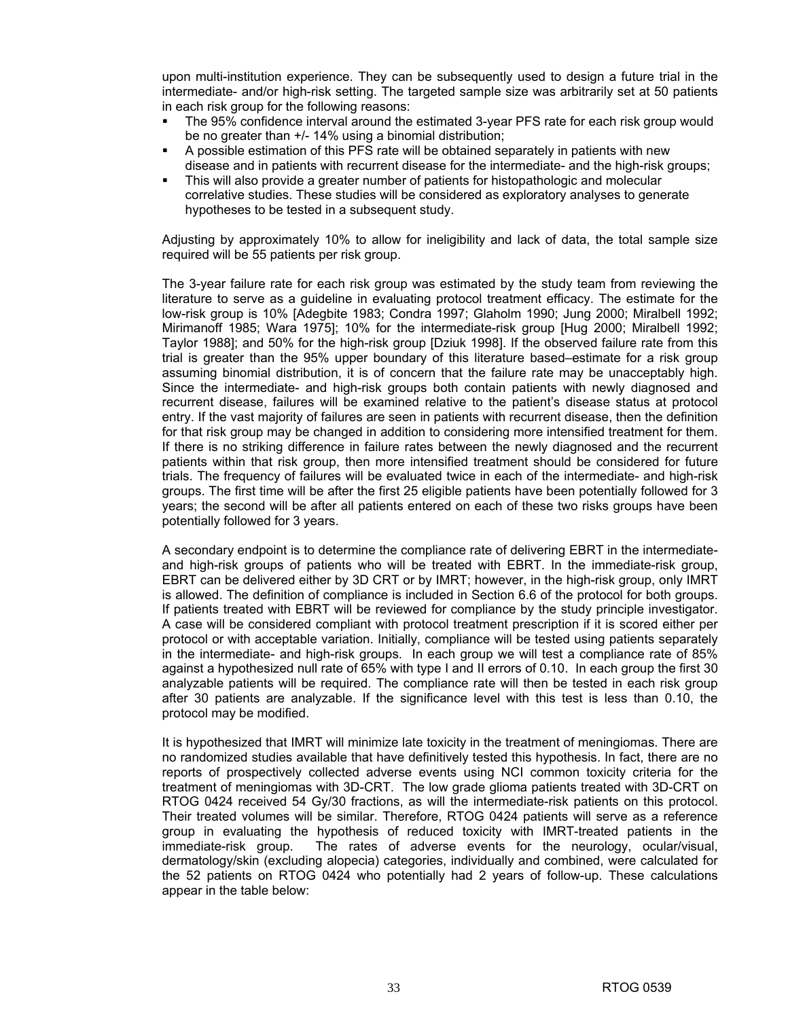upon multi-institution experience. They can be subsequently used to design a future trial in the intermediate- and/or high-risk setting. The targeted sample size was arbitrarily set at 50 patients in each risk group for the following reasons:

- The 95% confidence interval around the estimated 3-year PFS rate for each risk group would be no greater than +/- 14% using a binomial distribution;
- A possible estimation of this PFS rate will be obtained separately in patients with new disease and in patients with recurrent disease for the intermediate- and the high-risk groups;
- This will also provide a greater number of patients for histopathologic and molecular correlative studies. These studies will be considered as exploratory analyses to generate hypotheses to be tested in a subsequent study.

Adjusting by approximately 10% to allow for ineligibility and lack of data, the total sample size required will be 55 patients per risk group.

The 3-year failure rate for each risk group was estimated by the study team from reviewing the literature to serve as a guideline in evaluating protocol treatment efficacy. The estimate for the low-risk group is 10% [Adegbite 1983; Condra 1997; Glaholm 1990; Jung 2000; Miralbell 1992; Mirimanoff 1985; Wara 1975]; 10% for the intermediate-risk group [Hug 2000; Miralbell 1992; Taylor 1988]; and 50% for the high-risk group [Dziuk 1998]. If the observed failure rate from this trial is greater than the 95% upper boundary of this literature based–estimate for a risk group assuming binomial distribution, it is of concern that the failure rate may be unacceptably high. Since the intermediate- and high-risk groups both contain patients with newly diagnosed and recurrent disease, failures will be examined relative to the patient's disease status at protocol entry. If the vast majority of failures are seen in patients with recurrent disease, then the definition for that risk group may be changed in addition to considering more intensified treatment for them. If there is no striking difference in failure rates between the newly diagnosed and the recurrent patients within that risk group, then more intensified treatment should be considered for future trials. The frequency of failures will be evaluated twice in each of the intermediate- and high-risk groups. The first time will be after the first 25 eligible patients have been potentially followed for 3 years; the second will be after all patients entered on each of these two risks groups have been potentially followed for 3 years.

A secondary endpoint is to determine the compliance rate of delivering EBRT in the intermediateand high-risk groups of patients who will be treated with EBRT. In the immediate-risk group, EBRT can be delivered either by 3D CRT or by IMRT; however, in the high-risk group, only IMRT is allowed. The definition of compliance is included in Section 6.6 of the protocol for both groups. If patients treated with EBRT will be reviewed for compliance by the study principle investigator. A case will be considered compliant with protocol treatment prescription if it is scored either per protocol or with acceptable variation. Initially, compliance will be tested using patients separately in the intermediate- and high-risk groups. In each group we will test a compliance rate of 85% against a hypothesized null rate of 65% with type I and II errors of 0.10. In each group the first 30 analyzable patients will be required. The compliance rate will then be tested in each risk group after 30 patients are analyzable. If the significance level with this test is less than 0.10, the protocol may be modified.

It is hypothesized that IMRT will minimize late toxicity in the treatment of meningiomas. There are no randomized studies available that have definitively tested this hypothesis. In fact, there are no reports of prospectively collected adverse events using NCI common toxicity criteria for the treatment of meningiomas with 3D-CRT. The low grade glioma patients treated with 3D-CRT on RTOG 0424 received 54 Gy/30 fractions, as will the intermediate-risk patients on this protocol. Their treated volumes will be similar. Therefore, RTOG 0424 patients will serve as a reference group in evaluating the hypothesis of reduced toxicity with IMRT-treated patients in the immediate-risk group. The rates of adverse events for the neurology, ocular/visual, dermatology/skin (excluding alopecia) categories, individually and combined, were calculated for the 52 patients on RTOG 0424 who potentially had 2 years of follow-up. These calculations appear in the table below: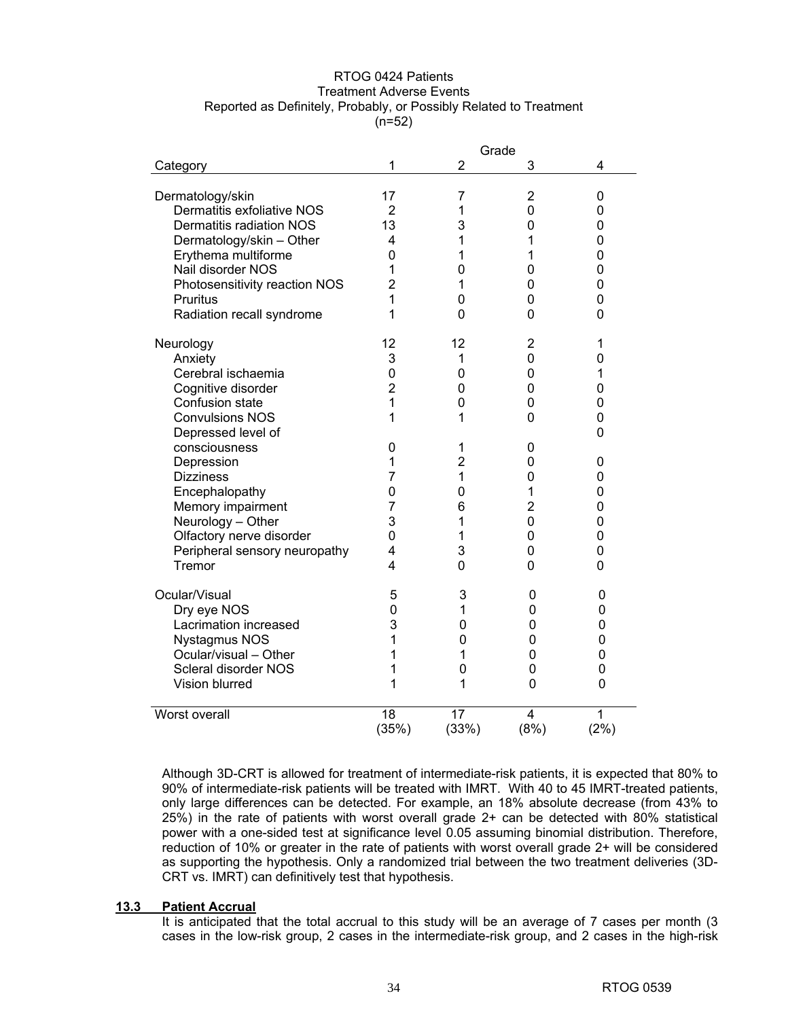#### RTOG 0424 Patients Treatment Adverse Events Reported as Definitely, Probably, or Possibly Related to Treatment  $(n=52)$

|                               | Grade          |                |                |                |  |  |
|-------------------------------|----------------|----------------|----------------|----------------|--|--|
| Category                      | 1              | 2              | 3              | 4              |  |  |
|                               |                |                |                |                |  |  |
| Dermatology/skin              | 17             | 7              | 2              | 0              |  |  |
| Dermatitis exfoliative NOS    | 2              | 1              | 0              | 0              |  |  |
| Dermatitis radiation NOS      | 13             | 3              | 0              | 0              |  |  |
| Dermatology/skin - Other      | 4              | 1              | 1              | $\mathbf 0$    |  |  |
| Erythema multiforme           | 0              | 1              | 1              | $\overline{0}$ |  |  |
| Nail disorder NOS             | 1              | 0              | 0              | 0              |  |  |
| Photosensitivity reaction NOS | $\overline{2}$ | 1              | 0              | 0              |  |  |
| Pruritus                      | 1              | 0              | 0              | 0              |  |  |
| Radiation recall syndrome     | 1              | 0              | 0              | 0              |  |  |
|                               |                |                |                |                |  |  |
| Neurology                     | 12             | 12             | $\overline{2}$ | 1              |  |  |
| Anxiety                       | 3              | 1              | 0              | 0              |  |  |
| Cerebral ischaemia            | 0              | 0              | 0              | 1              |  |  |
| Cognitive disorder            | $\overline{2}$ | 0              | 0              | 0              |  |  |
| Confusion state               | 1              | 0              | 0              | 0              |  |  |
| <b>Convulsions NOS</b>        | 1              | 1              | 0              | 0              |  |  |
| Depressed level of            |                |                |                | 0              |  |  |
| consciousness                 | 0              | 1              | 0              |                |  |  |
| Depression                    | 1              | $\overline{2}$ | 0              | 0              |  |  |
| <b>Dizziness</b>              | $\overline{7}$ | 1              | 0              | 0              |  |  |
| Encephalopathy                | 0              | 0              | 1              | 0              |  |  |
| Memory impairment             | 7              | 6              | 2              | 0              |  |  |
| Neurology - Other             | 3              | 1              | 0              | 0              |  |  |
| Olfactory nerve disorder      | 0              | 1              | 0              | 0              |  |  |
| Peripheral sensory neuropathy | 4              | 3              | 0              | $\mathbf 0$    |  |  |
| Tremor                        | 4              | $\Omega$       | 0              | $\Omega$       |  |  |
|                               |                |                |                |                |  |  |
| Ocular/Visual                 | 5              | 3              | 0              | 0              |  |  |
| Dry eye NOS                   | 0              | 1              | 0              | 0              |  |  |
| Lacrimation increased         | 3              | 0              | 0              | 0              |  |  |
| Nystagmus NOS                 | 1              | 0              | 0              | 0              |  |  |
| Ocular/visual - Other         | 1              | 1              | 0              | 0              |  |  |
| Scleral disorder NOS          | 1              | 0              | 0              | 0              |  |  |
| Vision blurred                | 1              | 1              | 0              | $\mathbf 0$    |  |  |
| Worst overall                 | 18             | 17             | 4              | 1              |  |  |
|                               | (35%)          | (33%)          | (8%)           | (2%)           |  |  |
|                               |                |                |                |                |  |  |

Although 3D-CRT is allowed for treatment of intermediate-risk patients, it is expected that 80% to 90% of intermediate-risk patients will be treated with IMRT. With 40 to 45 IMRT-treated patients, only large differences can be detected. For example, an 18% absolute decrease (from 43% to 25%) in the rate of patients with worst overall grade 2+ can be detected with 80% statistical power with a one-sided test at significance level 0.05 assuming binomial distribution. Therefore, reduction of 10% or greater in the rate of patients with worst overall grade 2+ will be considered as supporting the hypothesis. Only a randomized trial between the two treatment deliveries (3D-CRT vs. IMRT) can definitively test that hypothesis.

#### **13.3 Patient Accrual**

It is anticipated that the total accrual to this study will be an average of 7 cases per month (3 cases in the low-risk group, 2 cases in the intermediate-risk group, and 2 cases in the high-risk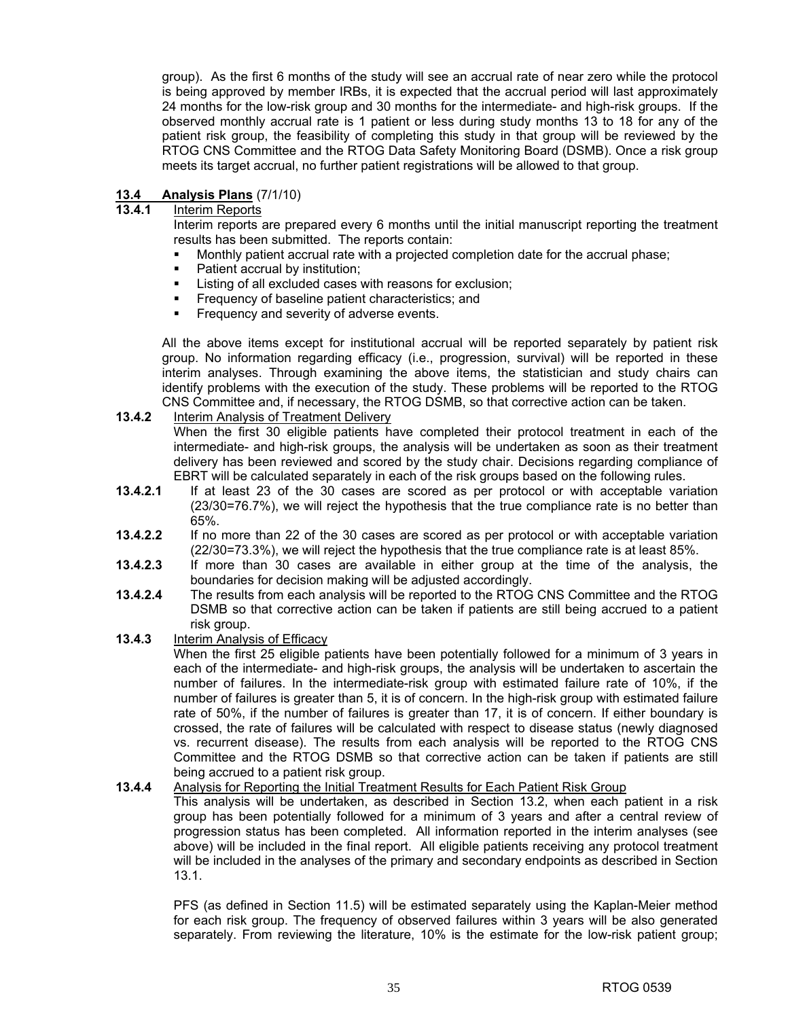group). As the first 6 months of the study will see an accrual rate of near zero while the protocol is being approved by member IRBs, it is expected that the accrual period will last approximately 24 months for the low-risk group and 30 months for the intermediate- and high-risk groups. If the observed monthly accrual rate is 1 patient or less during study months 13 to 18 for any of the patient risk group, the feasibility of completing this study in that group will be reviewed by the RTOG CNS Committee and the RTOG Data Safety Monitoring Board (DSMB). Once a risk group meets its target accrual, no further patient registrations will be allowed to that group.

# **13.4 Analysis Plans** (7/1/10)

**13.4.1** Interim Reports

Interim reports are prepared every 6 months until the initial manuscript reporting the treatment results has been submitted. The reports contain:

- Monthly patient accrual rate with a projected completion date for the accrual phase;
- Patient accrual by institution;
- Listing of all excluded cases with reasons for exclusion;
- Frequency of baseline patient characteristics; and
- **Figure 1** Frequency and severity of adverse events.

All the above items except for institutional accrual will be reported separately by patient risk group. No information regarding efficacy (i.e., progression, survival) will be reported in these interim analyses. Through examining the above items, the statistician and study chairs can identify problems with the execution of the study. These problems will be reported to the RTOG CNS Committee and, if necessary, the RTOG DSMB, so that corrective action can be taken.

**13.4.2** Interim Analysis of Treatment Delivery

When the first 30 eligible patients have completed their protocol treatment in each of the intermediate- and high-risk groups, the analysis will be undertaken as soon as their treatment delivery has been reviewed and scored by the study chair. Decisions regarding compliance of EBRT will be calculated separately in each of the risk groups based on the following rules.

- **13.4.2.1** If at least 23 of the 30 cases are scored as per protocol or with acceptable variation (23/30=76.7%), we will reject the hypothesis that the true compliance rate is no better than 65%.
- **13.4.2.2** If no more than 22 of the 30 cases are scored as per protocol or with acceptable variation (22/30=73.3%), we will reject the hypothesis that the true compliance rate is at least 85%.
- **13.4.2.3** If more than 30 cases are available in either group at the time of the analysis, the boundaries for decision making will be adjusted accordingly.
- **13.4.2.4** The results from each analysis will be reported to the RTOG CNS Committee and the RTOG DSMB so that corrective action can be taken if patients are still being accrued to a patient risk group.
- **13.4.3** Interim Analysis of Efficacy

When the first 25 eligible patients have been potentially followed for a minimum of 3 years in each of the intermediate- and high-risk groups, the analysis will be undertaken to ascertain the number of failures. In the intermediate-risk group with estimated failure rate of 10%, if the number of failures is greater than 5, it is of concern. In the high-risk group with estimated failure rate of 50%, if the number of failures is greater than 17, it is of concern. If either boundary is crossed, the rate of failures will be calculated with respect to disease status (newly diagnosed vs. recurrent disease). The results from each analysis will be reported to the RTOG CNS Committee and the RTOG DSMB so that corrective action can be taken if patients are still being accrued to a patient risk group.

#### **13.4.4** Analysis for Reporting the Initial Treatment Results for Each Patient Risk Group

This analysis will be undertaken, as described in Section 13.2, when each patient in a risk group has been potentially followed for a minimum of 3 years and after a central review of progression status has been completed. All information reported in the interim analyses (see above) will be included in the final report. All eligible patients receiving any protocol treatment will be included in the analyses of the primary and secondary endpoints as described in Section 13.1.

PFS (as defined in Section 11.5) will be estimated separately using the Kaplan-Meier method for each risk group. The frequency of observed failures within 3 years will be also generated separately. From reviewing the literature, 10% is the estimate for the low-risk patient group;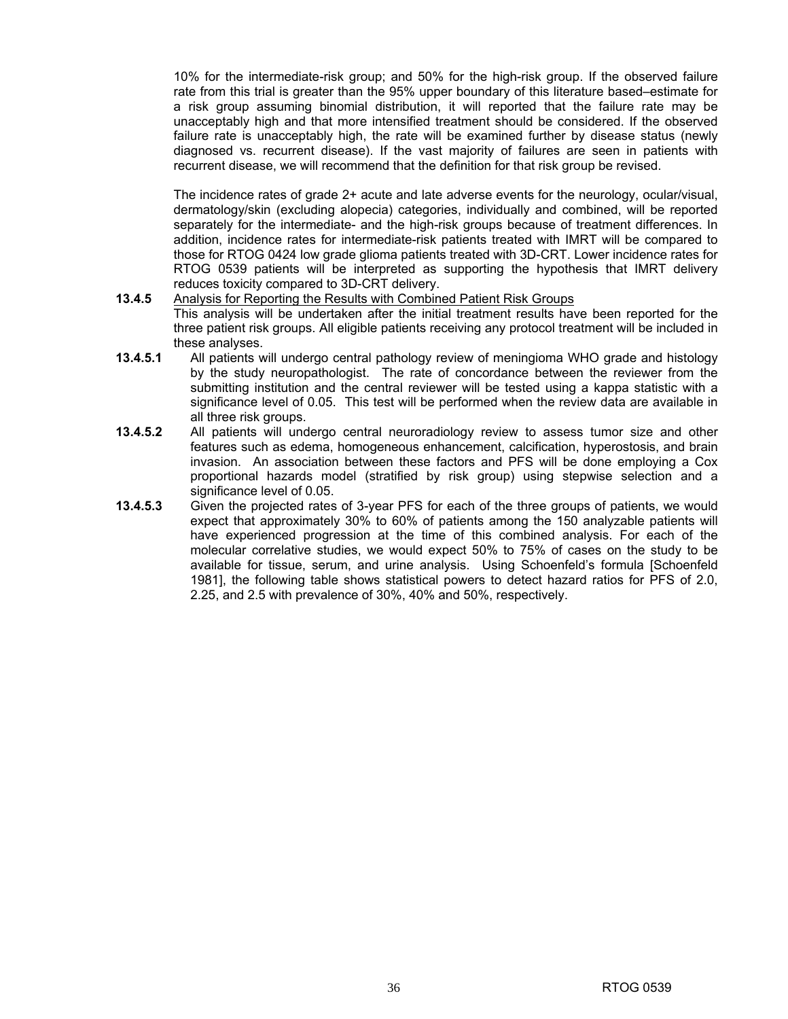10% for the intermediate-risk group; and 50% for the high-risk group. If the observed failure rate from this trial is greater than the 95% upper boundary of this literature based–estimate for a risk group assuming binomial distribution, it will reported that the failure rate may be unacceptably high and that more intensified treatment should be considered. If the observed failure rate is unacceptably high, the rate will be examined further by disease status (newly diagnosed vs. recurrent disease). If the vast majority of failures are seen in patients with recurrent disease, we will recommend that the definition for that risk group be revised.

The incidence rates of grade 2+ acute and late adverse events for the neurology, ocular/visual, dermatology/skin (excluding alopecia) categories, individually and combined, will be reported separately for the intermediate- and the high-risk groups because of treatment differences. In addition, incidence rates for intermediate-risk patients treated with IMRT will be compared to those for RTOG 0424 low grade glioma patients treated with 3D-CRT. Lower incidence rates for RTOG 0539 patients will be interpreted as supporting the hypothesis that IMRT delivery reduces toxicity compared to 3D-CRT delivery.

#### **13.4.5** Analysis for Reporting the Results with Combined Patient Risk Groups

This analysis will be undertaken after the initial treatment results have been reported for the three patient risk groups. All eligible patients receiving any protocol treatment will be included in these analyses.

- **13.4.5.1** All patients will undergo central pathology review of meningioma WHO grade and histology by the study neuropathologist. The rate of concordance between the reviewer from the submitting institution and the central reviewer will be tested using a kappa statistic with a significance level of 0.05. This test will be performed when the review data are available in all three risk groups.
- **13.4.5.2** All patients will undergo central neuroradiology review to assess tumor size and other features such as edema, homogeneous enhancement, calcification, hyperostosis, and brain invasion. An association between these factors and PFS will be done employing a Cox proportional hazards model (stratified by risk group) using stepwise selection and a significance level of 0.05.
- **13.4.5.3** Given the projected rates of 3-year PFS for each of the three groups of patients, we would expect that approximately 30% to 60% of patients among the 150 analyzable patients will have experienced progression at the time of this combined analysis. For each of the molecular correlative studies, we would expect 50% to 75% of cases on the study to be available for tissue, serum, and urine analysis. Using Schoenfeld's formula [Schoenfeld 1981], the following table shows statistical powers to detect hazard ratios for PFS of 2.0, 2.25, and 2.5 with prevalence of 30%, 40% and 50%, respectively.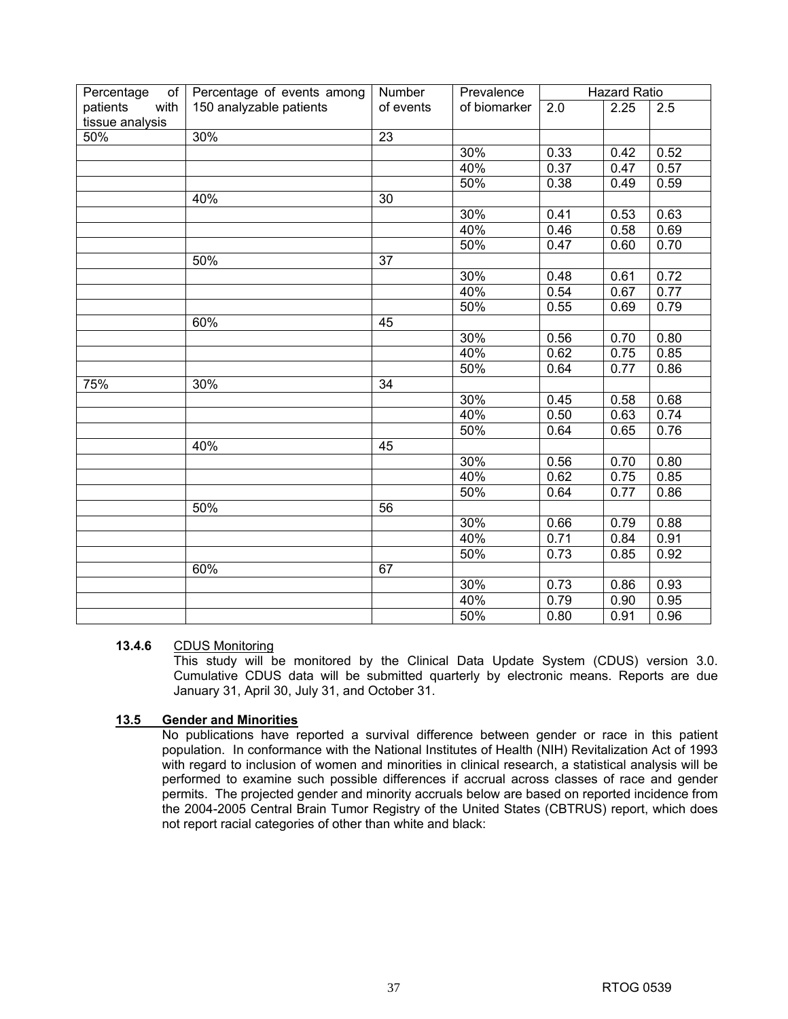| Percentage<br>of <sub>1</sub> | Percentage of events among | Number          | Prevalence   | <b>Hazard Ratio</b> |      |      |
|-------------------------------|----------------------------|-----------------|--------------|---------------------|------|------|
| with<br>patients              | 150 analyzable patients    | of events       | of biomarker | 2.0                 | 2.25 | 2.5  |
| tissue analysis               |                            |                 |              |                     |      |      |
| 50%                           | $\overline{30}$ %          | $\overline{23}$ |              |                     |      |      |
|                               |                            |                 | 30%          | 0.33                | 0.42 | 0.52 |
|                               |                            |                 | 40%          | 0.37                | 0.47 | 0.57 |
|                               |                            |                 | 50%          | 0.38                | 0.49 | 0.59 |
|                               | 40%                        | 30              |              |                     |      |      |
|                               |                            |                 | 30%          | 0.41                | 0.53 | 0.63 |
|                               |                            |                 | 40%          | 0.46                | 0.58 | 0.69 |
|                               |                            |                 | 50%          | 0.47                | 0.60 | 0.70 |
|                               | 50%                        | 37              |              |                     |      |      |
|                               |                            |                 | 30%          | 0.48                | 0.61 | 0.72 |
|                               |                            |                 | 40%          | 0.54                | 0.67 | 0.77 |
|                               |                            |                 | 50%          | 0.55                | 0.69 | 0.79 |
|                               | 60%                        | 45              |              |                     |      |      |
|                               |                            |                 | 30%          | 0.56                | 0.70 | 0.80 |
|                               |                            |                 | 40%          | 0.62                | 0.75 | 0.85 |
|                               |                            |                 | 50%          | 0.64                | 0.77 | 0.86 |
| 75%                           | $\overline{30\%}$          | $\overline{34}$ |              |                     |      |      |
|                               |                            |                 | 30%          | 0.45                | 0.58 | 0.68 |
|                               |                            |                 | 40%          | 0.50                | 0.63 | 0.74 |
|                               |                            |                 | 50%          | 0.64                | 0.65 | 0.76 |
|                               | 40%                        | 45              |              |                     |      |      |
|                               |                            |                 | 30%          | 0.56                | 0.70 | 0.80 |
|                               |                            |                 | 40%          | 0.62                | 0.75 | 0.85 |
|                               |                            |                 | 50%          | 0.64                | 0.77 | 0.86 |
|                               | 50%                        | 56              |              |                     |      |      |
|                               |                            |                 | 30%          | 0.66                | 0.79 | 0.88 |
|                               |                            |                 | 40%          | $\overline{0.71}$   | 0.84 | 0.91 |
|                               |                            |                 | 50%          | 0.73                | 0.85 | 0.92 |
|                               | 60%                        | 67              |              |                     |      |      |
|                               |                            |                 | 30%          | 0.73                | 0.86 | 0.93 |
|                               |                            |                 | 40%          | 0.79                | 0.90 | 0.95 |
|                               |                            |                 | 50%          | 0.80                | 0.91 | 0.96 |

#### **13.4.6** CDUS Monitoring

This study will be monitored by the Clinical Data Update System (CDUS) version 3.0. Cumulative CDUS data will be submitted quarterly by electronic means. Reports are due January 31, April 30, July 31, and October 31.

#### **13.5 Gender and Minorities**

No publications have reported a survival difference between gender or race in this patient population. In conformance with the National Institutes of Health (NIH) Revitalization Act of 1993 with regard to inclusion of women and minorities in clinical research, a statistical analysis will be performed to examine such possible differences if accrual across classes of race and gender permits. The projected gender and minority accruals below are based on reported incidence from the 2004-2005 Central Brain Tumor Registry of the United States (CBTRUS) report, which does not report racial categories of other than white and black: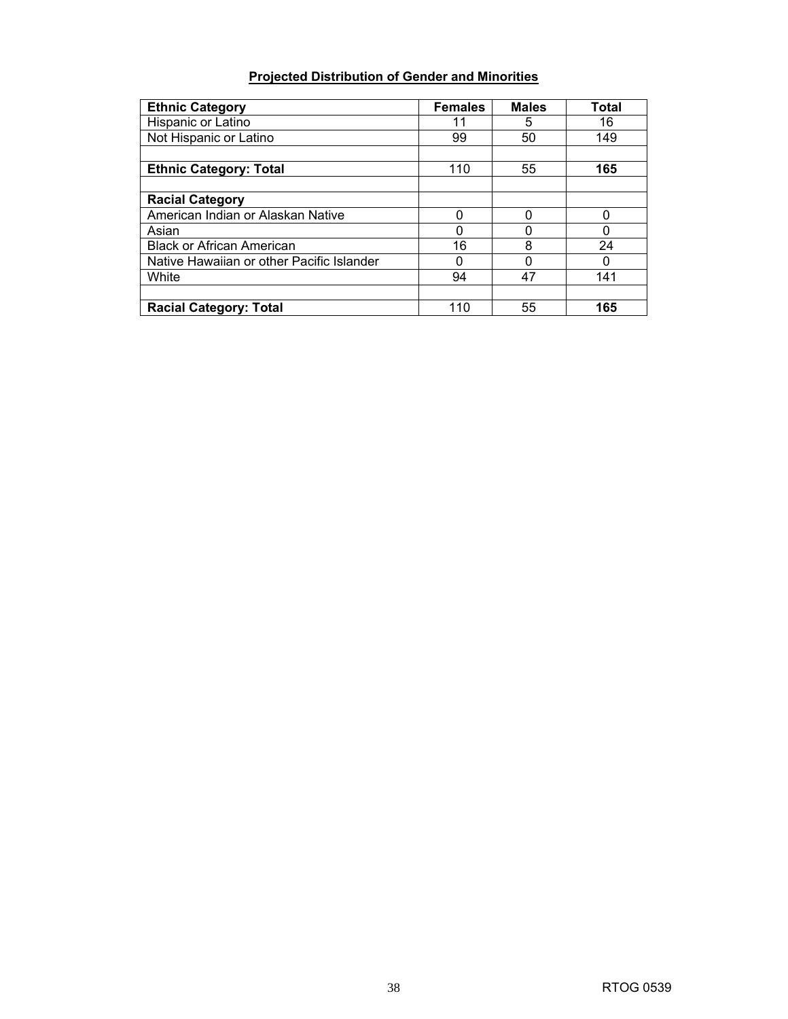### **Projected Distribution of Gender and Minorities**

| <b>Ethnic Category</b>                    | <b>Females</b> | <b>Males</b> | Total |
|-------------------------------------------|----------------|--------------|-------|
| Hispanic or Latino                        | 11             | 5            | 16    |
| Not Hispanic or Latino                    | 99             | 50           | 149   |
|                                           |                |              |       |
| <b>Ethnic Category: Total</b>             | 110            | 55           | 165   |
|                                           |                |              |       |
| <b>Racial Category</b>                    |                |              |       |
| American Indian or Alaskan Native         |                | n            | 0     |
| Asian                                     |                |              | 0     |
| <b>Black or African American</b>          | 16             | 8            | 24    |
| Native Hawaiian or other Pacific Islander |                |              | 0     |
| White                                     | 94             | 47           | 141   |
|                                           |                |              |       |
| <b>Racial Category: Total</b>             | 110            | 55           | 165   |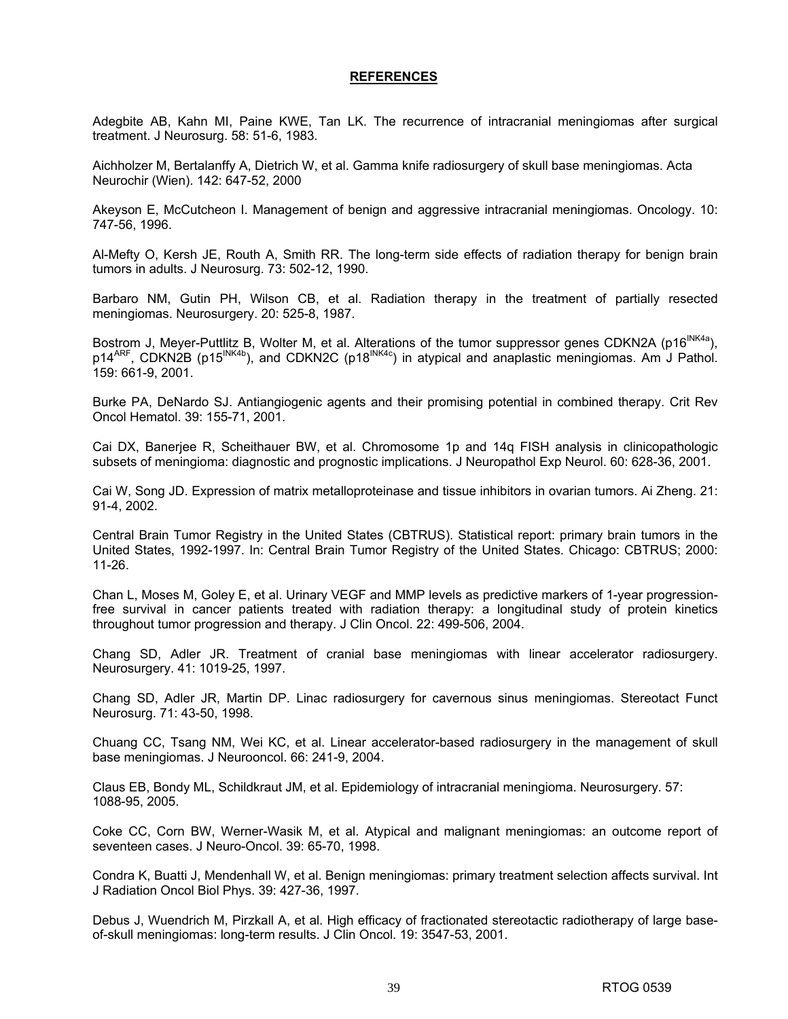#### **REFERENCES**

Adegbite AB, Kahn MI, Paine KWE, Tan LK. The recurrence of intracranial meningiomas after surgical treatment. J Neurosurg. 58: 51-6, 1983.

Aichholzer M, Bertalanffy A, Dietrich W, et al. Gamma knife radiosurgery of skull base meningiomas. Acta Neurochir (Wien). 142: 647-52, 2000

Akeyson E, McCutcheon I. Management of benign and aggressive intracranial meningiomas. Oncology. 10: 747-56, 1996.

Al-Mefty O, Kersh JE, Routh A, Smith RR. The long-term side effects of radiation therapy for benign brain tumors in adults. J Neurosurg. 73: 502-12, 1990.

Barbaro NM, Gutin PH, Wilson CB, et al. Radiation therapy in the treatment of partially resected meningiomas. Neurosurgery. 20: 525-8, 1987.

Bostrom J, Meyer-Puttlitz B, Wolter M, et al. Alterations of the tumor suppressor genes CDKN2A (p16<sup>INK4a</sup>), p14<sup>ARF</sup>, CDKN2B (p15<sup>INK4b</sup>), and CDKN2C (p18<sup>INK4c</sup>) in atypical and anaplastic meningiomas. Am J Pathol. 159: 661-9, 2001.

Burke PA, DeNardo SJ. Antiangiogenic agents and their promising potential in combined therapy. Crit Rev Oncol Hematol. 39: 155-71, 2001.

Cai DX, Banerjee R, Scheithauer BW, et al. Chromosome 1p and 14q FISH analysis in clinicopathologic subsets of meningioma: diagnostic and prognostic implications. J Neuropathol Exp Neurol. 60: 628-36, 2001.

Cai W, Song JD. Expression of matrix metalloproteinase and tissue inhibitors in ovarian tumors. Ai Zheng. 21: 91-4, 2002.

Central Brain Tumor Registry in the United States (CBTRUS). Statistical report: primary brain tumors in the United States, 1992-1997. In: Central Brain Tumor Registry of the United States. Chicago: CBTRUS; 2000: 11-26.

Chan L, Moses M, Goley E, et al. Urinary VEGF and MMP levels as predictive markers of 1-year progressionfree survival in cancer patients treated with radiation therapy: a longitudinal study of protein kinetics throughout tumor progression and therapy. J Clin Oncol. 22: 499-506, 2004.

Chang SD, Adler JR. Treatment of cranial base meningiomas with linear accelerator radiosurgery. Neurosurgery. 41: 1019-25, 1997.

Chang SD, Adler JR, Martin DP. Linac radiosurgery for cavernous sinus meningiomas. Stereotact Funct Neurosurg. 71: 43-50, 1998.

Chuang CC, Tsang NM, Wei KC, et al. Linear accelerator-based radiosurgery in the management of skull base meningiomas. J Neurooncol. 66: 241-9, 2004.

Claus EB, Bondy ML, Schildkraut JM, et al. Epidemiology of intracranial meningioma. Neurosurgery. 57: 1088-95, 2005.

Coke CC, Corn BW, Werner-Wasik M, et al. Atypical and malignant meningiomas: an outcome report of seventeen cases. J Neuro-Oncol. 39: 65-70, 1998.

Condra K, Buatti J, Mendenhall W, et al. Benign meningiomas: primary treatment selection affects survival. Int J Radiation Oncol Biol Phys. 39: 427-36, 1997.

Debus J, Wuendrich M, Pirzkall A, et al. High efficacy of fractionated stereotactic radiotherapy of large baseof-skull meningiomas: long-term results. J Clin Oncol. 19: 3547-53, 2001.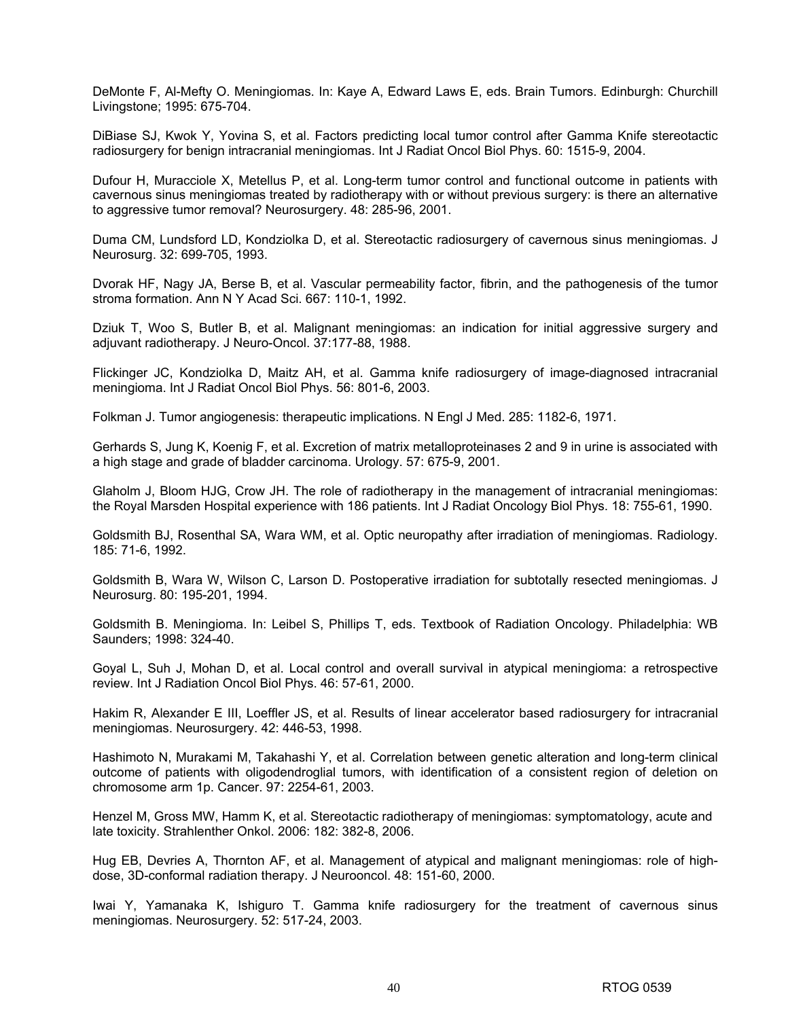DeMonte F, Al-Mefty O. Meningiomas. In: Kaye A, Edward Laws E, eds. Brain Tumors. Edinburgh: Churchill Livingstone; 1995: 675-704.

DiBiase SJ, Kwok Y, Yovina S, et al. Factors predicting local tumor control after Gamma Knife stereotactic radiosurgery for benign intracranial meningiomas. Int J Radiat Oncol Biol Phys. 60: 1515-9, 2004.

Dufour H, Muracciole X, Metellus P, et al. Long-term tumor control and functional outcome in patients with cavernous sinus meningiomas treated by radiotherapy with or without previous surgery: is there an alternative to aggressive tumor removal? Neurosurgery. 48: 285-96, 2001.

Duma CM, Lundsford LD, Kondziolka D, et al. Stereotactic radiosurgery of cavernous sinus meningiomas. J Neurosurg. 32: 699-705, 1993.

Dvorak HF, Nagy JA, Berse B, et al. Vascular permeability factor, fibrin, and the pathogenesis of the tumor stroma formation. Ann N Y Acad Sci. 667: 110-1, 1992.

Dziuk T, Woo S, Butler B, et al. Malignant meningiomas: an indication for initial aggressive surgery and adjuvant radiotherapy. J Neuro-Oncol. 37:177-88, 1988.

Flickinger JC, Kondziolka D, Maitz AH, et al. Gamma knife radiosurgery of image-diagnosed intracranial meningioma. Int J Radiat Oncol Biol Phys. 56: 801-6, 2003.

Folkman J. Tumor angiogenesis: therapeutic implications. N Engl J Med. 285: 1182-6, 1971.

Gerhards S, Jung K, Koenig F, et al. Excretion of matrix metalloproteinases 2 and 9 in urine is associated with a high stage and grade of bladder carcinoma. Urology. 57: 675-9, 2001.

Glaholm J, Bloom HJG, Crow JH. The role of radiotherapy in the management of intracranial meningiomas: the Royal Marsden Hospital experience with 186 patients. Int J Radiat Oncology Biol Phys. 18: 755-61, 1990.

Goldsmith BJ, Rosenthal SA, Wara WM, et al. Optic neuropathy after irradiation of meningiomas. Radiology. 185: 71-6, 1992.

Goldsmith B, Wara W, Wilson C, Larson D. Postoperative irradiation for subtotally resected meningiomas. J Neurosurg. 80: 195-201, 1994.

Goldsmith B. Meningioma. In: Leibel S, Phillips T, eds. Textbook of Radiation Oncology. Philadelphia: WB Saunders; 1998: 324-40.

Goyal L, Suh J, Mohan D, et al. Local control and overall survival in atypical meningioma: a retrospective review. Int J Radiation Oncol Biol Phys. 46: 57-61, 2000.

Hakim R, Alexander E III, Loeffler JS, et al. Results of linear accelerator based radiosurgery for intracranial meningiomas. Neurosurgery. 42: 446-53, 1998.

Hashimoto N, Murakami M, Takahashi Y, et al. Correlation between genetic alteration and long-term clinical outcome of patients with oligodendroglial tumors, with identification of a consistent region of deletion on chromosome arm 1p. Cancer. 97: 2254-61, 2003.

Henzel M, Gross MW, Hamm K, et al. Stereotactic radiotherapy of meningiomas: symptomatology, acute and late toxicity. Strahlenther Onkol. 2006: 182: 382-8, 2006.

Hug EB, Devries A, Thornton AF, et al. Management of atypical and malignant meningiomas: role of highdose, 3D-conformal radiation therapy. J Neurooncol. 48: 151-60, 2000.

Iwai Y, Yamanaka K, Ishiguro T. Gamma knife radiosurgery for the treatment of cavernous sinus meningiomas. Neurosurgery. 52: 517-24, 2003.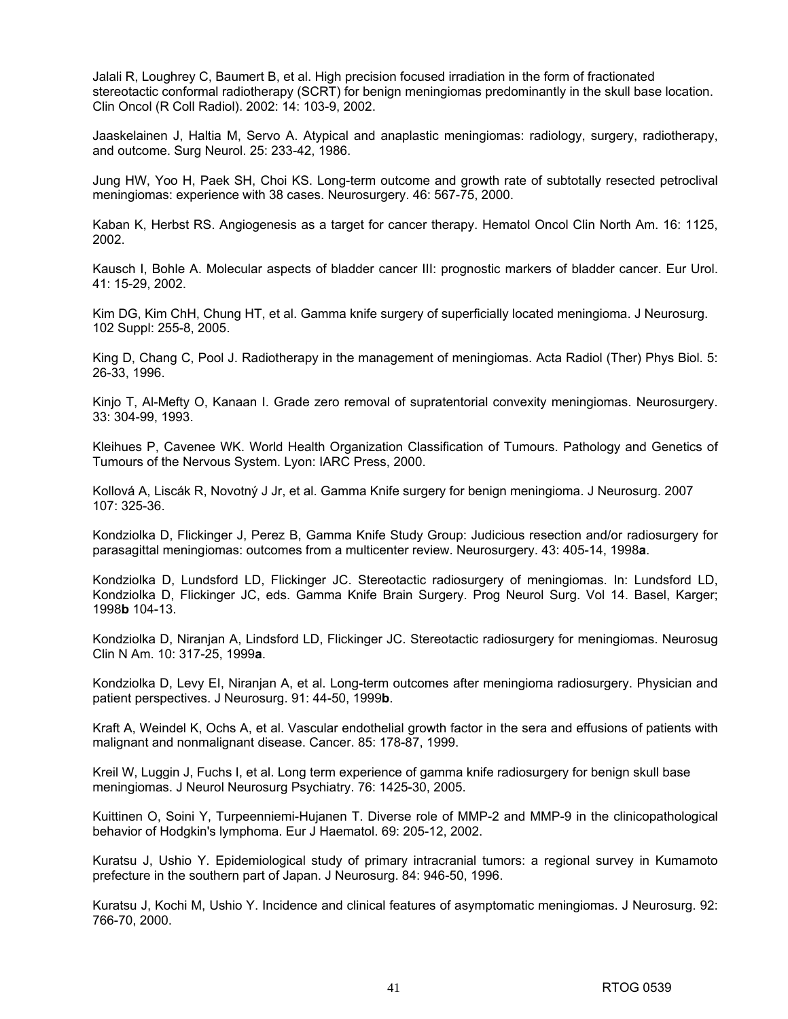Jalali R, Loughrey C, Baumert B, et al. High precision focused irradiation in the form of fractionated stereotactic conformal radiotherapy (SCRT) for benign meningiomas predominantly in the skull base location. Clin Oncol (R Coll Radiol). 2002: 14: 103-9, 2002.

Jaaskelainen J, Haltia M, Servo A. Atypical and anaplastic meningiomas: radiology, surgery, radiotherapy, and outcome. Surg Neurol. 25: 233-42, 1986.

Jung HW, Yoo H, Paek SH, Choi KS. Long-term outcome and growth rate of subtotally resected petroclival meningiomas: experience with 38 cases. Neurosurgery. 46: 567-75, 2000.

Kaban K, Herbst RS. Angiogenesis as a target for cancer therapy. Hematol Oncol Clin North Am. 16: 1125, 2002.

Kausch I, Bohle A. Molecular aspects of bladder cancer III: prognostic markers of bladder cancer. Eur Urol. 41: 15-29, 2002.

Kim DG, Kim ChH, Chung HT, et al. Gamma knife surgery of superficially located meningioma. J Neurosurg. 102 Suppl: 255-8, 2005.

King D, Chang C, Pool J. Radiotherapy in the management of meningiomas. Acta Radiol (Ther) Phys Biol. 5: 26-33, 1996.

Kinjo T, Al-Mefty O, Kanaan I. Grade zero removal of supratentorial convexity meningiomas. Neurosurgery. 33: 304-99, 1993.

Kleihues P, Cavenee WK. World Health Organization Classification of Tumours. Pathology and Genetics of Tumours of the Nervous System. Lyon: IARC Press, 2000.

Kollová A, Liscák R, Novotný J Jr, et al. Gamma Knife surgery for benign meningioma. J Neurosurg. 2007 107: 325-36.

Kondziolka D, Flickinger J, Perez B, Gamma Knife Study Group: Judicious resection and/or radiosurgery for parasagittal meningiomas: outcomes from a multicenter review. Neurosurgery. 43: 405-14, 1998**a**.

Kondziolka D, Lundsford LD, Flickinger JC. Stereotactic radiosurgery of meningiomas. In: Lundsford LD, Kondziolka D, Flickinger JC, eds. Gamma Knife Brain Surgery. Prog Neurol Surg. Vol 14. Basel, Karger; 1998**b** 104-13.

Kondziolka D, Niranjan A, Lindsford LD, Flickinger JC. Stereotactic radiosurgery for meningiomas. Neurosug Clin N Am. 10: 317-25, 1999**a**.

Kondziolka D, Levy EI, Niranjan A, et al. Long-term outcomes after meningioma radiosurgery. Physician and patient perspectives. J Neurosurg. 91: 44-50, 1999**b**.

Kraft A, Weindel K, Ochs A, et al. Vascular endothelial growth factor in the sera and effusions of patients with malignant and nonmalignant disease. Cancer. 85: 178-87, 1999.

Kreil W, Luggin J, Fuchs I, et al. Long term experience of gamma knife radiosurgery for benign skull base meningiomas. J Neurol Neurosurg Psychiatry. 76: 1425-30, 2005.

Kuittinen O, Soini Y, Turpeenniemi-Hujanen T. Diverse role of MMP-2 and MMP-9 in the clinicopathological behavior of Hodgkin's lymphoma. Eur J Haematol. 69: 205-12, 2002.

Kuratsu J, Ushio Y. Epidemiological study of primary intracranial tumors: a regional survey in Kumamoto prefecture in the southern part of Japan. J Neurosurg. 84: 946-50, 1996.

Kuratsu J, Kochi M, Ushio Y. Incidence and clinical features of asymptomatic meningiomas. J Neurosurg. 92: 766-70, 2000.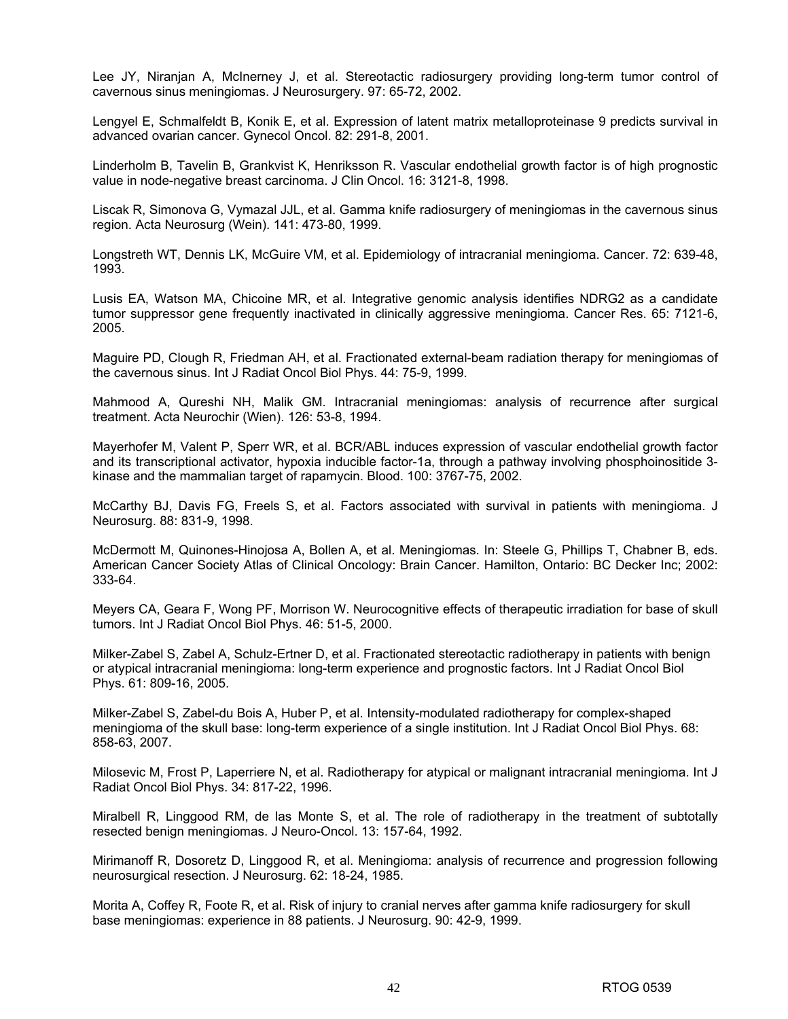Lee JY, Niranjan A, McInerney J, et al. Stereotactic radiosurgery providing long-term tumor control of cavernous sinus meningiomas. J Neurosurgery. 97: 65-72, 2002.

Lengyel E, Schmalfeldt B, Konik E, et al. Expression of latent matrix metalloproteinase 9 predicts survival in advanced ovarian cancer. Gynecol Oncol. 82: 291-8, 2001.

Linderholm B, Tavelin B, Grankvist K, Henriksson R. Vascular endothelial growth factor is of high prognostic value in node-negative breast carcinoma. J Clin Oncol. 16: 3121-8, 1998.

Liscak R, Simonova G, Vymazal JJL, et al. Gamma knife radiosurgery of meningiomas in the cavernous sinus region. Acta Neurosurg (Wein). 141: 473-80, 1999.

Longstreth WT, Dennis LK, McGuire VM, et al. Epidemiology of intracranial meningioma. Cancer. 72: 639-48, 1993.

Lusis EA, Watson MA, Chicoine MR, et al. Integrative genomic analysis identifies NDRG2 as a candidate tumor suppressor gene frequently inactivated in clinically aggressive meningioma. Cancer Res. 65: 7121-6, 2005.

Maguire PD, Clough R, Friedman AH, et al. Fractionated external-beam radiation therapy for meningiomas of the cavernous sinus. Int J Radiat Oncol Biol Phys. 44: 75-9, 1999.

Mahmood A, Qureshi NH, Malik GM. Intracranial meningiomas: analysis of recurrence after surgical treatment. Acta Neurochir (Wien). 126: 53-8, 1994.

Mayerhofer M, Valent P, Sperr WR, et al. BCR/ABL induces expression of vascular endothelial growth factor and its transcriptional activator, hypoxia inducible factor-1a, through a pathway involving phosphoinositide 3 kinase and the mammalian target of rapamycin. Blood. 100: 3767-75, 2002.

McCarthy BJ, Davis FG, Freels S, et al. Factors associated with survival in patients with meningioma. J Neurosurg. 88: 831-9, 1998.

McDermott M, Quinones-Hinojosa A, Bollen A, et al. Meningiomas. In: Steele G, Phillips T, Chabner B, eds. American Cancer Society Atlas of Clinical Oncology: Brain Cancer. Hamilton, Ontario: BC Decker Inc; 2002: 333-64.

Meyers CA, Geara F, Wong PF, Morrison W. Neurocognitive effects of therapeutic irradiation for base of skull tumors. Int J Radiat Oncol Biol Phys. 46: 51-5, 2000.

Milker-Zabel S, Zabel A, Schulz-Ertner D, et al. Fractionated stereotactic radiotherapy in patients with benign or atypical intracranial meningioma: long-term experience and prognostic factors. Int J Radiat Oncol Biol Phys. 61: 809-16, 2005.

Milker-Zabel S, Zabel-du Bois A, Huber P, et al. Intensity-modulated radiotherapy for complex-shaped meningioma of the skull base: long-term experience of a single institution. Int J Radiat Oncol Biol Phys. 68: 858-63, 2007.

Milosevic M, Frost P, Laperriere N, et al. Radiotherapy for atypical or malignant intracranial meningioma. Int J Radiat Oncol Biol Phys. 34: 817-22, 1996.

Miralbell R, Linggood RM, de las Monte S, et al. The role of radiotherapy in the treatment of subtotally resected benign meningiomas. J Neuro-Oncol. 13: 157-64, 1992.

Mirimanoff R, Dosoretz D, Linggood R, et al. Meningioma: analysis of recurrence and progression following neurosurgical resection. J Neurosurg. 62: 18-24, 1985.

Morita A, Coffey R, Foote R, et al. Risk of injury to cranial nerves after gamma knife radiosurgery for skull base meningiomas: experience in 88 patients. J Neurosurg. 90: 42-9, 1999.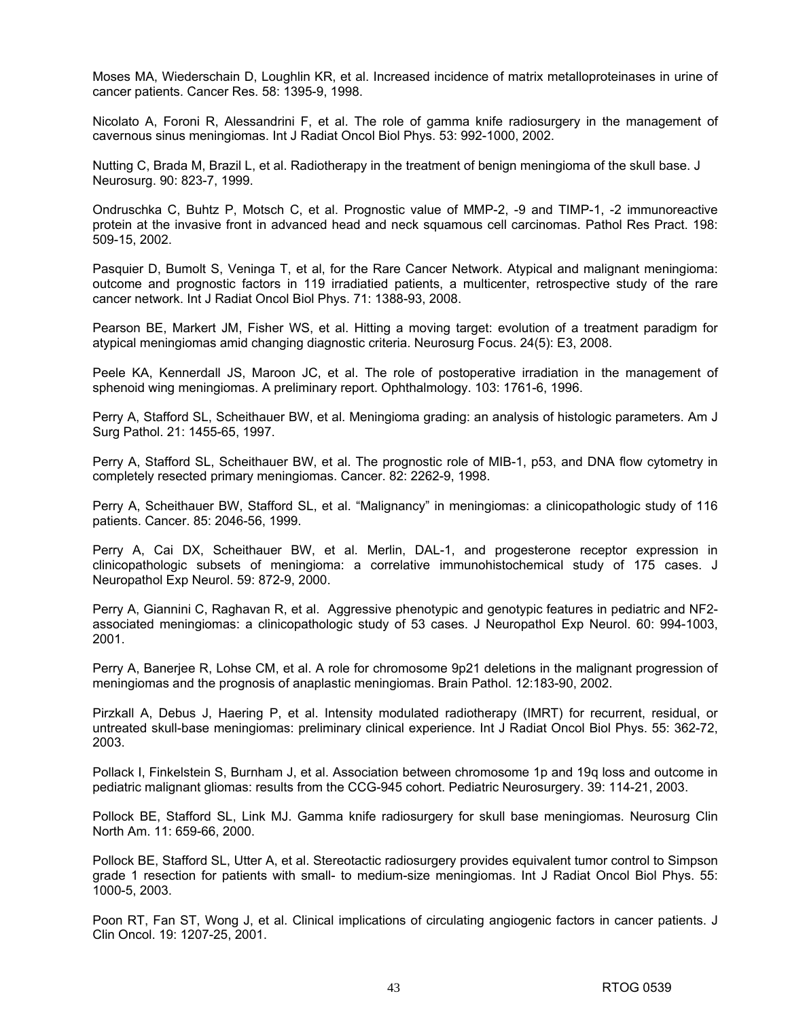Moses MA, Wiederschain D, Loughlin KR, et al. Increased incidence of matrix metalloproteinases in urine of cancer patients. Cancer Res. 58: 1395-9, 1998.

Nicolato A, Foroni R, Alessandrini F, et al. The role of gamma knife radiosurgery in the management of cavernous sinus meningiomas. Int J Radiat Oncol Biol Phys. 53: 992-1000, 2002.

Nutting C, Brada M, Brazil L, et al. Radiotherapy in the treatment of benign meningioma of the skull base. J Neurosurg. 90: 823-7, 1999.

Ondruschka C, Buhtz P, Motsch C, et al. Prognostic value of MMP-2, -9 and TIMP-1, -2 immunoreactive protein at the invasive front in advanced head and neck squamous cell carcinomas. Pathol Res Pract. 198: 509-15, 2002.

Pasquier D, Bumolt S, Veninga T, et al, for the Rare Cancer Network. Atypical and malignant meningioma: outcome and prognostic factors in 119 irradiatied patients, a multicenter, retrospective study of the rare cancer network. Int J Radiat Oncol Biol Phys. 71: 1388-93, 2008.

Pearson BE, Markert JM, Fisher WS, et al. Hitting a moving target: evolution of a treatment paradigm for atypical meningiomas amid changing diagnostic criteria. Neurosurg Focus. 24(5): E3, 2008.

Peele KA, Kennerdall JS, Maroon JC, et al. The role of postoperative irradiation in the management of sphenoid wing meningiomas. A preliminary report. Ophthalmology. 103: 1761-6, 1996.

Perry A, Stafford SL, Scheithauer BW, et al. Meningioma grading: an analysis of histologic parameters. Am J Surg Pathol. 21: 1455-65, 1997.

Perry A, Stafford SL, Scheithauer BW, et al. The prognostic role of MIB-1, p53, and DNA flow cytometry in completely resected primary meningiomas. Cancer. 82: 2262-9, 1998.

Perry A, Scheithauer BW, Stafford SL, et al. "Malignancy" in meningiomas: a clinicopathologic study of 116 patients. Cancer. 85: 2046-56, 1999.

Perry A, Cai DX, Scheithauer BW, et al. Merlin, DAL-1, and progesterone receptor expression in clinicopathologic subsets of meningioma: a correlative immunohistochemical study of 175 cases. J Neuropathol Exp Neurol. 59: 872-9, 2000.

Perry A, Giannini C, Raghavan R, et al. Aggressive phenotypic and genotypic features in pediatric and NF2 associated meningiomas: a clinicopathologic study of 53 cases. J Neuropathol Exp Neurol. 60: 994-1003, 2001.

Perry A, Banerjee R, Lohse CM, et al. A role for chromosome 9p21 deletions in the malignant progression of meningiomas and the prognosis of anaplastic meningiomas. Brain Pathol. 12:183-90, 2002.

Pirzkall A, Debus J, Haering P, et al. Intensity modulated radiotherapy (IMRT) for recurrent, residual, or untreated skull-base meningiomas: preliminary clinical experience. Int J Radiat Oncol Biol Phys. 55: 362-72, 2003.

Pollack I, Finkelstein S, Burnham J, et al. Association between chromosome 1p and 19q loss and outcome in pediatric malignant gliomas: results from the CCG-945 cohort. Pediatric Neurosurgery. 39: 114-21, 2003.

Pollock BE, Stafford SL, Link MJ. Gamma knife radiosurgery for skull base meningiomas. Neurosurg Clin North Am. 11: 659-66, 2000.

Pollock BE, Stafford SL, Utter A, et al. Stereotactic radiosurgery provides equivalent tumor control to Simpson grade 1 resection for patients with small- to medium-size meningiomas. Int J Radiat Oncol Biol Phys. 55: 1000-5, 2003.

Poon RT, Fan ST, Wong J, et al. Clinical implications of circulating angiogenic factors in cancer patients. J Clin Oncol. 19: 1207-25, 2001.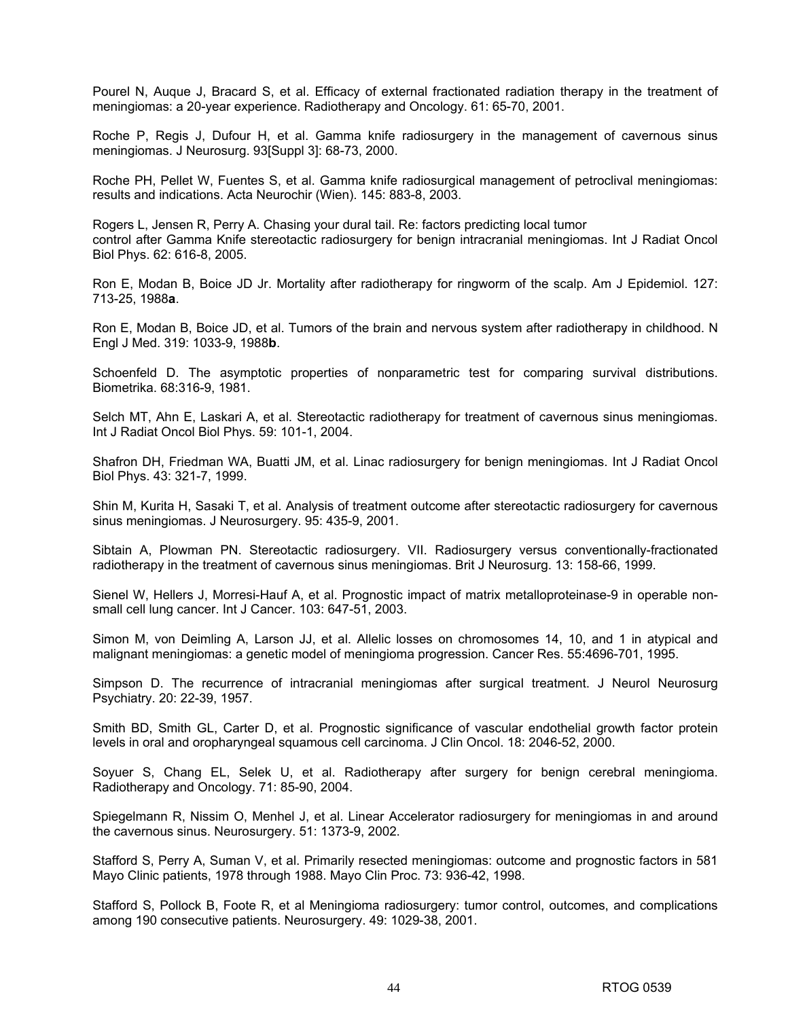Pourel N, Auque J, Bracard S, et al. Efficacy of external fractionated radiation therapy in the treatment of meningiomas: a 20-year experience. Radiotherapy and Oncology. 61: 65-70, 2001.

Roche P, Regis J, Dufour H, et al. Gamma knife radiosurgery in the management of cavernous sinus meningiomas. J Neurosurg. 93[Suppl 3]: 68-73, 2000.

Roche PH, Pellet W, Fuentes S, et al. Gamma knife radiosurgical management of petroclival meningiomas: results and indications. Acta Neurochir (Wien). 145: 883-8, 2003.

Rogers L, Jensen R, Perry A. Chasing your dural tail. Re: factors predicting local tumor control after Gamma Knife stereotactic radiosurgery for benign intracranial meningiomas. Int J Radiat Oncol Biol Phys. 62: 616-8, 2005.

Ron E, Modan B, Boice JD Jr. Mortality after radiotherapy for ringworm of the scalp. Am J Epidemiol. 127: 713-25, 1988**a**.

Ron E, Modan B, Boice JD, et al. Tumors of the brain and nervous system after radiotherapy in childhood. N Engl J Med. 319: 1033-9, 1988**b**.

Schoenfeld D. The asymptotic properties of nonparametric test for comparing survival distributions. Biometrika. 68:316-9, 1981.

Selch MT, Ahn E, Laskari A, et al. Stereotactic radiotherapy for treatment of cavernous sinus meningiomas. Int J Radiat Oncol Biol Phys. 59: 101-1, 2004.

Shafron DH, Friedman WA, Buatti JM, et al. Linac radiosurgery for benign meningiomas. Int J Radiat Oncol Biol Phys. 43: 321-7, 1999.

Shin M, Kurita H, Sasaki T, et al. Analysis of treatment outcome after stereotactic radiosurgery for cavernous sinus meningiomas. J Neurosurgery. 95: 435-9, 2001.

Sibtain A, Plowman PN. Stereotactic radiosurgery. VII. Radiosurgery versus conventionally-fractionated radiotherapy in the treatment of cavernous sinus meningiomas. Brit J Neurosurg. 13: 158-66, 1999.

Sienel W, Hellers J, Morresi-Hauf A, et al. Prognostic impact of matrix metalloproteinase-9 in operable nonsmall cell lung cancer. Int J Cancer. 103: 647-51, 2003.

Simon M, von Deimling A, Larson JJ, et al. Allelic losses on chromosomes 14, 10, and 1 in atypical and malignant meningiomas: a genetic model of meningioma progression. Cancer Res. 55:4696-701, 1995.

Simpson D. The recurrence of intracranial meningiomas after surgical treatment. J Neurol Neurosurg Psychiatry. 20: 22-39, 1957.

Smith BD, Smith GL, Carter D, et al. Prognostic significance of vascular endothelial growth factor protein levels in oral and oropharyngeal squamous cell carcinoma. J Clin Oncol. 18: 2046-52, 2000.

Soyuer S, Chang EL, Selek U, et al. Radiotherapy after surgery for benign cerebral meningioma. Radiotherapy and Oncology. 71: 85-90, 2004.

Spiegelmann R, Nissim O, Menhel J, et al. Linear Accelerator radiosurgery for meningiomas in and around the cavernous sinus. Neurosurgery. 51: 1373-9, 2002.

Stafford S, Perry A, Suman V, et al. Primarily resected meningiomas: outcome and prognostic factors in 581 Mayo Clinic patients, 1978 through 1988. Mayo Clin Proc. 73: 936-42, 1998.

Stafford S, Pollock B, Foote R, et al Meningioma radiosurgery: tumor control, outcomes, and complications among 190 consecutive patients. Neurosurgery. 49: 1029-38, 2001.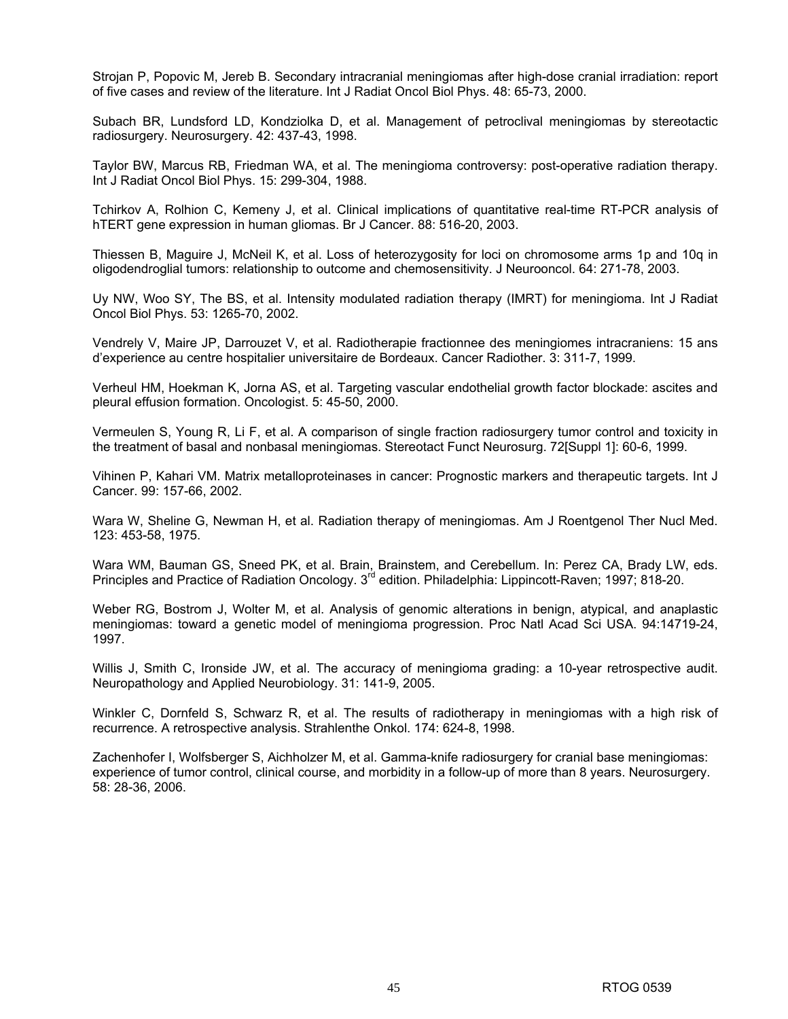Strojan P, Popovic M, Jereb B. Secondary intracranial meningiomas after high-dose cranial irradiation: report of five cases and review of the literature. Int J Radiat Oncol Biol Phys. 48: 65-73, 2000.

Subach BR, Lundsford LD, Kondziolka D, et al. Management of petroclival meningiomas by stereotactic radiosurgery. Neurosurgery. 42: 437-43, 1998.

Taylor BW, Marcus RB, Friedman WA, et al. The meningioma controversy: post-operative radiation therapy. Int J Radiat Oncol Biol Phys. 15: 299-304, 1988.

Tchirkov A, Rolhion C, Kemeny J, et al. Clinical implications of quantitative real-time RT-PCR analysis of hTERT gene expression in human gliomas. Br J Cancer. 88: 516-20, 2003.

Thiessen B, Maguire J, McNeil K, et al. Loss of heterozygosity for loci on chromosome arms 1p and 10q in oligodendroglial tumors: relationship to outcome and chemosensitivity. J Neurooncol. 64: 271-78, 2003.

Uy NW, Woo SY, The BS, et al. Intensity modulated radiation therapy (IMRT) for meningioma. Int J Radiat Oncol Biol Phys. 53: 1265-70, 2002.

Vendrely V, Maire JP, Darrouzet V, et al. Radiotherapie fractionnee des meningiomes intracraniens: 15 ans d'experience au centre hospitalier universitaire de Bordeaux. Cancer Radiother. 3: 311-7, 1999.

Verheul HM, Hoekman K, Jorna AS, et al. Targeting vascular endothelial growth factor blockade: ascites and pleural effusion formation. Oncologist. 5: 45-50, 2000.

Vermeulen S, Young R, Li F, et al. A comparison of single fraction radiosurgery tumor control and toxicity in the treatment of basal and nonbasal meningiomas. Stereotact Funct Neurosurg. 72[Suppl 1]: 60-6, 1999.

Vihinen P, Kahari VM. Matrix metalloproteinases in cancer: Prognostic markers and therapeutic targets. Int J Cancer. 99: 157-66, 2002.

Wara W, Sheline G, Newman H, et al. Radiation therapy of meningiomas. Am J Roentgenol Ther Nucl Med. 123: 453-58, 1975.

Wara WM, Bauman GS, Sneed PK, et al. Brain, Brainstem, and Cerebellum. In: Perez CA, Brady LW, eds. Principles and Practice of Radiation Oncology. 3<sup>rd</sup> edition. Philadelphia: Lippincott-Raven; 1997; 818-20.

Weber RG, Bostrom J, Wolter M, et al. Analysis of genomic alterations in benign, atypical, and anaplastic meningiomas: toward a genetic model of meningioma progression. Proc Natl Acad Sci USA. 94:14719-24, 1997.

Willis J, Smith C, Ironside JW, et al. The accuracy of meningioma grading: a 10-year retrospective audit. Neuropathology and Applied Neurobiology. 31: 141-9, 2005.

Winkler C, Dornfeld S, Schwarz R, et al. The results of radiotherapy in meningiomas with a high risk of recurrence. A retrospective analysis. Strahlenthe Onkol. 174: 624-8, 1998.

Zachenhofer I, Wolfsberger S, Aichholzer M, et al. Gamma-knife radiosurgery for cranial base meningiomas: experience of tumor control, clinical course, and morbidity in a follow-up of more than 8 years. Neurosurgery. 58: 28-36, 2006.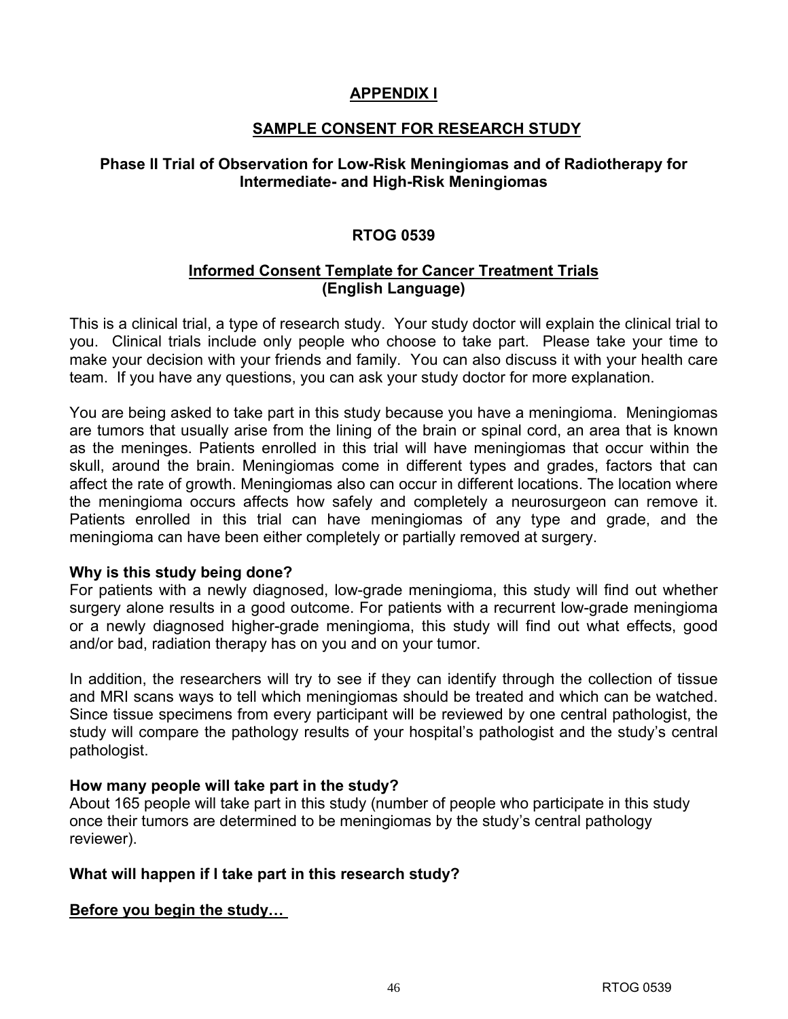## **APPENDIX I**

## **SAMPLE CONSENT FOR RESEARCH STUDY**

## **Phase II Trial of Observation for Low-Risk Meningiomas and of Radiotherapy for Intermediate- and High-Risk Meningiomas**

## **RTOG 0539**

## **Informed Consent Template for Cancer Treatment Trials (English Language)**

This is a clinical trial, a type of research study. Your study doctor will explain the clinical trial to you. Clinical trials include only people who choose to take part. Please take your time to make your decision with your friends and family. You can also discuss it with your health care team. If you have any questions, you can ask your study doctor for more explanation.

You are being asked to take part in this study because you have a meningioma. Meningiomas are tumors that usually arise from the lining of the brain or spinal cord, an area that is known as the meninges. Patients enrolled in this trial will have meningiomas that occur within the skull, around the brain. Meningiomas come in different types and grades, factors that can affect the rate of growth. Meningiomas also can occur in different locations. The location where the meningioma occurs affects how safely and completely a neurosurgeon can remove it. Patients enrolled in this trial can have meningiomas of any type and grade, and the meningioma can have been either completely or partially removed at surgery.

#### **Why is this study being done?**

For patients with a newly diagnosed, low-grade meningioma, this study will find out whether surgery alone results in a good outcome. For patients with a recurrent low-grade meningioma or a newly diagnosed higher-grade meningioma, this study will find out what effects, good and/or bad, radiation therapy has on you and on your tumor.

In addition, the researchers will try to see if they can identify through the collection of tissue and MRI scans ways to tell which meningiomas should be treated and which can be watched. Since tissue specimens from every participant will be reviewed by one central pathologist, the study will compare the pathology results of your hospital's pathologist and the study's central pathologist.

## **How many people will take part in the study?**

About 165 people will take part in this study (number of people who participate in this study once their tumors are determined to be meningiomas by the study's central pathology reviewer).

## **What will happen if I take part in this research study?**

## **Before you begin the study…**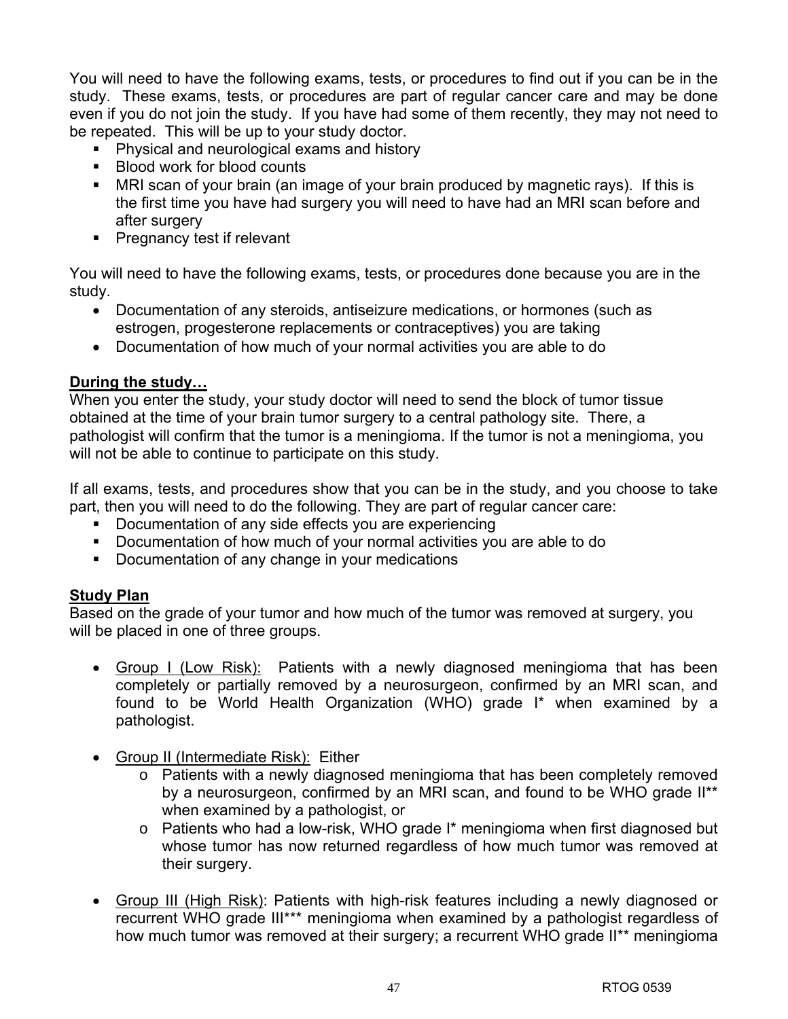You will need to have the following exams, tests, or procedures to find out if you can be in the study. These exams, tests, or procedures are part of regular cancer care and may be done even if you do not join the study. If you have had some of them recently, they may not need to be repeated. This will be up to your study doctor.

- **Physical and neurological exams and history**
- Blood work for blood counts
- MRI scan of your brain (an image of your brain produced by magnetic rays). If this is the first time you have had surgery you will need to have had an MRI scan before and after surgery
- **Pregnancy test if relevant**

You will need to have the following exams, tests, or procedures done because you are in the study.

- Documentation of any steroids, antiseizure medications, or hormones (such as estrogen, progesterone replacements or contraceptives) you are taking
- Documentation of how much of your normal activities you are able to do

## **During the study…**

When you enter the study, your study doctor will need to send the block of tumor tissue obtained at the time of your brain tumor surgery to a central pathology site. There, a pathologist will confirm that the tumor is a meningioma. If the tumor is not a meningioma, you will not be able to continue to participate on this study.

If all exams, tests, and procedures show that you can be in the study, and you choose to take part, then you will need to do the following. They are part of regular cancer care:

- Documentation of any side effects you are experiencing
- Documentation of how much of your normal activities you are able to do
- Documentation of any change in your medications

## **Study Plan**

Based on the grade of your tumor and how much of the tumor was removed at surgery, you will be placed in one of three groups.

- Group I (Low Risk): Patients with a newly diagnosed meningioma that has been completely or partially removed by a neurosurgeon, confirmed by an MRI scan, and found to be World Health Organization (WHO) grade I\* when examined by a pathologist.
- Group II (Intermediate Risk): Either
	- o Patients with a newly diagnosed meningioma that has been completely removed by a neurosurgeon, confirmed by an MRI scan, and found to be WHO grade II\*\* when examined by a pathologist, or
	- o Patients who had a low-risk, WHO grade I\* meningioma when first diagnosed but whose tumor has now returned regardless of how much tumor was removed at their surgery.
- Group III (High Risk): Patients with high-risk features including a newly diagnosed or recurrent WHO grade III\*\*\* meningioma when examined by a pathologist regardless of how much tumor was removed at their surgery; a recurrent WHO grade II\*\* meningioma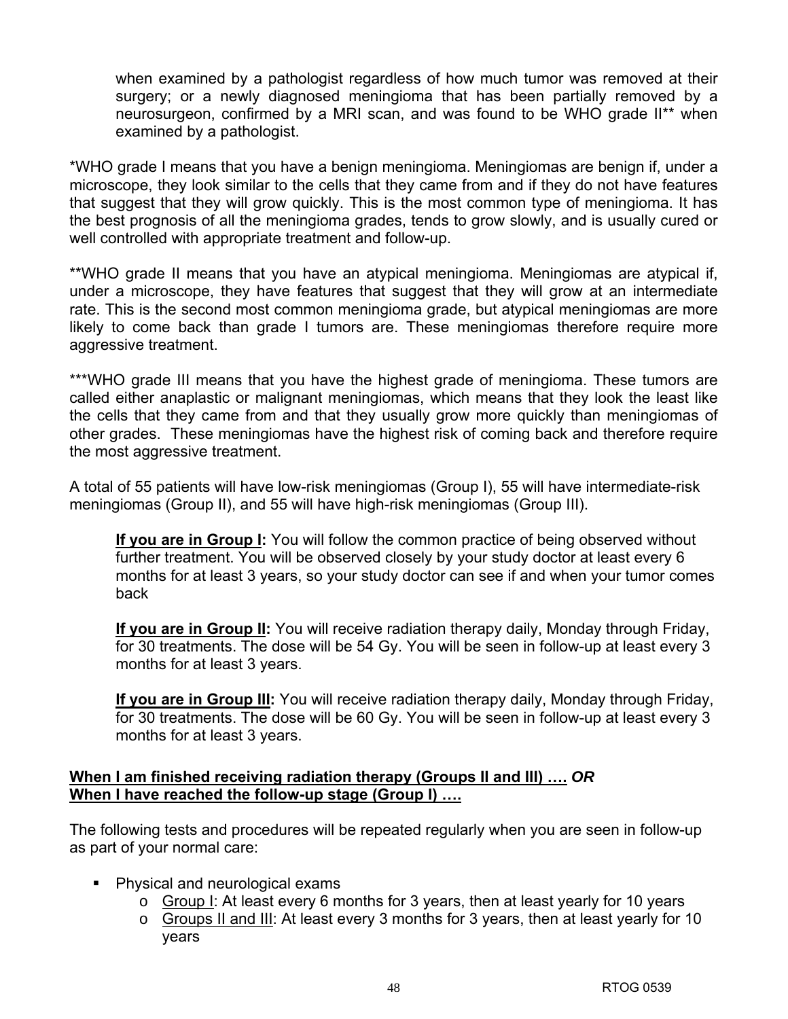when examined by a pathologist regardless of how much tumor was removed at their surgery; or a newly diagnosed meningioma that has been partially removed by a neurosurgeon, confirmed by a MRI scan, and was found to be WHO grade II\*\* when examined by a pathologist.

\*WHO grade I means that you have a benign meningioma. Meningiomas are benign if, under a microscope, they look similar to the cells that they came from and if they do not have features that suggest that they will grow quickly. This is the most common type of meningioma. It has the best prognosis of all the meningioma grades, tends to grow slowly, and is usually cured or well controlled with appropriate treatment and follow-up.

\*\*WHO grade II means that you have an atypical meningioma. Meningiomas are atypical if, under a microscope, they have features that suggest that they will grow at an intermediate rate. This is the second most common meningioma grade, but atypical meningiomas are more likely to come back than grade I tumors are. These meningiomas therefore require more aggressive treatment.

\*\*\*WHO grade III means that you have the highest grade of meningioma. These tumors are called either anaplastic or malignant meningiomas, which means that they look the least like the cells that they came from and that they usually grow more quickly than meningiomas of other grades. These meningiomas have the highest risk of coming back and therefore require the most aggressive treatment.

A total of 55 patients will have low-risk meningiomas (Group I), 55 will have intermediate-risk meningiomas (Group II), and 55 will have high-risk meningiomas (Group III).

**If you are in Group I:** You will follow the common practice of being observed without further treatment. You will be observed closely by your study doctor at least every 6 months for at least 3 years, so your study doctor can see if and when your tumor comes back

**If you are in Group II:** You will receive radiation therapy daily, Monday through Friday, for 30 treatments. The dose will be 54 Gy. You will be seen in follow-up at least every 3 months for at least 3 years.

**If you are in Group III:** You will receive radiation therapy daily, Monday through Friday, for 30 treatments. The dose will be 60 Gy. You will be seen in follow-up at least every 3 months for at least 3 years.

## **When I am finished receiving radiation therapy (Groups II and III) ….** *OR* **When I have reached the follow-up stage (Group I) ….**

The following tests and procedures will be repeated regularly when you are seen in follow-up as part of your normal care:

- Physical and neurological exams
	- o Group I: At least every 6 months for 3 years, then at least yearly for 10 years
	- o Groups II and III: At least every 3 months for 3 years, then at least yearly for 10 years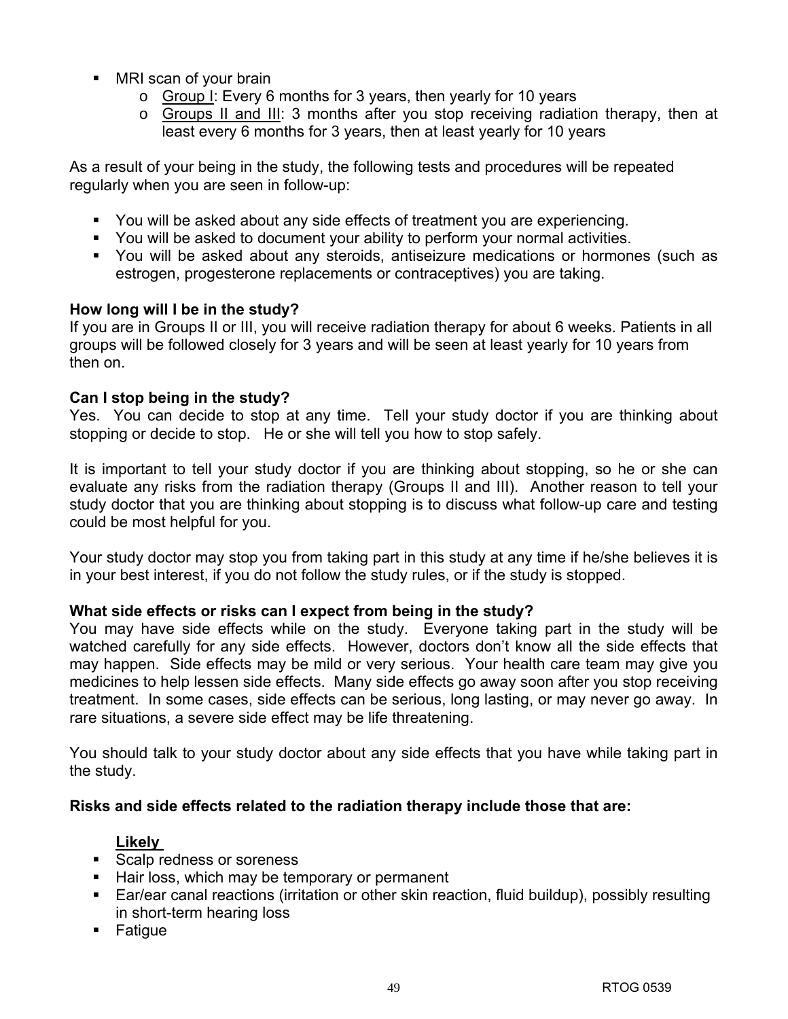- MRI scan of your brain
	- o Group I: Every 6 months for 3 years, then yearly for 10 years
	- $\circ$  Groups II and III: 3 months after you stop receiving radiation therapy, then at least every 6 months for 3 years, then at least yearly for 10 years

As a result of your being in the study, the following tests and procedures will be repeated regularly when you are seen in follow-up:

- You will be asked about any side effects of treatment you are experiencing.
- You will be asked to document your ability to perform your normal activities.
- You will be asked about any steroids, antiseizure medications or hormones (such as estrogen, progesterone replacements or contraceptives) you are taking.

## **How long will I be in the study?**

If you are in Groups II or III, you will receive radiation therapy for about 6 weeks. Patients in all groups will be followed closely for 3 years and will be seen at least yearly for 10 years from then on.

## **Can I stop being in the study?**

Yes. You can decide to stop at any time. Tell your study doctor if you are thinking about stopping or decide to stop. He or she will tell you how to stop safely.

It is important to tell your study doctor if you are thinking about stopping, so he or she can evaluate any risks from the radiation therapy (Groups II and III). Another reason to tell your study doctor that you are thinking about stopping is to discuss what follow-up care and testing could be most helpful for you.

Your study doctor may stop you from taking part in this study at any time if he/she believes it is in your best interest, if you do not follow the study rules, or if the study is stopped.

## **What side effects or risks can I expect from being in the study?**

You may have side effects while on the study. Everyone taking part in the study will be watched carefully for any side effects. However, doctors don't know all the side effects that may happen. Side effects may be mild or very serious. Your health care team may give you medicines to help lessen side effects. Many side effects go away soon after you stop receiving treatment. In some cases, side effects can be serious, long lasting, or may never go away. In rare situations, a severe side effect may be life threatening.

You should talk to your study doctor about any side effects that you have while taking part in the study.

## **Risks and side effects related to the radiation therapy include those that are:**

## **Likely**

- Scalp redness or soreness
- Hair loss, which may be temporary or permanent
- Ear/ear canal reactions (irritation or other skin reaction, fluid buildup), possibly resulting in short-term hearing loss
- **Fatigue**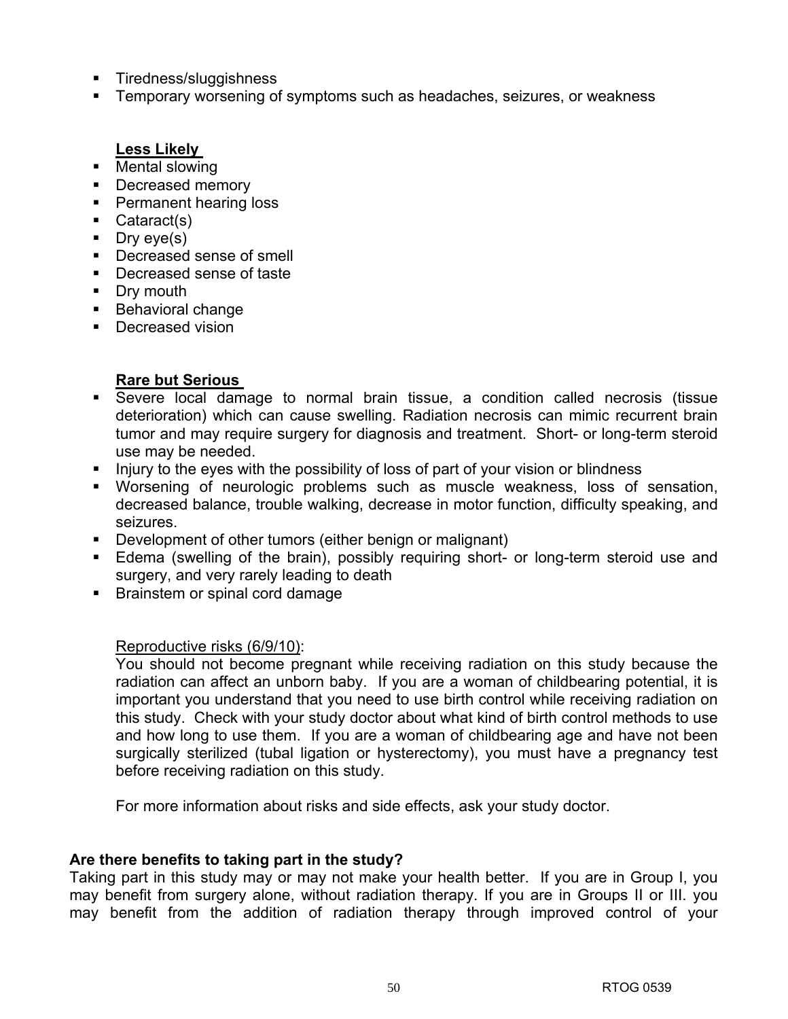- Tiredness/sluggishness
- **Temporary worsening of symptoms such as headaches, seizures, or weakness**

## **Less Likely**

- Mental slowing
- Decreased memory
- **Permanent hearing loss**
- Cataract(s)
- $\blacksquare$  Dry eye(s)
- Decreased sense of smell
- Decreased sense of taste
- Dry mouth
- Behavioral change
- **Decreased vision**

## **Rare but Serious**

- Severe local damage to normal brain tissue, a condition called necrosis (tissue deterioration) which can cause swelling. Radiation necrosis can mimic recurrent brain tumor and may require surgery for diagnosis and treatment. Short- or long-term steroid use may be needed.
- Injury to the eyes with the possibility of loss of part of your vision or blindness
- Worsening of neurologic problems such as muscle weakness, loss of sensation, decreased balance, trouble walking, decrease in motor function, difficulty speaking, and seizures.
- Development of other tumors (either benign or malignant)
- Edema (swelling of the brain), possibly requiring short- or long-term steroid use and surgery, and very rarely leading to death
- **Brainstem or spinal cord damage**

## Reproductive risks (6/9/10):

You should not become pregnant while receiving radiation on this study because the radiation can affect an unborn baby. If you are a woman of childbearing potential, it is important you understand that you need to use birth control while receiving radiation on this study. Check with your study doctor about what kind of birth control methods to use and how long to use them. If you are a woman of childbearing age and have not been surgically sterilized (tubal ligation or hysterectomy), you must have a pregnancy test before receiving radiation on this study.

For more information about risks and side effects, ask your study doctor.

## **Are there benefits to taking part in the study?**

Taking part in this study may or may not make your health better. If you are in Group I, you may benefit from surgery alone, without radiation therapy. If you are in Groups II or III. you may benefit from the addition of radiation therapy through improved control of your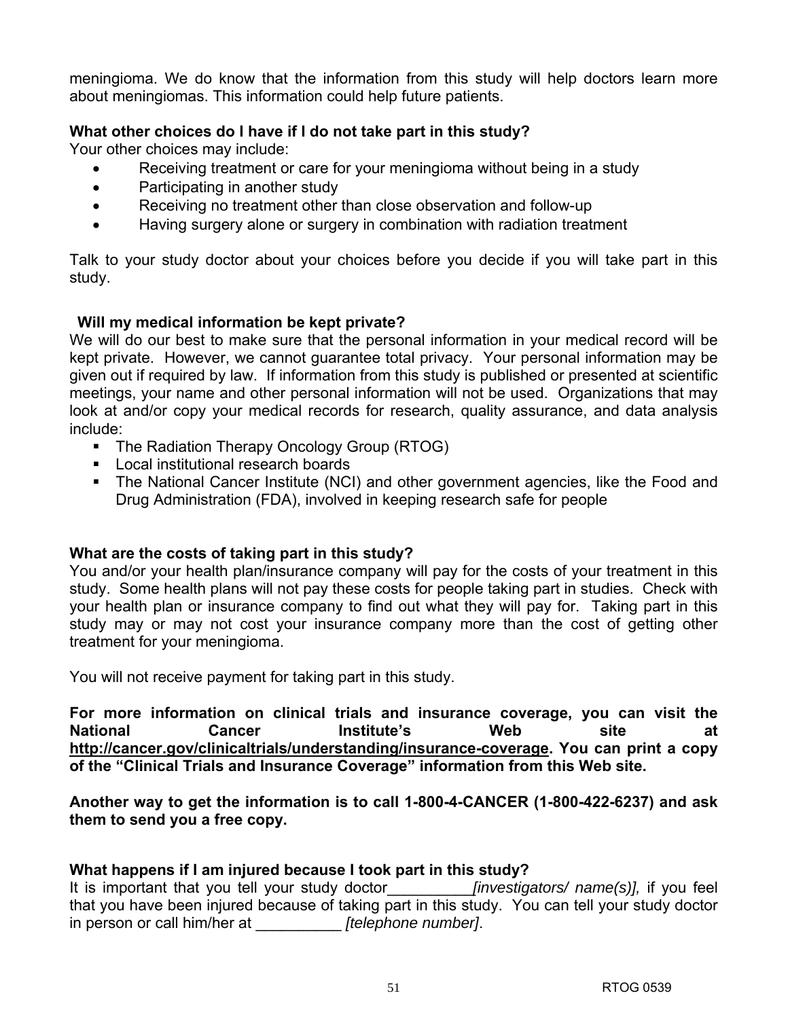meningioma. We do know that the information from this study will help doctors learn more about meningiomas. This information could help future patients.

## **What other choices do I have if I do not take part in this study?**

Your other choices may include:

- Receiving treatment or care for your meningioma without being in a study
- Participating in another study
- Receiving no treatment other than close observation and follow-up
- Having surgery alone or surgery in combination with radiation treatment

Talk to your study doctor about your choices before you decide if you will take part in this study.

## **Will my medical information be kept private?**

We will do our best to make sure that the personal information in your medical record will be kept private. However, we cannot guarantee total privacy. Your personal information may be given out if required by law. If information from this study is published or presented at scientific meetings, your name and other personal information will not be used. Organizations that may look at and/or copy your medical records for research, quality assurance, and data analysis include:

- The Radiation Therapy Oncology Group (RTOG)
- **Local institutional research boards**
- The National Cancer Institute (NCI) and other government agencies, like the Food and Drug Administration (FDA), involved in keeping research safe for people

## **What are the costs of taking part in this study?**

You and/or your health plan/insurance company will pay for the costs of your treatment in this study. Some health plans will not pay these costs for people taking part in studies. Check with your health plan or insurance company to find out what they will pay for. Taking part in this study may or may not cost your insurance company more than the cost of getting other treatment for your meningioma.

You will not receive payment for taking part in this study.

**For more information on clinical trials and insurance coverage, you can visit the National Cancer Institute's Web site at http://cancer.gov/clinicaltrials/understanding/insurance-coverage. You can print a copy of the "Clinical Trials and Insurance Coverage" information from this Web site.** 

**Another way to get the information is to call 1-800-4-CANCER (1-800-422-6237) and ask them to send you a free copy.** 

## **What happens if I am injured because I took part in this study?**

It is important that you tell your study doctor\_\_\_\_\_\_\_\_\_\_*[investigators/ name(s)],* if you feel that you have been injured because of taking part in this study. You can tell your study doctor in person or call him/her at \_\_\_\_\_\_\_\_\_\_ *[telephone number]*.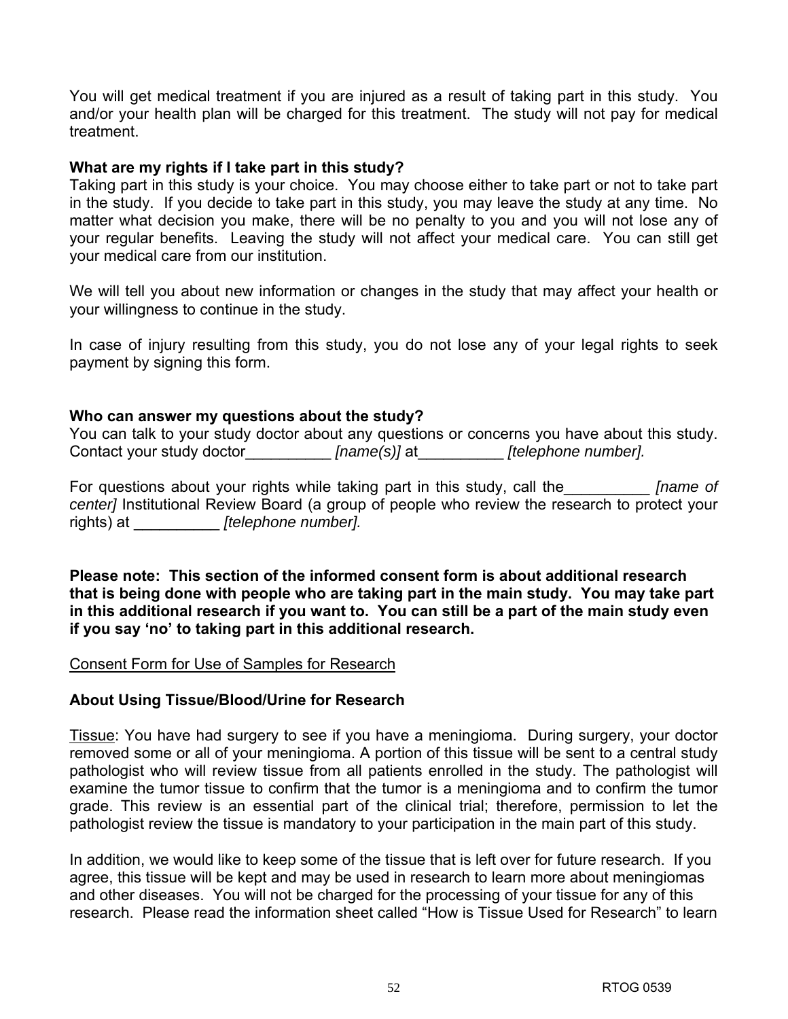You will get medical treatment if you are injured as a result of taking part in this study. You and/or your health plan will be charged for this treatment. The study will not pay for medical treatment.

#### **What are my rights if I take part in this study?**

Taking part in this study is your choice. You may choose either to take part or not to take part in the study. If you decide to take part in this study, you may leave the study at any time. No matter what decision you make, there will be no penalty to you and you will not lose any of your regular benefits. Leaving the study will not affect your medical care. You can still get your medical care from our institution.

We will tell you about new information or changes in the study that may affect your health or your willingness to continue in the study.

In case of injury resulting from this study, you do not lose any of your legal rights to seek payment by signing this form.

### **Who can answer my questions about the study?**

You can talk to your study doctor about any questions or concerns you have about this study. Contact your study doctor *[name(s)]* at *[telephone number].* 

For questions about your rights while taking part in this study, call the\_\_\_\_\_\_\_\_\_\_ *[name of center]* Institutional Review Board (a group of people who review the research to protect your rights) at \_\_\_\_\_\_\_\_\_\_ *[telephone number].* 

**Please note: This section of the informed consent form is about additional research that is being done with people who are taking part in the main study. You may take part in this additional research if you want to. You can still be a part of the main study even if you say 'no' to taking part in this additional research.** 

#### Consent Form for Use of Samples for Research

#### **About Using Tissue/Blood/Urine for Research**

Tissue: You have had surgery to see if you have a meningioma. During surgery, your doctor removed some or all of your meningioma. A portion of this tissue will be sent to a central study pathologist who will review tissue from all patients enrolled in the study. The pathologist will examine the tumor tissue to confirm that the tumor is a meningioma and to confirm the tumor grade. This review is an essential part of the clinical trial; therefore, permission to let the pathologist review the tissue is mandatory to your participation in the main part of this study.

In addition, we would like to keep some of the tissue that is left over for future research. If you agree, this tissue will be kept and may be used in research to learn more about meningiomas and other diseases. You will not be charged for the processing of your tissue for any of this research. Please read the information sheet called "How is Tissue Used for Research" to learn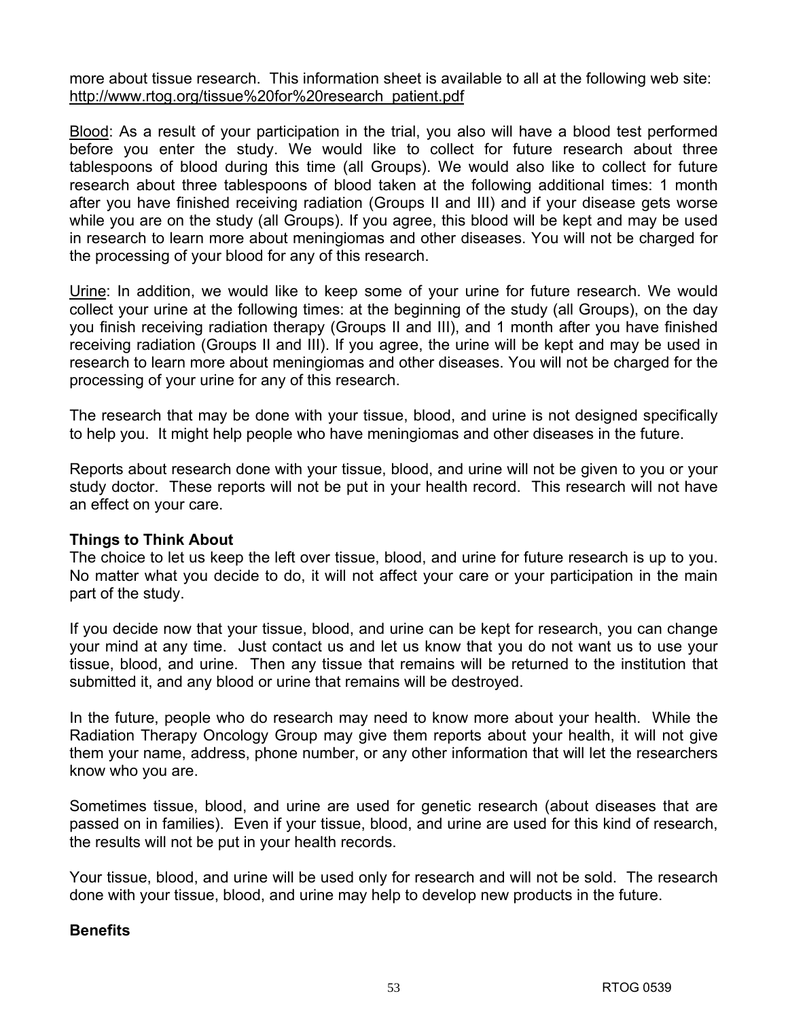more about tissue research. This information sheet is available to all at the following web site: http://www.rtog.org/tissue%20for%20research\_patient.pdf

Blood: As a result of your participation in the trial, you also will have a blood test performed before you enter the study. We would like to collect for future research about three tablespoons of blood during this time (all Groups). We would also like to collect for future research about three tablespoons of blood taken at the following additional times: 1 month after you have finished receiving radiation (Groups II and III) and if your disease gets worse while you are on the study (all Groups). If you agree, this blood will be kept and may be used in research to learn more about meningiomas and other diseases. You will not be charged for the processing of your blood for any of this research.

Urine: In addition, we would like to keep some of your urine for future research. We would collect your urine at the following times: at the beginning of the study (all Groups), on the day you finish receiving radiation therapy (Groups II and III), and 1 month after you have finished receiving radiation (Groups II and III). If you agree, the urine will be kept and may be used in research to learn more about meningiomas and other diseases. You will not be charged for the processing of your urine for any of this research.

The research that may be done with your tissue, blood, and urine is not designed specifically to help you. It might help people who have meningiomas and other diseases in the future.

Reports about research done with your tissue, blood, and urine will not be given to you or your study doctor. These reports will not be put in your health record. This research will not have an effect on your care.

## **Things to Think About**

The choice to let us keep the left over tissue, blood, and urine for future research is up to you. No matter what you decide to do, it will not affect your care or your participation in the main part of the study.

If you decide now that your tissue, blood, and urine can be kept for research, you can change your mind at any time. Just contact us and let us know that you do not want us to use your tissue, blood, and urine. Then any tissue that remains will be returned to the institution that submitted it, and any blood or urine that remains will be destroyed.

In the future, people who do research may need to know more about your health. While the Radiation Therapy Oncology Group may give them reports about your health, it will not give them your name, address, phone number, or any other information that will let the researchers know who you are.

Sometimes tissue, blood, and urine are used for genetic research (about diseases that are passed on in families). Even if your tissue, blood, and urine are used for this kind of research, the results will not be put in your health records.

Your tissue, blood, and urine will be used only for research and will not be sold. The research done with your tissue, blood, and urine may help to develop new products in the future.

## **Benefits**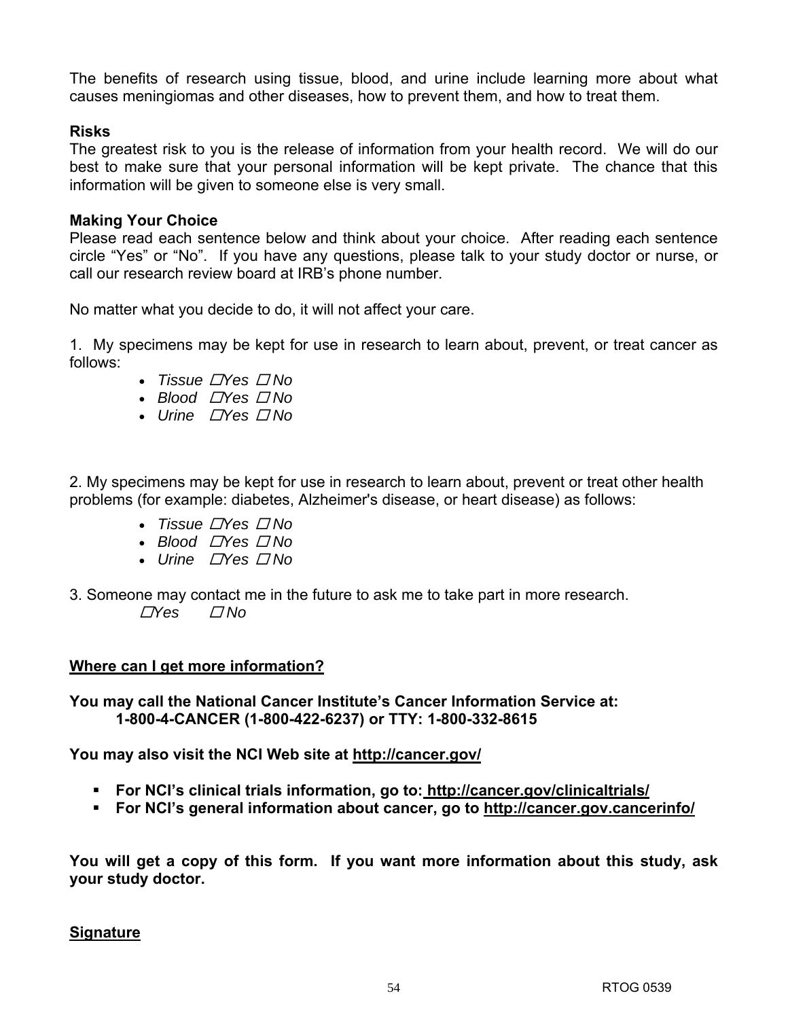The benefits of research using tissue, blood, and urine include learning more about what causes meningiomas and other diseases, how to prevent them, and how to treat them.

### **Risks**

The greatest risk to you is the release of information from your health record. We will do our best to make sure that your personal information will be kept private. The chance that this information will be given to someone else is very small.

### **Making Your Choice**

Please read each sentence below and think about your choice. After reading each sentence circle "Yes" or "No". If you have any questions, please talk to your study doctor or nurse, or call our research review board at IRB's phone number.

No matter what you decide to do, it will not affect your care.

1. My specimens may be kept for use in research to learn about, prevent, or treat cancer as follows:

- *Tissue*  $\Box$ *Yes*  $\Box$ *No*
- *Blood*  $\Box$ *Yes*  $\Box$  No
- *Urine □Yes □ No*

2. My specimens may be kept for use in research to learn about, prevent or treat other health problems (for example: diabetes, Alzheimer's disease, or heart disease) as follows:

- *Tissue*  $\Box$ *Yes*  $\Box$  *No*
- *Blood*  $\Box$ *Yes*  $\Box$  No
- *Urine*  $\Box$ *Yes*  $\Box$  No
- 3. Someone may contact me in the future to ask me to take part in more research.  $\sqrt{7}$ Yes  $\sqrt{7}$ No

## **Where can I get more information?**

**You may call the National Cancer Institute's Cancer Information Service at: 1-800-4-CANCER (1-800-422-6237) or TTY: 1-800-332-8615** 

**You may also visit the NCI Web site at http://cancer.gov/**

- **For NCI's clinical trials information, go to: http://cancer.gov/clinicaltrials/**
- **For NCI's general information about cancer, go to http://cancer.gov.cancerinfo/**

**You will get a copy of this form. If you want more information about this study, ask your study doctor.** 

#### **Signature**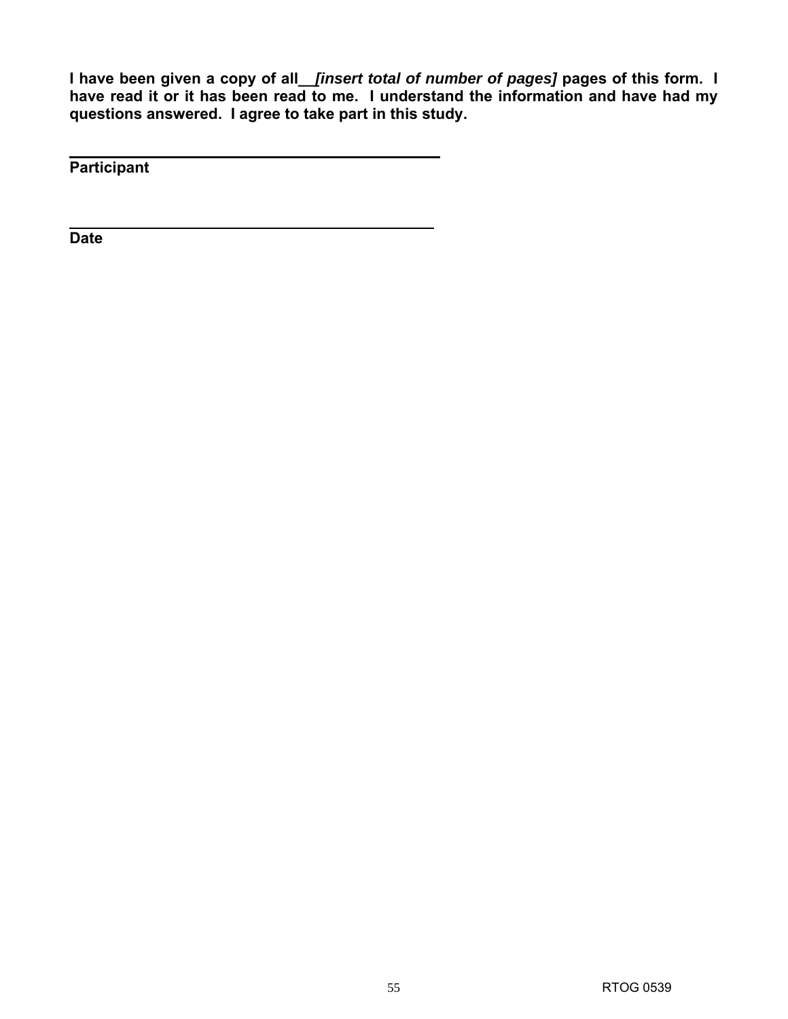**I have been given a copy of all\_\_***[insert total of number of pages]* **pages of this form. I have read it or it has been read to me. I understand the information and have had my questions answered. I agree to take part in this study.** 

**Participant** 

**Date**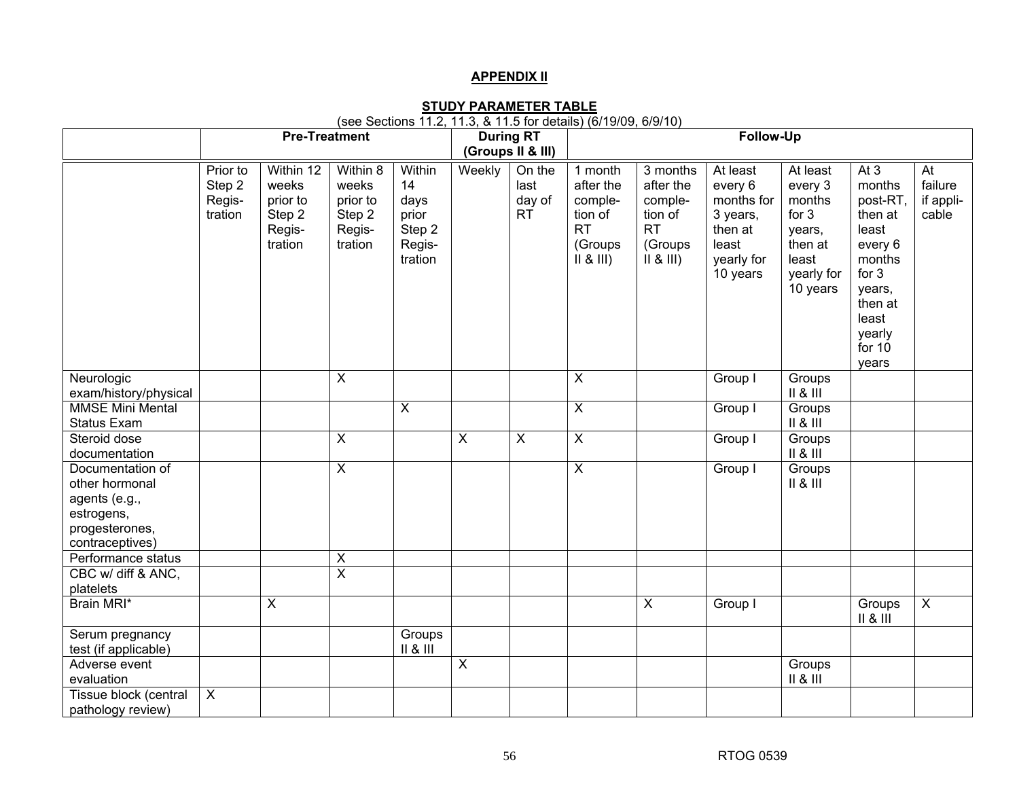#### **APPENDIX II**

**STUDY PARAMETER TABLE** (see Sections 11.2, 11.3, & 11.5 for details) (6/19/09, 6/9/10)

|                                                                                                        | <b>Pre-Treatment</b>                    |                                                               |                                                              |                                                              |              | <b>During RT</b><br>(Groups II & III) | <b>Follow-Up</b>                                                               |                                                                             |                                                                                             |                                                                                                  |                                                                                                                                           |                                                  |
|--------------------------------------------------------------------------------------------------------|-----------------------------------------|---------------------------------------------------------------|--------------------------------------------------------------|--------------------------------------------------------------|--------------|---------------------------------------|--------------------------------------------------------------------------------|-----------------------------------------------------------------------------|---------------------------------------------------------------------------------------------|--------------------------------------------------------------------------------------------------|-------------------------------------------------------------------------------------------------------------------------------------------|--------------------------------------------------|
|                                                                                                        | Prior to<br>Step 2<br>Regis-<br>tration | Within 12<br>weeks<br>prior to<br>Step 2<br>Regis-<br>tration | Within 8<br>weeks<br>prior to<br>Step 2<br>Regis-<br>tration | Within<br>14<br>days<br>prior<br>Step 2<br>Regis-<br>tration | Weekly       | On the<br>last<br>day of<br><b>RT</b> | 1 month<br>after the<br>comple-<br>tion of<br><b>RT</b><br>(Groups<br>II 8 III | 3 months<br>after the<br>comple-<br>tion of<br><b>RT</b><br>(Groups<br>   8 | At least<br>every 6<br>months for<br>3 years,<br>then at<br>least<br>yearly for<br>10 years | At least<br>every 3<br>months<br>for $3$<br>years,<br>then at<br>least<br>yearly for<br>10 years | At $3$<br>months<br>post-RT,<br>then at<br>least<br>every 6<br>months<br>for 3<br>years,<br>then at<br>least<br>yearly<br>for 10<br>years | $\overline{At}$<br>failure<br>if appli-<br>cable |
| Neurologic<br>exam/history/physical                                                                    |                                         |                                                               | $\overline{\mathsf{x}}$                                      |                                                              |              |                                       | $\overline{\mathsf{x}}$                                                        |                                                                             | Group I                                                                                     | Groups<br>II & II                                                                                |                                                                                                                                           |                                                  |
| <b>MMSE Mini Mental</b><br>Status Exam                                                                 |                                         |                                                               |                                                              | $\overline{\mathsf{x}}$                                      |              |                                       | $\overline{X}$                                                                 |                                                                             | Group I                                                                                     | Groups<br>II & II                                                                                |                                                                                                                                           |                                                  |
| Steroid dose<br>documentation                                                                          |                                         |                                                               | $\overline{X}$                                               |                                                              | $\mathsf{X}$ | $\boldsymbol{\mathsf{X}}$             | $\overline{\mathsf{x}}$                                                        |                                                                             | Group I                                                                                     | Groups<br>II 8 II                                                                                |                                                                                                                                           |                                                  |
| Documentation of<br>other hormonal<br>agents (e.g.,<br>estrogens,<br>progesterones,<br>contraceptives) |                                         |                                                               | $\overline{X}$                                               |                                                              |              |                                       | $\overline{\mathsf{x}}$                                                        |                                                                             | Group I                                                                                     | Groups<br>II & II                                                                                |                                                                                                                                           |                                                  |
| Performance status<br>CBC w/ diff & ANC,                                                               |                                         |                                                               | $\pmb{\times}$<br>$\overline{\mathsf{x}}$                    |                                                              |              |                                       |                                                                                |                                                                             |                                                                                             |                                                                                                  |                                                                                                                                           |                                                  |
| platelets                                                                                              |                                         |                                                               |                                                              |                                                              |              |                                       |                                                                                |                                                                             |                                                                                             |                                                                                                  |                                                                                                                                           |                                                  |
| Brain MRI*                                                                                             |                                         | $\overline{X}$                                                |                                                              |                                                              |              |                                       |                                                                                | $\overline{\mathsf{x}}$                                                     | Group I                                                                                     |                                                                                                  | Groups<br>$II & 8$ $III$                                                                                                                  | $\overline{X}$                                   |
| Serum pregnancy<br>test (if applicable)                                                                |                                         |                                                               |                                                              | Groups<br>$II & 8$ $III$                                     |              |                                       |                                                                                |                                                                             |                                                                                             |                                                                                                  |                                                                                                                                           |                                                  |
| Adverse event<br>evaluation                                                                            |                                         |                                                               |                                                              |                                                              | X            |                                       |                                                                                |                                                                             |                                                                                             | Groups<br>II 8 II                                                                                |                                                                                                                                           |                                                  |
| Tissue block (central<br>pathology review)                                                             | $\overline{X}$                          |                                                               |                                                              |                                                              |              |                                       |                                                                                |                                                                             |                                                                                             |                                                                                                  |                                                                                                                                           |                                                  |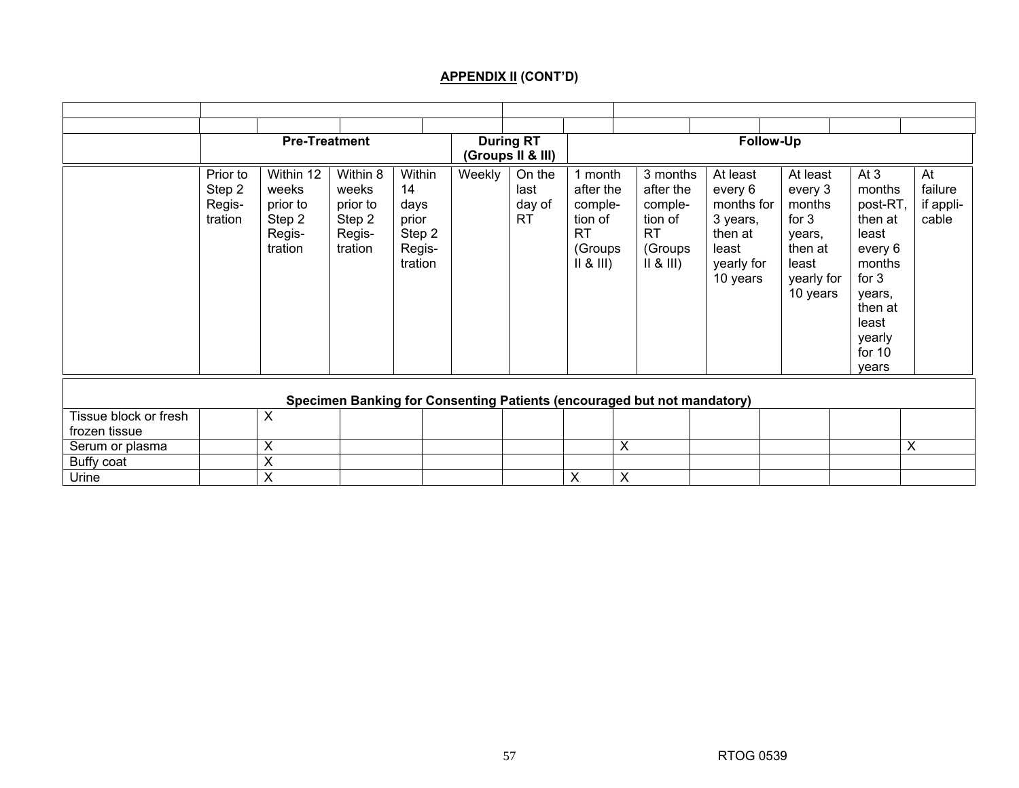## **APPENDIX II (CONT'D)**

|                                        |                                         |                                                               | <b>Pre-Treatment</b>                                         |                                                              |        | <b>During RT</b><br>(Groups II & III) |                                                                            | <b>Follow-Up</b>                                                            |                                                                                             |                                                                                                  |                                                                                                                                               |                                     |
|----------------------------------------|-----------------------------------------|---------------------------------------------------------------|--------------------------------------------------------------|--------------------------------------------------------------|--------|---------------------------------------|----------------------------------------------------------------------------|-----------------------------------------------------------------------------|---------------------------------------------------------------------------------------------|--------------------------------------------------------------------------------------------------|-----------------------------------------------------------------------------------------------------------------------------------------------|-------------------------------------|
|                                        | Prior to<br>Step 2<br>Regis-<br>tration | Within 12<br>weeks<br>prior to<br>Step 2<br>Regis-<br>tration | Within 8<br>weeks<br>prior to<br>Step 2<br>Regis-<br>tration | Within<br>14<br>days<br>prior<br>Step 2<br>Regis-<br>tration | Weekly | On the<br>last<br>day of<br>RT        | 1 month<br>after the<br>comple-<br>tion of<br><b>RT</b><br>(Groups<br>   8 | 3 months<br>after the<br>comple-<br>tion of<br><b>RT</b><br>(Groups<br>   8 | At least<br>every 6<br>months for<br>3 years,<br>then at<br>least<br>yearly for<br>10 years | At least<br>every 3<br>months<br>for $3$<br>years,<br>then at<br>least<br>yearly for<br>10 years | At $3$<br>months<br>post-RT,<br>then at<br>least<br>every 6<br>months<br>for $3$<br>years,<br>then at<br>least<br>yearly<br>for $10$<br>vears | At<br>failure<br>if appli-<br>cable |
|                                        |                                         |                                                               |                                                              |                                                              |        |                                       |                                                                            | Specimen Banking for Consenting Patients (encouraged but not mandatory)     |                                                                                             |                                                                                                  |                                                                                                                                               |                                     |
| Tissue block or fresh<br>frozen tissue |                                         | X                                                             |                                                              |                                                              |        |                                       |                                                                            |                                                                             |                                                                                             |                                                                                                  |                                                                                                                                               |                                     |
| Serum or plasma                        |                                         | X                                                             |                                                              |                                                              |        |                                       |                                                                            | X                                                                           |                                                                                             |                                                                                                  |                                                                                                                                               | $\overline{\mathsf{x}}$             |
| Buffy coat                             |                                         | X                                                             |                                                              |                                                              |        |                                       |                                                                            |                                                                             |                                                                                             |                                                                                                  |                                                                                                                                               |                                     |
| Urine                                  |                                         | X                                                             |                                                              |                                                              |        |                                       | X                                                                          | X                                                                           |                                                                                             |                                                                                                  |                                                                                                                                               |                                     |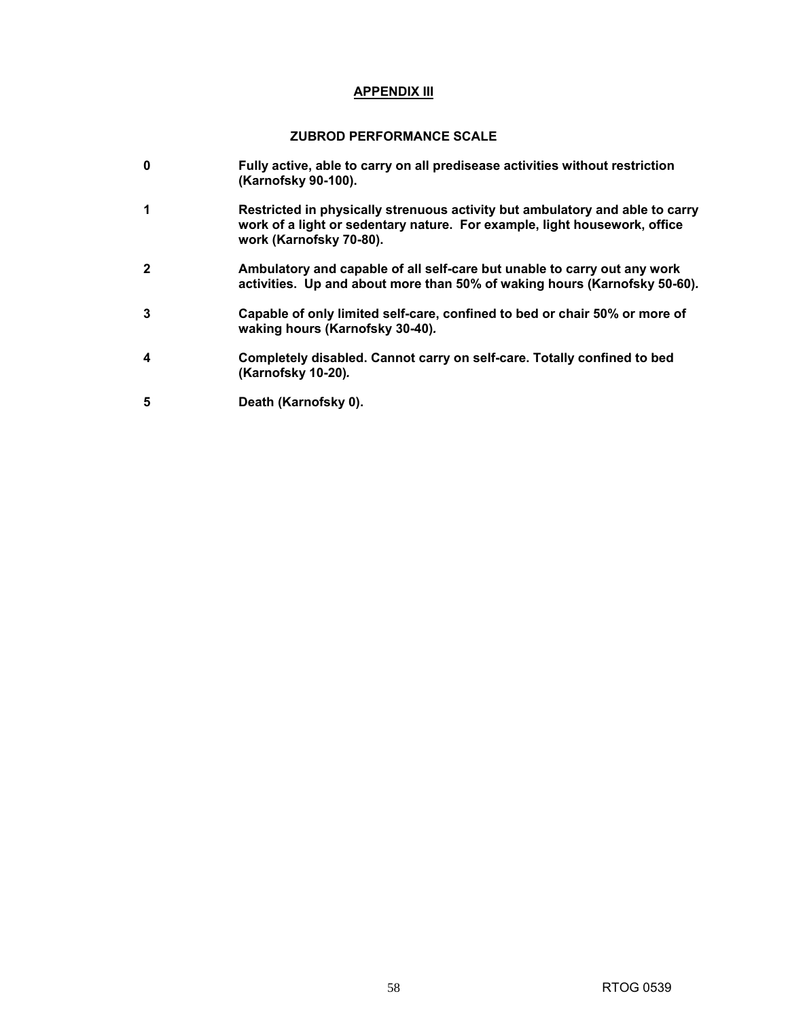#### **APPENDIX III**

#### **ZUBROD PERFORMANCE SCALE**

- **0 Fully active, able to carry on all predisease activities without restriction (Karnofsky 90-100).**
- **1 Restricted in physically strenuous activity but ambulatory and able to carry work of a light or sedentary nature. For example, light housework, office work (Karnofsky 70-80).**
- **2 Ambulatory and capable of all self-care but unable to carry out any work activities. Up and about more than 50% of waking hours (Karnofsky 50-60)***.*
- **3 Capable of only limited self-care, confined to bed or chair 50% or more of waking hours (Karnofsky 30-40)***.*
- **4 Completely disabled. Cannot carry on self-care. Totally confined to bed (Karnofsky 10-20)***.*
- **5 Death (Karnofsky 0).**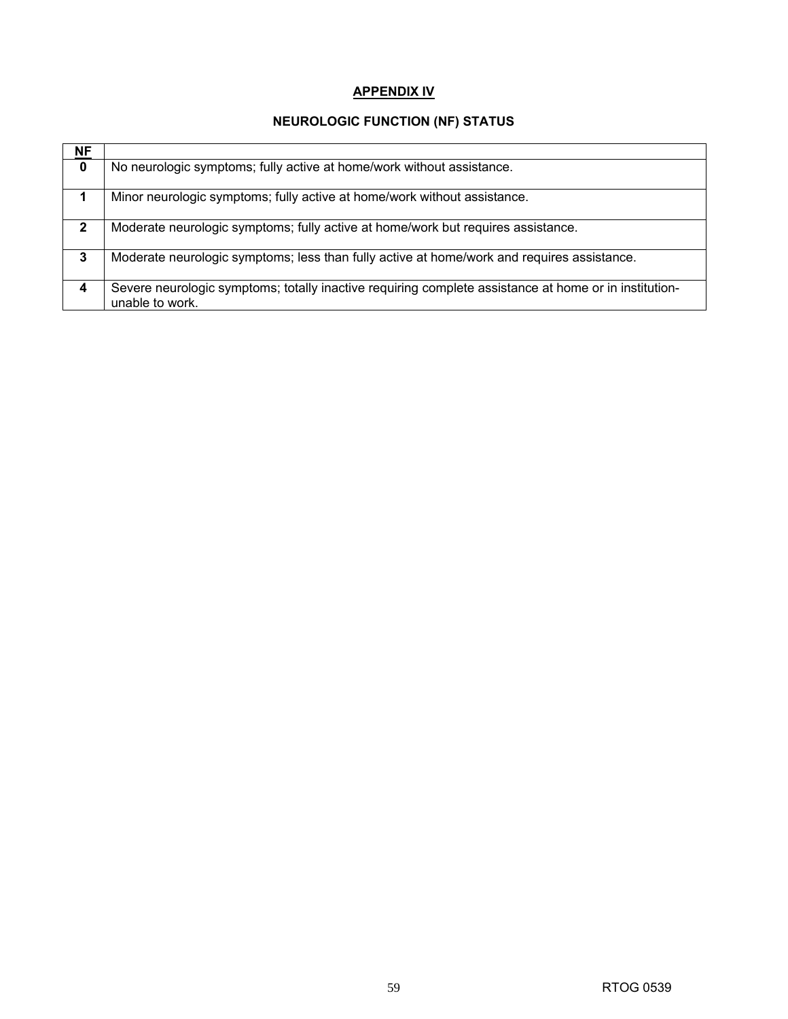## **APPENDIX IV**

## **NEUROLOGIC FUNCTION (NF) STATUS**

| <b>NF</b>    |                                                                                                                          |
|--------------|--------------------------------------------------------------------------------------------------------------------------|
| $\mathbf 0$  | No neurologic symptoms; fully active at home/work without assistance.                                                    |
| 1            | Minor neurologic symptoms; fully active at home/work without assistance.                                                 |
| $\mathbf{2}$ | Moderate neurologic symptoms; fully active at home/work but requires assistance.                                         |
| 3            | Moderate neurologic symptoms; less than fully active at home/work and requires assistance.                               |
| 4            | Severe neurologic symptoms; totally inactive requiring complete assistance at home or in institution-<br>unable to work. |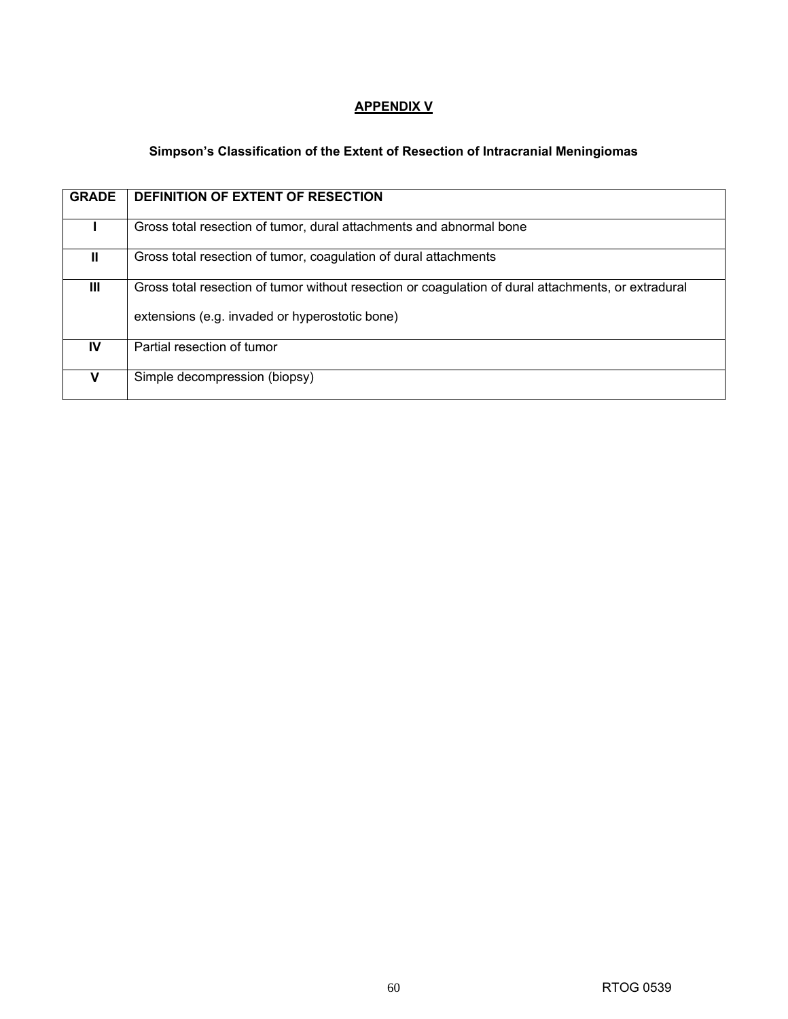## **APPENDIX V**

## **Simpson's Classification of the Extent of Resection of Intracranial Meningiomas**

| <b>GRADE</b> | <b>DEFINITION OF EXTENT OF RESECTION</b>                                                            |
|--------------|-----------------------------------------------------------------------------------------------------|
|              | Gross total resection of tumor, dural attachments and abnormal bone                                 |
| Ш.           | Gross total resection of tumor, coagulation of dural attachments                                    |
| Ш            | Gross total resection of tumor without resection or coagulation of dural attachments, or extradural |
|              | extensions (e.g. invaded or hyperostotic bone)                                                      |
| IV           | Partial resection of tumor                                                                          |
|              | Simple decompression (biopsy)                                                                       |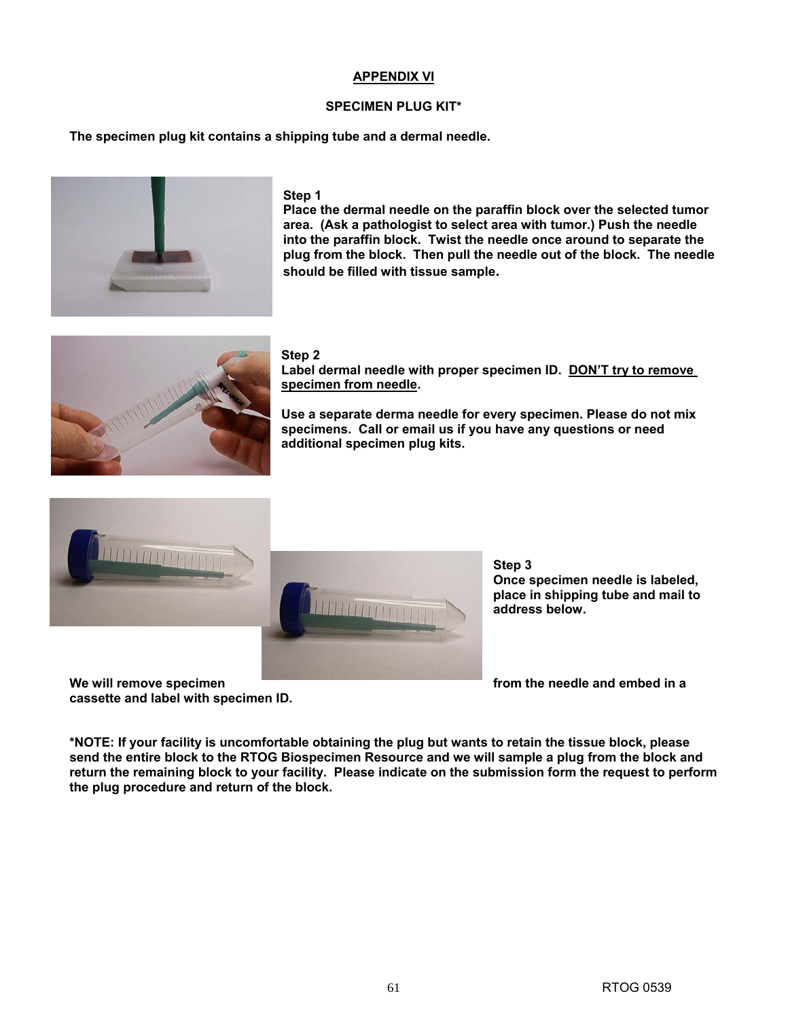#### **APPENDIX VI**

#### **SPECIMEN PLUG KIT\***

**The specimen plug kit contains a shipping tube and a dermal needle.** 



#### **Step 1**

**Place the dermal needle on the paraffin block over the selected tumor area. (Ask a pathologist to select area with tumor.) Push the needle into the paraffin block. Twist the needle once around to separate the plug from the block. Then pull the needle out of the block. The needle should be filled with tissue sample.** 



#### **Step 2**

**Label dermal needle with proper specimen ID. DON'T try to remove specimen from needle.** 

**Use a separate derma needle for every specimen. Please do not mix specimens. Call or email us if you have any questions or need additional specimen plug kits.** 





We will remove specimen **the contract of the needle and embed in a interval of the needle and embed in a cassette and label with specimen ID.** 

**Step 3 Once specimen needle is labeled, place in shipping tube and mail to address below.** 

**\*NOTE: If your facility is uncomfortable obtaining the plug but wants to retain the tissue block, please send the entire block to the RTOG Biospecimen Resource and we will sample a plug from the block and return the remaining block to your facility. Please indicate on the submission form the request to perform the plug procedure and return of the block.**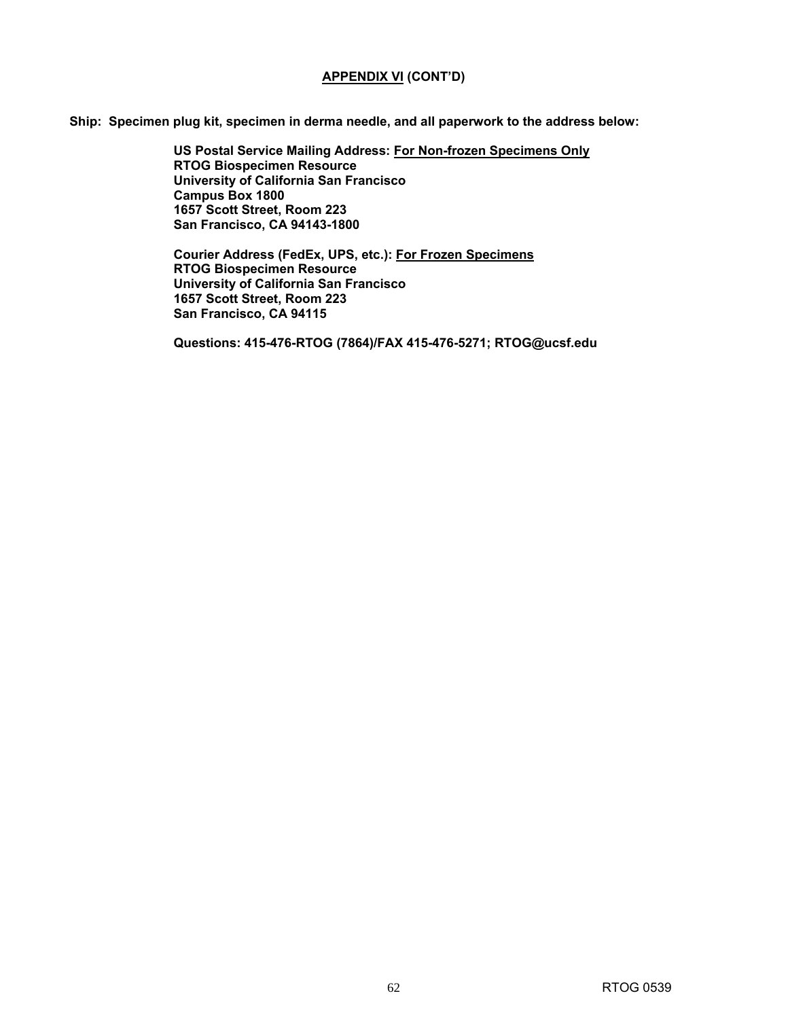#### **APPENDIX VI (CONT'D)**

**Ship: Specimen plug kit, specimen in derma needle, and all paperwork to the address below:** 

**US Postal Service Mailing Address: For Non-frozen Specimens Only RTOG Biospecimen Resource University of California San Francisco Campus Box 1800 1657 Scott Street, Room 223 San Francisco, CA 94143-1800** 

**Courier Address (FedEx, UPS, etc.): For Frozen Specimens RTOG Biospecimen Resource University of California San Francisco 1657 Scott Street, Room 223 San Francisco, CA 94115**

**Questions: 415-476-RTOG (7864)/FAX 415-476-5271; RTOG@ucsf.edu**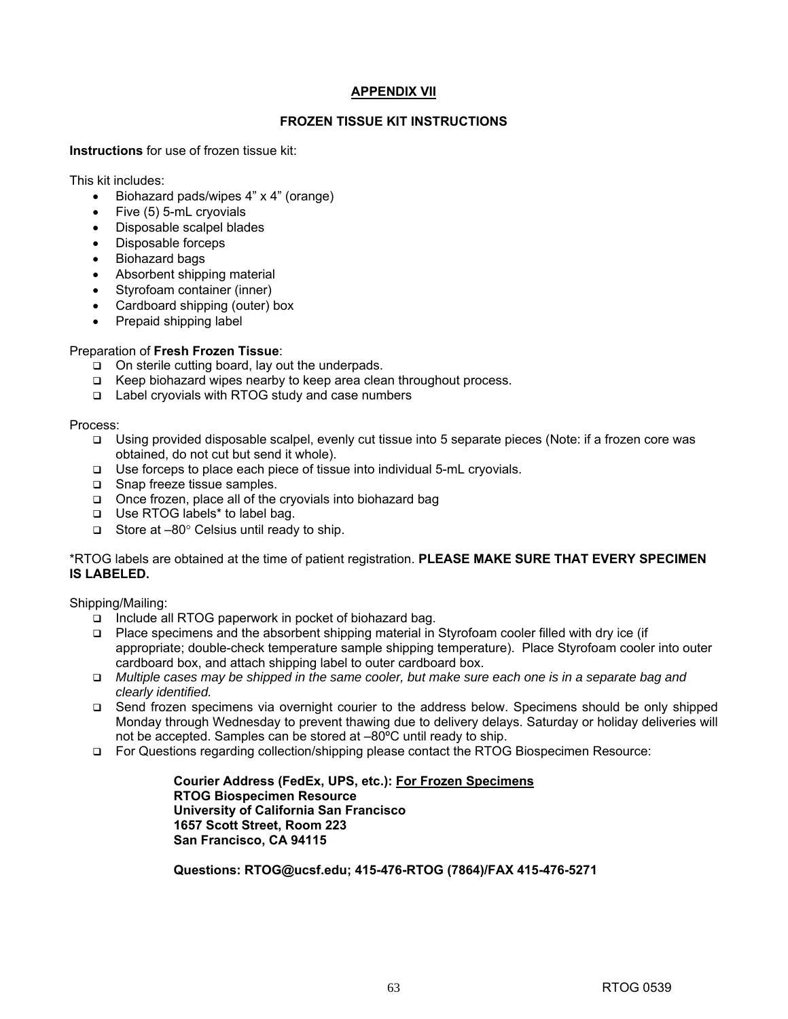#### **APPENDIX VII**

#### **FROZEN TISSUE KIT INSTRUCTIONS**

**Instructions** for use of frozen tissue kit:

This kit includes:

- Biohazard pads/wipes 4" x 4" (orange)
- Five (5) 5-mL cryovials
- Disposable scalpel blades
- Disposable forceps
- Biohazard bags
- Absorbent shipping material
- Styrofoam container (inner)
- Cardboard shipping (outer) box
- Prepaid shipping label

#### Preparation of **Fresh Frozen Tissue**:

- $\Box$  On sterile cutting board, lay out the underpads.
- □ Keep biohazard wipes nearby to keep area clean throughout process.
- Label cryovials with RTOG study and case numbers

Process:

- Using provided disposable scalpel, evenly cut tissue into 5 separate pieces (Note: if a frozen core was obtained, do not cut but send it whole).
- □ Use forceps to place each piece of tissue into individual 5-mL cryovials.
- □ Snap freeze tissue samples.
- $\Box$  Once frozen, place all of the cryovials into biohazard bag
- □ Use RTOG labels\* to label bag.
- Store at  $-80^\circ$  Celsius until ready to ship.

\*RTOG labels are obtained at the time of patient registration. **PLEASE MAKE SURE THAT EVERY SPECIMEN IS LABELED.**

Shipping/Mailing:

- □ Include all RTOG paperwork in pocket of biohazard bag.
- Place specimens and the absorbent shipping material in Styrofoam cooler filled with dry ice (if appropriate; double-check temperature sample shipping temperature). Place Styrofoam cooler into outer cardboard box, and attach shipping label to outer cardboard box.
- *Multiple cases may be shipped in the same cooler, but make sure each one is in a separate bag and clearly identified.*
- Send frozen specimens via overnight courier to the address below. Specimens should be only shipped Monday through Wednesday to prevent thawing due to delivery delays. Saturday or holiday deliveries will not be accepted. Samples can be stored at –80ºC until ready to ship.
- For Questions regarding collection/shipping please contact the RTOG Biospecimen Resource:

**Courier Address (FedEx, UPS, etc.): For Frozen Specimens RTOG Biospecimen Resource University of California San Francisco 1657 Scott Street, Room 223 San Francisco, CA 94115**

**Questions: RTOG@ucsf.edu; 415-476-RTOG (7864)/FAX 415-476-5271**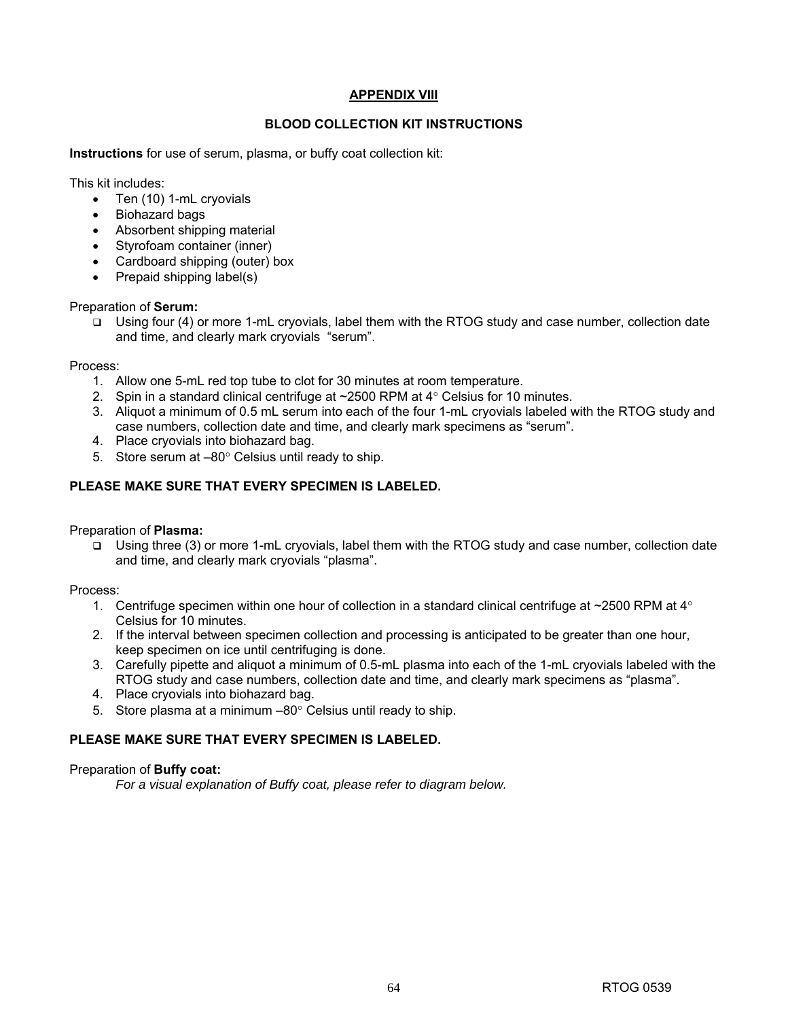#### **APPENDIX VIII**

#### **BLOOD COLLECTION KIT INSTRUCTIONS**

**Instructions** for use of serum, plasma, or buffy coat collection kit:

This kit includes:

- Ten (10) 1-mL cryovials
- Biohazard bags
- Absorbent shipping material
- Styrofoam container (inner)
- Cardboard shipping (outer) box
- Prepaid shipping label(s)

#### Preparation of **Serum:**

 Using four (4) or more 1-mL cryovials, label them with the RTOG study and case number, collection date and time, and clearly mark cryovials "serum".

Process:

- 1. Allow one 5-mL red top tube to clot for 30 minutes at room temperature.
- 2. Spin in a standard clinical centrifuge at ~2500 RPM at 4° Celsius for 10 minutes.
- 3. Aliquot a minimum of 0.5 mL serum into each of the four 1-mL cryovials labeled with the RTOG study and case numbers, collection date and time, and clearly mark specimens as "serum".
- 4. Place cryovials into biohazard bag.
- 5. Store serum at –80° Celsius until ready to ship.

#### **PLEASE MAKE SURE THAT EVERY SPECIMEN IS LABELED.**

Preparation of **Plasma:** 

 Using three (3) or more 1-mL cryovials, label them with the RTOG study and case number, collection date and time, and clearly mark cryovials "plasma".

Process:

- 1. Centrifuge specimen within one hour of collection in a standard clinical centrifuge at ~2500 RPM at  $4^{\circ}$ Celsius for 10 minutes.
- 2. If the interval between specimen collection and processing is anticipated to be greater than one hour, keep specimen on ice until centrifuging is done.
- 3. Carefully pipette and aliquot a minimum of 0.5-mL plasma into each of the 1-mL cryovials labeled with the RTOG study and case numbers, collection date and time, and clearly mark specimens as "plasma".
- 4. Place cryovials into biohazard bag.
- 5. Store plasma at a minimum –80° Celsius until ready to ship.

#### **PLEASE MAKE SURE THAT EVERY SPECIMEN IS LABELED.**

Preparation of **Buffy coat:** 

*For a visual explanation of Buffy coat, please refer to diagram below.*